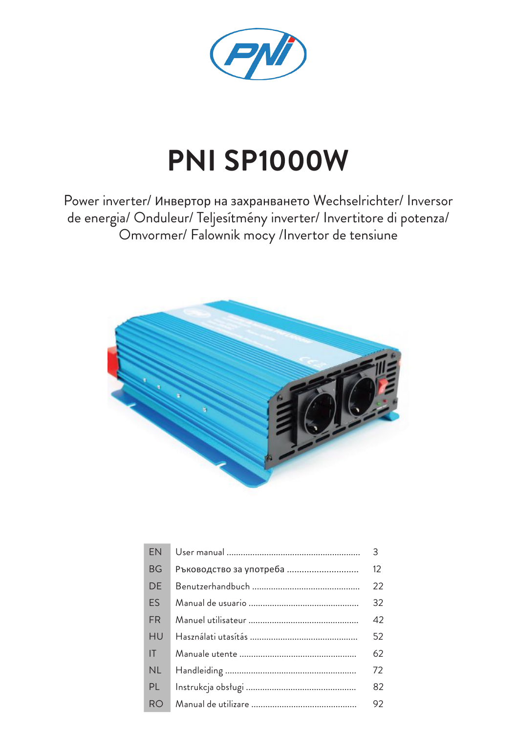

# **PNI SP1000W**

Power inverter/ Инвертор на захранването Wechselrichter/ Inversor de energia/ Onduleur/ Teljesítmény inverter/ Invertitore di potenza/ Omvormer/ Falownik mocy /Invertor de tensiune



| EN             |                         | $\mathcal{E}$ |
|----------------|-------------------------|---------------|
| <b>BG</b>      | Ръководство за употреба | 12            |
| DE             |                         | 22            |
| ES             |                         | 32            |
| <b>FR</b>      |                         | 42            |
| HU             |                         | 52            |
| IT.            |                         | 62            |
| <b>NL</b>      |                         | 72            |
| PL             |                         | 82            |
| R <sub>O</sub> |                         | 92            |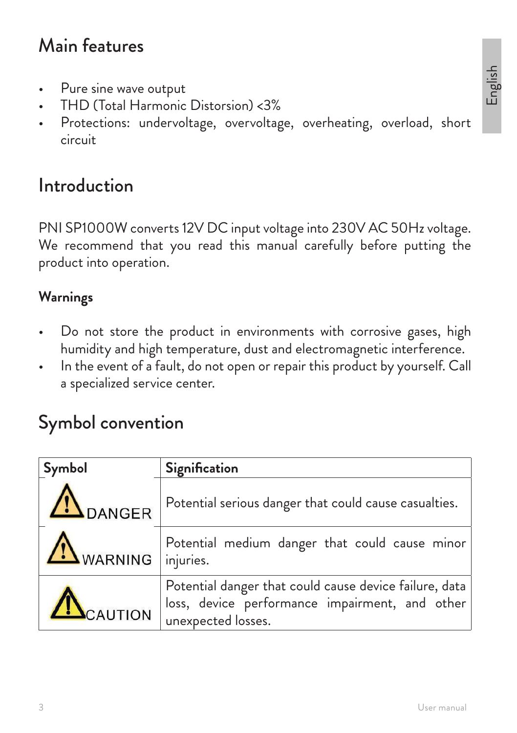### Main features

- Pure sine wave output
- THD (Total Harmonic Distorsion) <3%
- Protections: undervoltage, overvoltage, overheating, overload, short circuit

### Introduction

PNI SP1000W converts 12V DC input voltage into 230V AC 50Hz voltage. We recommend that you read this manual carefully before putting the product into operation.

#### **Warnings**

- Do not store the product in environments with corrosive gases, high humidity and high temperature, dust and electromagnetic interference.
- In the event of a fault, do not open or repair this product by yourself. Call a specialized service center.

### Symbol convention

| Symbol            | Signification                                                                                                                  |
|-------------------|--------------------------------------------------------------------------------------------------------------------------------|
| <b>IN</b> DANGER  | Potential serious danger that could cause casualties.                                                                          |
| WARNING injuries. | Potential medium danger that could cause minor                                                                                 |
| CAUTION           | Potential danger that could cause device failure, data<br>loss, device performance impairment, and other<br>unexpected losses. |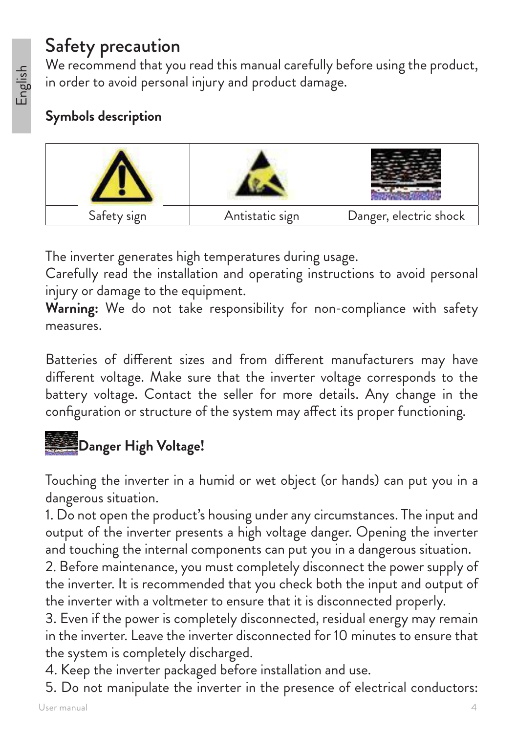# English

### Safety precaution

We recommend that you read this manual carefully before using the product, in order to avoid personal injury and product damage.

### **Symbols description**



The inverter generates high temperatures during usage.

Carefully read the installation and operating instructions to avoid personal injury or damage to the equipment.

**Warning:** We do not take responsibility for non-compliance with safety measures.

Batteries of different sizes and from different manufacturers may have different voltage. Make sure that the inverter voltage corresponds to the battery voltage. Contact the seller for more details. Any change in the configuration or structure of the system may affect its proper functioning.

### **图**Danger High Voltage!

Touching the inverter in a humid or wet object (or hands) can put you in a dangerous situation.

1. Do not open the product's housing under any circumstances. The input and output of the inverter presents a high voltage danger. Opening the inverter and touching the internal components can put you in a dangerous situation.

2. Before maintenance, you must completely disconnect the power supply of the inverter. It is recommended that you check both the input and output of the inverter with a voltmeter to ensure that it is disconnected properly.

3. Even if the power is completely disconnected, residual energy may remain in the inverter. Leave the inverter disconnected for 10 minutes to ensure that the system is completely discharged.

- 4. Keep the inverter packaged before installation and use.
- 5. Do not manipulate the inverter in the presence of electrical conductors: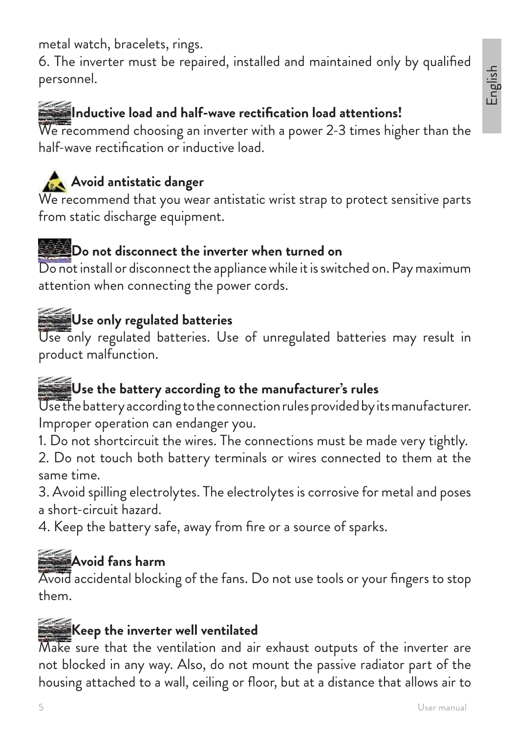5 User manual second control of the control of the control of the control of the User manual User manual second  $\sim$ 

English

metal watch, bracelets, rings.

6. The inverter must be repaired, installed and maintained only by qualified personnel.

### **Inductive load and half-wave rectification load attentions!**

We recommend choosing an inverter with a power 2-3 times higher than the half-wave rectification or inductive load.

### **Avoid antistatic danger**

We recommend that you wear antistatic wrist strap to protect sensitive parts from static discharge equipment.

#### **Do not disconnect the inverter when turned on**

Do not install or disconnect the appliance while it is switched on. Pay maximum attention when connecting the power cords.

### **Use only regulated batteries**

Use only regulated batteries. Use of unregulated batteries may result in product malfunction.

### **Use the battery according to the manufacturer's rules**

Use the battery according to the connection rules provided by its manufacturer. Improper operation can endanger you.

1. Do not shortcircuit the wires. The connections must be made very tightly.

2. Do not touch both battery terminals or wires connected to them at the same time.

3. Avoid spilling electrolytes. The electrolytes is corrosive for metal and poses a short-circuit hazard.

4. Keep the battery safe, away from fire or a source of sparks.

### **Avoid fans harm**

Avoid accidental blocking of the fans. Do not use tools or your fingers to stop them.

### **Keep the inverter well ventilated**

Make sure that the ventilation and air exhaust outputs of the inverter are not blocked in any way. Also, do not mount the passive radiator part of the housing attached to a wall, ceiling or floor, but at a distance that allows air to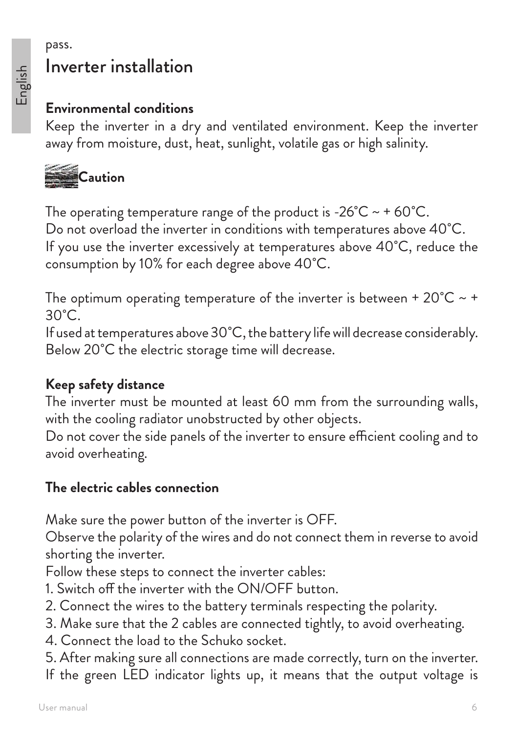#### pass. Inverter installation

#### **Environmental conditions**

Keep the inverter in a dry and ventilated environment. Keep the inverter away from moisture, dust, heat, sunlight, volatile gas or high salinity.



The operating temperature range of the product is -26 $^{\circ}$ C ~ + 60 $^{\circ}$ C. Do not overload the inverter in conditions with temperatures above 40˚C. If you use the inverter excessively at temperatures above 40˚C, reduce the consumption by 10% for each degree above 40˚C.

The optimum operating temperature of the inverter is between +  $20^{\circ}C \sim$  +  $30^{\circ}$ C.

If used at temperatures above 30˚C, the battery life will decrease considerably. Below 20<sup>°</sup>C the electric storage time will decrease.

#### **Keep safety distance**

The inverter must be mounted at least 60 mm from the surrounding walls, with the cooling radiator unobstructed by other objects.

Do not cover the side panels of the inverter to ensure efficient cooling and to avoid overheating.

#### **The electric cables connection**

Make sure the power button of the inverter is OFF.

Observe the polarity of the wires and do not connect them in reverse to avoid shorting the inverter.

Follow these steps to connect the inverter cables:

- 1. Switch off the inverter with the ON/OFF button.
- 2. Connect the wires to the battery terminals respecting the polarity.
- 3. Make sure that the 2 cables are connected tightly, to avoid overheating.
- 4. Connect the load to the Schuko socket.
- 5. After making sure all connections are made correctly, turn on the inverter.
- If the green LED indicator lights up, it means that the output voltage is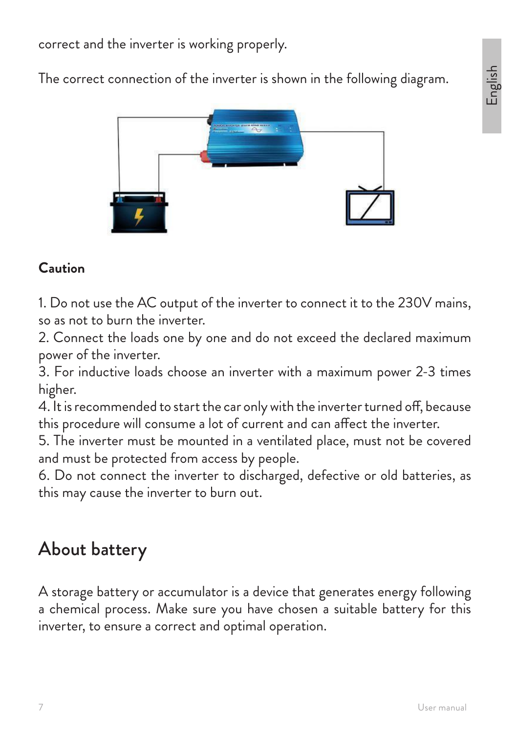correct and the inverter is working properly.

The correct connection of the inverter is shown in the following diagram.



#### **Caution**

1. Do not use the AC output of the inverter to connect it to the 230V mains, so as not to burn the inverter.

2. Connect the loads one by one and do not exceed the declared maximum power of the inverter.

3. For inductive loads choose an inverter with a maximum power 2-3 times higher.

4. It is recommended to start the car only with the inverter turned off, because this procedure will consume a lot of current and can affect the inverter.

5. The inverter must be mounted in a ventilated place, must not be covered and must be protected from access by people.

6. Do not connect the inverter to discharged, defective or old batteries, as this may cause the inverter to burn out.

### About battery

A storage battery or accumulator is a device that generates energy following a chemical process. Make sure you have chosen a suitable battery for this inverter, to ensure a correct and optimal operation.

English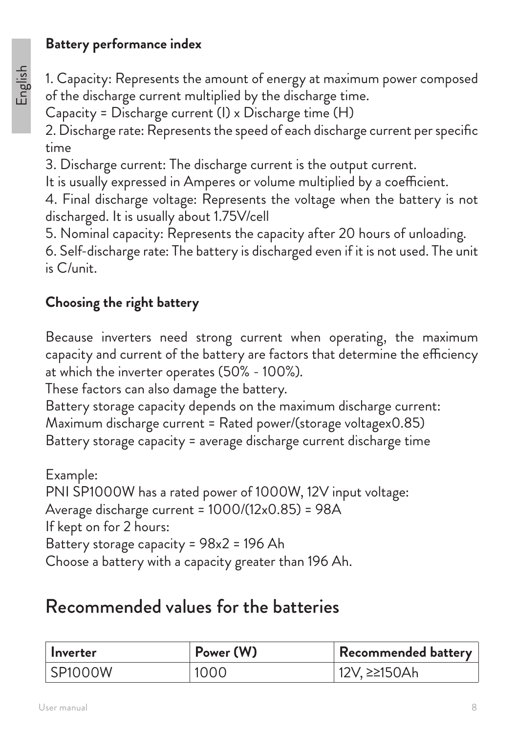### **Battery performance index**

1. Capacity: Represents the amount of energy at maximum power composed of the discharge current multiplied by the discharge time.

Capacity = Discharge current (I) x Discharge time (H)

2. Discharge rate: Represents the speed of each discharge current per specific time

3. Discharge current: The discharge current is the output current.

It is usually expressed in Amperes or volume multiplied by a coefficient.

4. Final discharge voltage: Represents the voltage when the battery is not discharged. It is usually about 1.75V/cell

5. Nominal capacity: Represents the capacity after 20 hours of unloading.

6. Self-discharge rate: The battery is discharged even if it is not used. The unit is C/unit.

### **Choosing the right battery**

Because inverters need strong current when operating, the maximum capacity and current of the battery are factors that determine the efficiency at which the inverter operates (50% - 100%).

These factors can also damage the battery.

Battery storage capacity depends on the maximum discharge current: Maximum discharge current = Rated power/(storage voltagex0.85) Battery storage capacity = average discharge current discharge time

Example: PNI SP1000W has a rated power of 1000W, 12V input voltage: Average discharge current = 1000/(12x0.85) = 98A If kept on for 2 hours: Battery storage capacity = 98x2 = 196 Ah Choose a battery with a capacity greater than 196 Ah.

### Recommended values for the batteries

| l Inverter | Power (W) | Recommended battery         |
|------------|-----------|-----------------------------|
| SP1000W    | 1000      | <sup>⊦</sup> 12V, ≥≥150Ah l |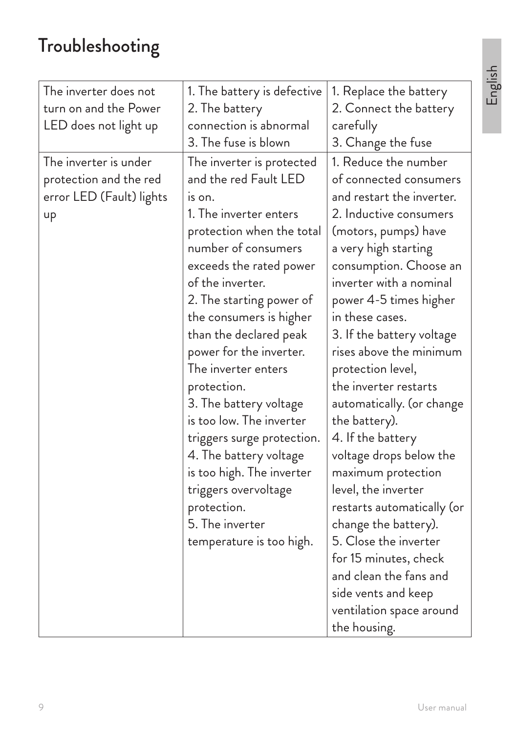## Troubleshooting

| 1. The battery is defective                                                                                                                                                                                                                                                                                                                                                                                                                                                                                                   | 1. Replace the battery                                                                                                                                                                                                                                                                                                                                                                                                                                                                                                                              |
|-------------------------------------------------------------------------------------------------------------------------------------------------------------------------------------------------------------------------------------------------------------------------------------------------------------------------------------------------------------------------------------------------------------------------------------------------------------------------------------------------------------------------------|-----------------------------------------------------------------------------------------------------------------------------------------------------------------------------------------------------------------------------------------------------------------------------------------------------------------------------------------------------------------------------------------------------------------------------------------------------------------------------------------------------------------------------------------------------|
| 2. The battery                                                                                                                                                                                                                                                                                                                                                                                                                                                                                                                | 2. Connect the battery                                                                                                                                                                                                                                                                                                                                                                                                                                                                                                                              |
| connection is abnormal                                                                                                                                                                                                                                                                                                                                                                                                                                                                                                        |                                                                                                                                                                                                                                                                                                                                                                                                                                                                                                                                                     |
| 3. The fuse is blown                                                                                                                                                                                                                                                                                                                                                                                                                                                                                                          | 3. Change the fuse                                                                                                                                                                                                                                                                                                                                                                                                                                                                                                                                  |
| The inverter is protected<br>and the red Fault LED<br>is on.<br>1. The inverter enters<br>protection when the total<br>number of consumers<br>exceeds the rated power<br>of the inverter.<br>2. The starting power of<br>the consumers is higher<br>than the declared peak<br>power for the inverter.<br>The inverter enters<br>protection.<br>3. The battery voltage<br>is too low. The inverter<br>triggers surge protection.<br>4. The battery voltage<br>is too high. The inverter<br>triggers overvoltage<br>protection. | carefully<br>1. Reduce the number<br>of connected consumers<br>and restart the inverter.<br>2. Inductive consumers<br>(motors, pumps) have<br>a very high starting<br>consumption. Choose an<br>inverter with a nominal<br>power 4-5 times higher<br>in these cases.<br>3. If the battery voltage<br>rises above the minimum<br>protection level,<br>the inverter restarts<br>automatically. (or change<br>the battery).<br>4. If the battery<br>voltage drops below the<br>maximum protection<br>level, the inverter<br>restarts automatically (or |
| temperature is too high.                                                                                                                                                                                                                                                                                                                                                                                                                                                                                                      | change the battery).<br>5. Close the inverter                                                                                                                                                                                                                                                                                                                                                                                                                                                                                                       |
|                                                                                                                                                                                                                                                                                                                                                                                                                                                                                                                               | for 15 minutes, check                                                                                                                                                                                                                                                                                                                                                                                                                                                                                                                               |
|                                                                                                                                                                                                                                                                                                                                                                                                                                                                                                                               | and clean the fans and                                                                                                                                                                                                                                                                                                                                                                                                                                                                                                                              |
|                                                                                                                                                                                                                                                                                                                                                                                                                                                                                                                               | side vents and keep                                                                                                                                                                                                                                                                                                                                                                                                                                                                                                                                 |
|                                                                                                                                                                                                                                                                                                                                                                                                                                                                                                                               | ventilation space around<br>the housing.                                                                                                                                                                                                                                                                                                                                                                                                                                                                                                            |
|                                                                                                                                                                                                                                                                                                                                                                                                                                                                                                                               | 5. The inverter                                                                                                                                                                                                                                                                                                                                                                                                                                                                                                                                     |

English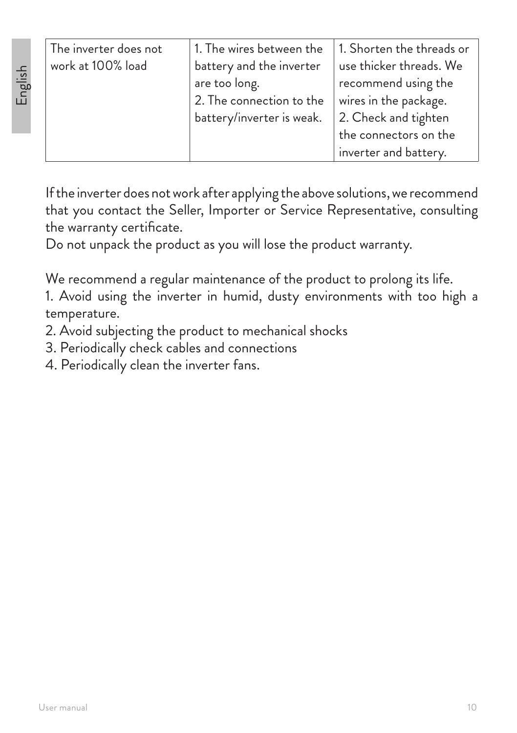English

| The inverter does not | 1. The wires between the  | $\mid$ 1. Shorten the threads or |
|-----------------------|---------------------------|----------------------------------|
| work at 100% load     | battery and the inverter  | use thicker threads. We          |
|                       | are too long.             | recommend using the              |
|                       | 2. The connection to the  | wires in the package.            |
|                       | battery/inverter is weak. | 2. Check and tighten             |
|                       |                           | the connectors on the            |
|                       |                           | inverter and battery.            |

If the inverter does not work after applying the above solutions, we recommend that you contact the Seller, Importer or Service Representative, consulting the warranty certificate.

Do not unpack the product as you will lose the product warranty.

We recommend a regular maintenance of the product to prolong its life.

1. Avoid using the inverter in humid, dusty environments with too high a temperature.

- 2. Avoid subjecting the product to mechanical shocks
- 3. Periodically check cables and connections
- 4. Periodically clean the inverter fans.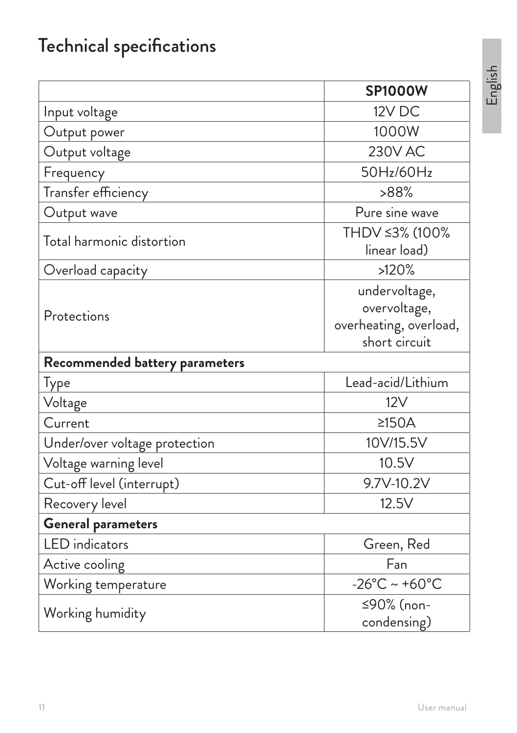### Technical specifications

|                                | <b>SP1000W</b>                                                           |
|--------------------------------|--------------------------------------------------------------------------|
| Input voltage                  | 12V DC                                                                   |
| Output power                   | 1000W                                                                    |
| Output voltage                 | <b>230V AC</b>                                                           |
| Frequency                      | 50Hz/60Hz                                                                |
| Transfer efficiency            | >88%                                                                     |
| Output wave                    | Pure sine wave                                                           |
| Total harmonic distortion      | THDV ≤3% (100%<br>linear load)                                           |
| Overload capacity              | >120%                                                                    |
| Protections                    | undervoltage,<br>overvoltage,<br>overheating, overload,<br>short circuit |
| Recommended battery parameters |                                                                          |
| Type                           | Lead-acid/Lithium                                                        |
| Voltage                        | 12V                                                                      |
| Current                        | $\geq$ 150A                                                              |
| Under/over voltage protection  | 10V/15.5V                                                                |
| Voltage warning level          | 10.5V                                                                    |
| Cut-off level (interrupt)      | 9.7V-10.2V                                                               |
| Recovery level                 | 12.5V                                                                    |
| <b>General parameters</b>      |                                                                          |
| <b>LED</b> indicators          | Green, Red                                                               |
| Active cooling                 | Fan                                                                      |
| Working temperature            | $-26^{\circ}$ C ~ +60 $^{\circ}$ C                                       |
| Working humidity               | ≤90% (non-<br>condensing)                                                |

English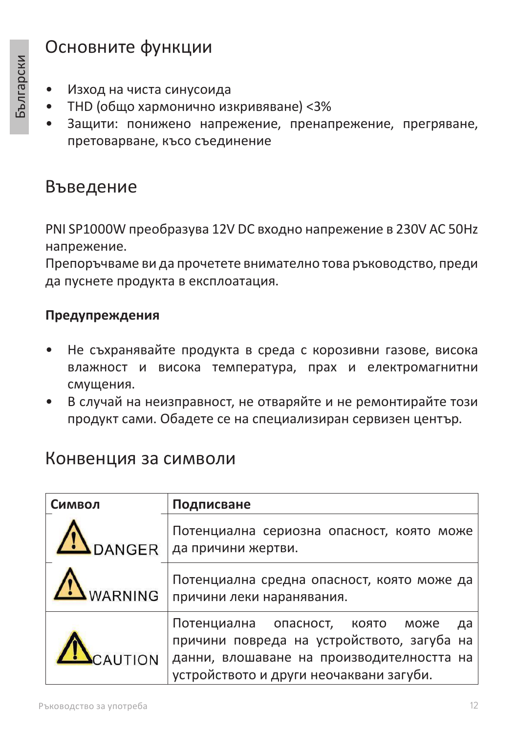### Основните функции

- Изход на чиста синусоида
- THD (общо хармонично изкривяване) <3%
- Защити: понижено напрежение, пренапрежение, прегряване, претоварване, късо съединение

### Въведение

PNI SP1000W преобразува 12V DC входно напрежение в 230V AC 50Hz напрежение.

Препоръчваме ви да прочетете внимателно това ръководство, преди да пуснете продукта в експлоатация.

#### **Предупреждения**

- Не съхранявайте продукта в среда с корозивни газове, висока влажност и висока температура, прах и електромагнитни смущения.
- В случай на неизправност, не отваряйте и не ремонтирайте този продукт сами. Обадете се на специализиран сервизен център.

### Конвенция за символи

| Символ          | Подписване                                                                                                                                                                   |
|-----------------|------------------------------------------------------------------------------------------------------------------------------------------------------------------------------|
|                 | Потенциална сериозна опасност, която може<br>DANGER да причини жертви.                                                                                                       |
| <b>LWARNING</b> | Потенциална средна опасност, която може да<br>причини леки наранявания.                                                                                                      |
| CAUTION         | Потенциална опасност, която може<br>да<br>причини повреда на устройството, загуба на<br>данни, влошаване на производителността на<br>устройството и други неочаквани загуби. |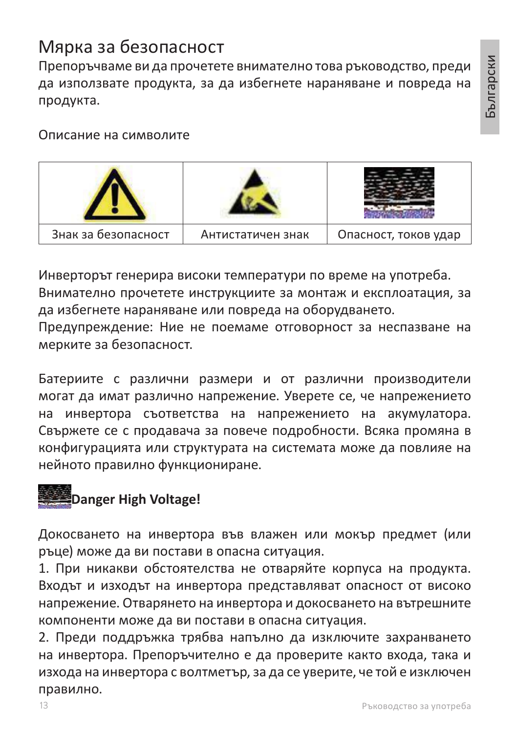### Мярка за безопасност

Препоръчваме ви да прочетете внимателно това ръководство, преди да използвате продукта, за да избегнете нараняване и повреда на продукта.

Описание на символите



Инверторът генерира високи температури по време на употреба. Внимателно прочетете инструкциите за монтаж и експлоатация, за да избегнете нараняване или повреда на оборудването.

Предупреждение: Ние не поемаме отговорност за неспазване на мерките за безопасност.

Батериите с различни размери и от различни производители могат да имат различно напрежение. Уверете се, че напрежението на инвертора съответства на напрежението на акумулатора. Свържете се с продавача за повече подробности. Всяка промяна в конфигурацията или структурата на системата може да повлияе на нейното правилно функциониране.

### **Danger High Voltage!**

Докосването на инвертора във влажен или мокър предмет (или ръце) може да ви постави в опасна ситуация.

1. При никакви обстоятелства не отваряйте корпуса на продукта. Входът и изходът на инвертора представляват опасност от високо напрежение. Отварянето на инвертора и докосването на вътрешните компоненти може да ви постави в опасна ситуация.

2. Преди поддръжка трябва напълно да изключите захранването на инвертора. Препоръчително е да проверите както входа, така и изхода на инвертора с волтметър, за да се уверите, че той е изключен правилно.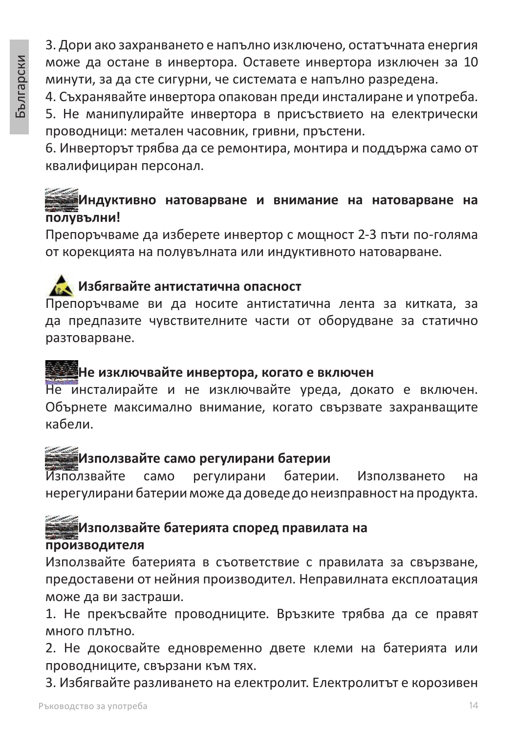3. Дори ако захранването е напълно изключено, остатъчната енергия може да остане в инвертора. Оставете инвертора изключен за 10 минути, за да сте сигурни, че системата е напълно разредена.

4. Съхранявайте инвертора опакован преди инсталиране и употреба.

5. Не манипулирайте инвертора в присъствието на електрически проводници: метален часовник, гривни, пръстени.

6. Инверторът трябва да се ремонтира, монтира и поддържа само от квалифициран персонал.

#### **Индуктивно натоварване и внимание на натоварване на полувълни!**

Препоръчваме да изберете инвертор с мощност 2-3 пъти по-голяма от корекцията на полувълната или индуктивното натоварване.

### **Избягвайте антистатична опасност**

Препоръчваме ви да носите антистатична лента за китката, за да предпазите чувствителните части от оборудване за статично разтоварване.

### **- 1998)** Не изключвайте инвертора, когато е включен

Не инсталирайте и не изключвайте уреда, докато е включен. Обърнете максимално внимание, когато свързвате захранващите кабели.

### **Използвайте само регулирани батерии**

Използвайте само регулирани батерии. Използването на нерегулирани батерии може да доведе до неизправност на продукта.

### **Използвайте батерията според правилата на производителя**

Използвайте батерията в съответствие с правилата за свързване, предоставени от нейния производител. Неправилната експлоатация може да ви застраши.

1. Не прекъсвайте проводниците. Връзките трябва да се правят много плътно.

2. Не докосвайте едновременно двете клеми на батерията или проводниците, свързани към тях.

3. Избягвайте разливането на електролит. Електролитът е корозивен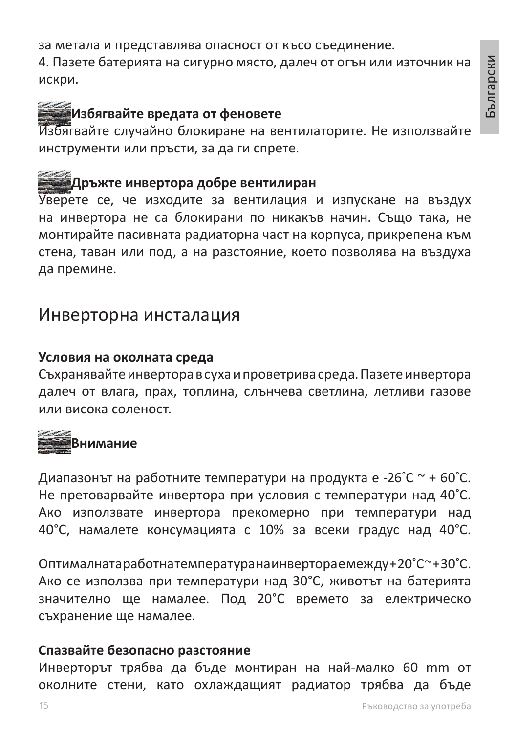за метала и представлява опасност от късо съединение.

4. Пазете батерията на сигурно място, далеч от огън или източник на искри.

#### **Избягвайте вредата от феновете**

Избягвайте случайно блокиране на вентилаторите. Не използвайте инструменти или пръсти, за да ги спрете.

#### **Дръжте инвертора добре вентилиран**

Уверете се, че изходите за вентилация и изпускане на въздух на инвертора не са блокирани по никакъв начин. Също така, не монтирайте пасивната радиаторна част на корпуса, прикрепена към стена, таван или под, а на разстояние, което позволява на въздуха да премине.

#### Инверторна инсталация

#### **Условия на околната среда**

Съхранявайте инвертора в суха и проветрива среда. Пазете инвертора далеч от влага, прах, топлина, слънчева светлина, летливи газове или висока соленост.

### **Внимание**

Диапазонът на работните температури на продукта е -26˚C ~ + 60˚C. Не претоварвайте инвертора при условия с температури над 40˚C. Ако използвате инвертора прекомерно при температури над 40°C, намалете консумацията с 10% за всеки градус над 40°C.

Оптималната работна температура на инвертора е между + 20˚C ~ + 30˚C. Ако се използва при температури над 30°C, животът на батерията значително ще намалее. Под 20°C времето за електрическо съхранение ще намалее.

#### **Спазвайте безопасно разстояние**

Инверторът трябва да бъде монтиран на най-малко 60 mm от околните стени, като охлаждащият радиатор трябва да бъде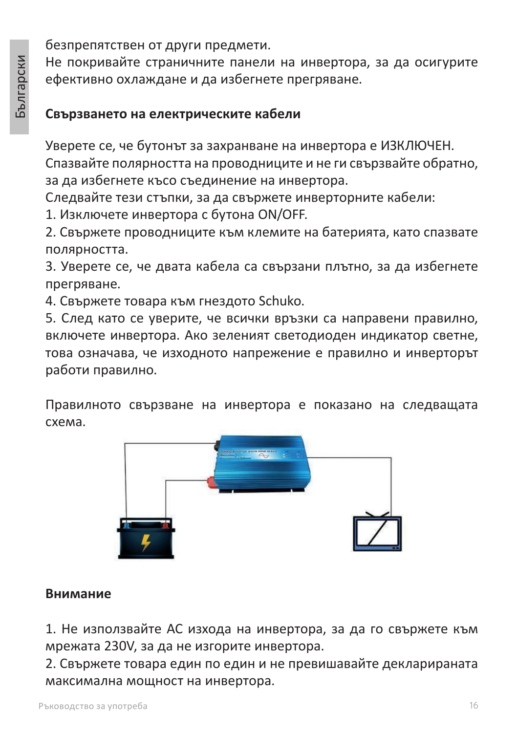безпрепятствен от други предмети.

Не покривайте страничните панели на инвертора, за да осигурите ефективно охлаждане и да избегнете прегряване.

#### **Свързването на електрическите кабели**

Уверете се, че бутонът за захранване на инвертора е ИЗКЛЮЧЕН.

Спазвайте полярността на проводниците и не ги свързвайте обратно, за да избегнете късо съединение на инвертора.

Следвайте тези стъпки, за да свържете инверторните кабели:

1. Изключете инвертора с бутона ON/OFF.

2. Свържете проводниците към клемите на батерията, като спазвате полярността.

3. Уверете се, че двата кабела са свързани плътно, за да избегнете прегряване.

4. Свържете товара към гнездото Schuko.

5. След като се уверите, че всички връзки са направени правилно, включете инвертора. Ако зеленият светодиоден индикатор светне, това означава, че изходното напрежение е правилно и инверторът работи правилно.

Правилното свързване на инвертора е показано на следващата схема.



#### **Внимание**

1. Не използвайте AC изхода на инвертора, за да го свържете към мрежата 230V, за да не изгорите инвертора.

2. Свържете товара един по един и не превишавайте декларираната максимална мощност на инвертора.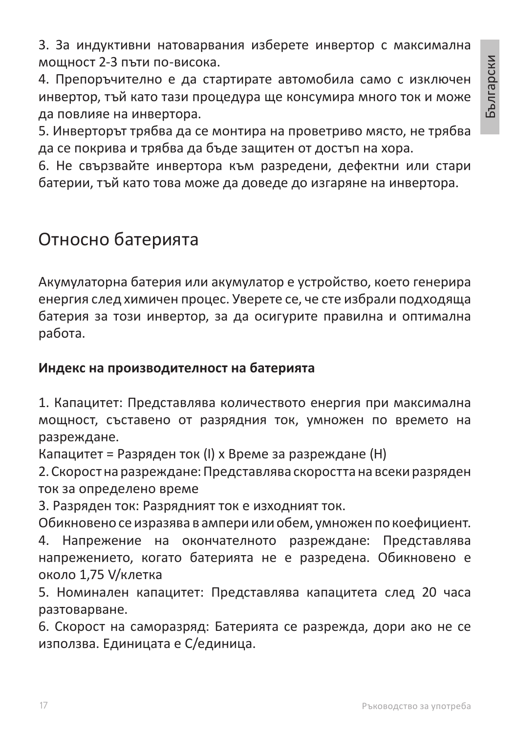3. За индуктивни натоварвания изберете инвертор с максимална мощност 2-3 пъти по-висока.

4. Препоръчително е да стартирате автомобила само с изключен инвертор, тъй като тази процедура ще консумира много ток и може да повлияе на инвертора.

5. Инверторът трябва да се монтира на проветриво място, не трябва да се покрива и трябва да бъде защитен от достъп на хора.

6. Не свързвайте инвертора към разредени, дефектни или стари батерии, тъй като това може да доведе до изгаряне на инвертора.

### Относно батерията

Акумулаторна батерия или акумулатор е устройство, което генерира енергия след химичен процес. Уверете се, че сте избрали подходяща батерия за този инвертор, за да осигурите правилна и оптимална работа.

#### **Индекс на производителност на батерията**

1. Капацитет: Представлява количеството енергия при максимална мощност, съставено от разрядния ток, умножен по времето на разреждане.

Капацитет = Разряден ток (I) x Време за разреждане (H)

2. Скорост на разреждане: Представлява скоростта на всеки разряден ток за определено време

3. Разряден ток: Разрядният ток е изходният ток.

Обикновено се изразява в ампери или обем, умножен по коефициент. 4. Напрежение на окончателното разреждане: Представлява напрежението, когато батерията не е разредена. Обикновено е около 1,75 V/клетка

5. Номинален капацитет: Представлява капацитета след 20 часа разтоварване.

6. Скорост на саморазряд: Батерията се разрежда, дори ако не се използва. Единицата е C/единица.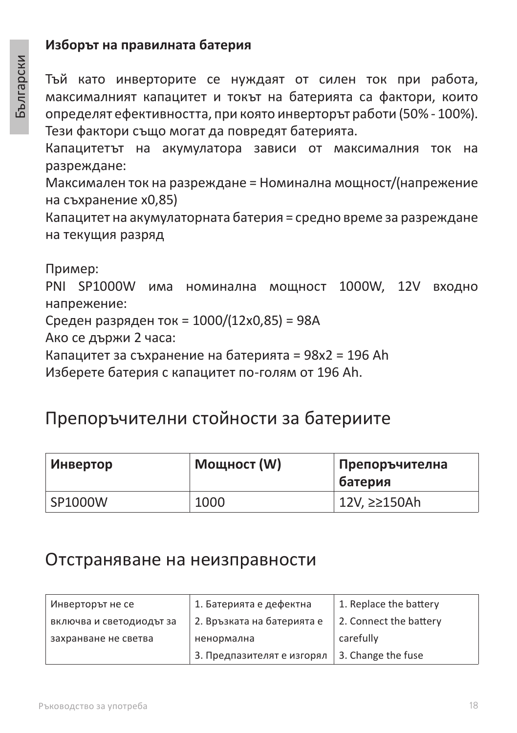#### **Изборът на правилната батерия**

Тъй като инверторите се нуждаят от силен ток при работа, максималният капацитет и токът на батерията са фактори, които определят ефективността, при която инверторът работи (50% - 100%). Тези фактори също могат да повредят батерията.

Капацитетът на акумулатора зависи от максималния ток на разреждане:

Максимален ток на разреждане = Номинална мощност/(напрежение на съхранение x0,85)

Капацитет на акумулаторната батерия = средно време за разреждане на текущия разряд

Пример:

PNI SP1000W има номинална мощност 1000W, 12V входно напрежение:

Среден разряден ток = 1000/(12x0,85) = 98A

Ако се държи 2 часа:

Капацитет за съхранение на батерията = 98x2 = 196 Ah

Изберете батерия с капацитет по-голям от 196 Ah.

### Препоръчителни стойности за батериите

| Инвертор | Мощност (W) | Препоръчителна<br><b>батерия</b> |
|----------|-------------|----------------------------------|
| SP1000W  | 1000        | 12V, ≥≥150Ah                     |

#### Отстраняване на неизправности

| Инверторът не се         | 1. Батерията е дефектна    | 1. Replace the battery |
|--------------------------|----------------------------|------------------------|
| включва и светодиодът за | 2. Връзката на батерията е | 2. Connect the battery |
| захранване не светва     | ненормална                 | carefully              |
|                          | 3. Предпазителят е изгорял | 3. Change the fuse     |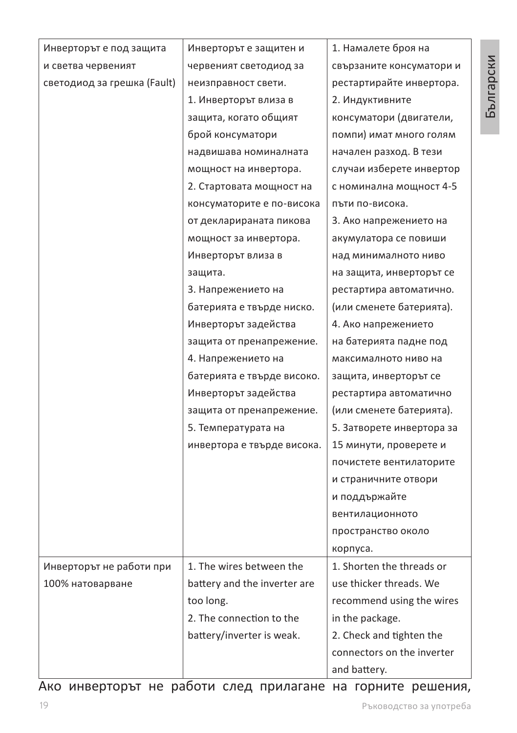| Инверторът е под защита     | Инверторът е защитен и       | 1. Намалете броя на        |
|-----------------------------|------------------------------|----------------------------|
| и светва червеният          | червеният светодиод за       | свързаните консуматори и   |
| светодиод за грешка (Fault) | неизправност свети.          | рестартирайте инвертора.   |
|                             | 1. Инверторът влиза в        | 2. Индуктивните            |
|                             | защита, когато общият        | консуматори (двигатели,    |
|                             | брой консуматори             | помпи) имат много голям    |
|                             | надвишава номиналната        | начален разход. В тези     |
|                             | мощност на инвертора.        | случаи изберете инвертор   |
|                             | 2. Стартовата мощност на     | с номинална мощност 4-5    |
|                             | консуматорите е по-висока    | пъти по-висока.            |
|                             | от декларираната пикова      | 3. Ако напрежението на     |
|                             | мощност за инвертора.        | акумулатора се повиши      |
|                             | Инверторът влиза в           | над минималното ниво       |
|                             | защита.                      | на защита, инверторът се   |
|                             | 3. Напрежението на           | рестартира автоматично.    |
|                             | батерията е твърде ниско.    | (или сменете батерията).   |
|                             | Инверторът задейства         | 4. Ако напрежението        |
|                             | защита от пренапрежение.     | на батерията падне под     |
|                             | 4. Напрежението на           | максималното ниво на       |
|                             | батерията е твърде високо.   | защита, инверторът се      |
|                             | Инверторът задейства         | рестартира автоматично     |
|                             | защита от пренапрежение.     | (или сменете батерията).   |
|                             | 5. Температурата на          | 5. Затворете инвертора за  |
|                             | инвертора е твърде висока.   | 15 минути, проверете и     |
|                             |                              | почистете вентилаторите    |
|                             |                              | и страничните отвори       |
|                             |                              | и поддържайте              |
|                             |                              | вентилационното            |
|                             |                              | пространство около         |
|                             |                              | корпуса.                   |
| Инверторът не работи при    | 1. The wires between the     | 1. Shorten the threads or  |
| 100% натоварване            | battery and the inverter are | use thicker threads. We    |
|                             | too long.                    | recommend using the wires  |
|                             | 2. The connection to the     | in the package.            |
|                             | battery/inverter is weak.    | 2. Check and tighten the   |
|                             |                              | connectors on the inverter |
|                             |                              | and battery.               |

Ако инверторът не работи след прилагане на горните решения,

Български

Български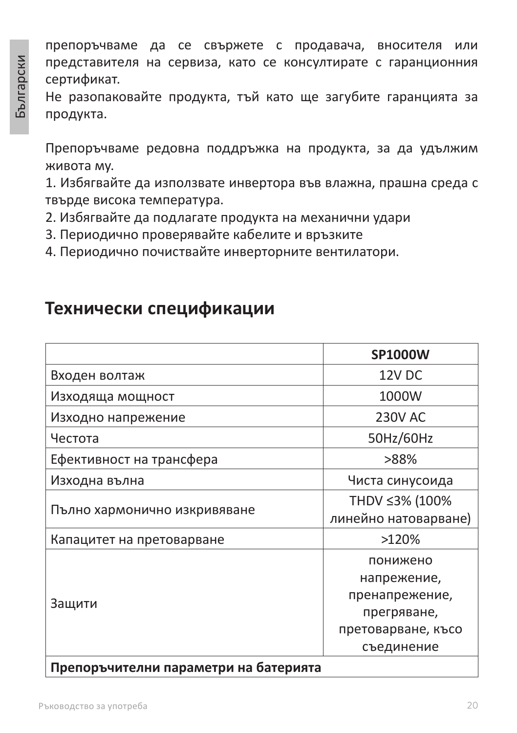препоръчваме да се свържете с продавача, вносителя или представителя на сервиза, като се консултирате с гаранционния сертификат.

Не разопаковайте продукта, тъй като ще загубите гаранцията за продукта.

Препоръчваме редовна поддръжка на продукта, за да удължим живота му.

1. Избягвайте да използвате инвертора във влажна, прашна среда с твърде висока температура.

- 2. Избягвайте да подлагате продукта на механични удари
- 3. Периодично проверявайте кабелите и връзките
- 4. Периодично почиствайте инверторните вентилатори.

### **Технически спецификации**

|                                       | <b>SP1000W</b>       |
|---------------------------------------|----------------------|
| Входен волтаж                         | 12V DC               |
| Изходяща мощност                      | 1000W                |
| Изходно напрежение                    | <b>230V AC</b>       |
| Честота                               | 50Hz/60Hz            |
| Ефективност на трансфера              | >88%                 |
| Изходна вълна                         | Чиста синусоида      |
|                                       | THDV ≤3% (100%       |
| Пълно хармонично изкривяване          | линейно натоварване) |
| Капацитет на претоварване             | >120%                |
|                                       | понижено             |
|                                       | напрежение,          |
|                                       | пренапрежение,       |
| Защити                                | прегряване,          |
|                                       | претоварване, късо   |
|                                       | съединение           |
| Препоръчителни параметри на батерията |                      |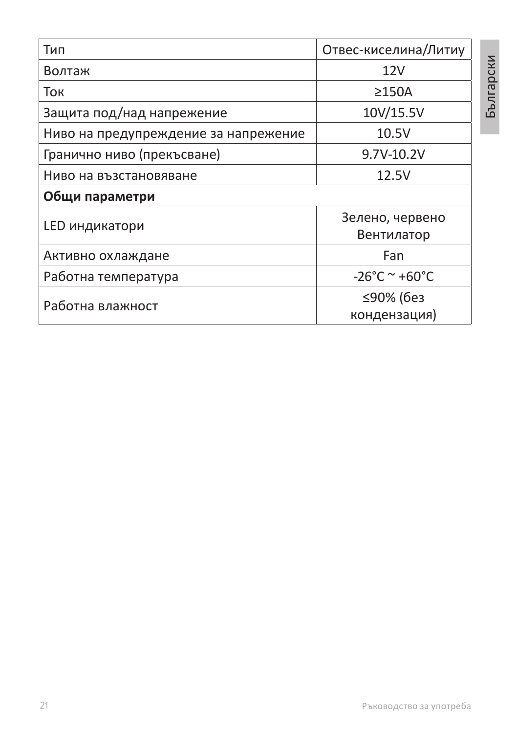| Тип                                  | Отвес-киселина/Литиу               |  |
|--------------------------------------|------------------------------------|--|
| Волтаж                               | 12V                                |  |
| Ток                                  | $\geq$ 150A                        |  |
| Защита под/над напрежение            | 10V/15.5V                          |  |
| Ниво на предупреждение за напрежение | 10.5V                              |  |
| Гранично ниво (прекъсване)           | 9.7V-10.2V                         |  |
| Ниво на възстановяване               | 12.5V                              |  |
| Общи параметри                       |                                    |  |
| LED индикатори                       | Зелено, червено<br>Вентилатор      |  |
| Активно охлаждане                    | Fan                                |  |
| Работна температура                  | $-26^{\circ}$ C ~ +60 $^{\circ}$ C |  |
| Работна влажност                     | ≤90% (без<br>кондензация)          |  |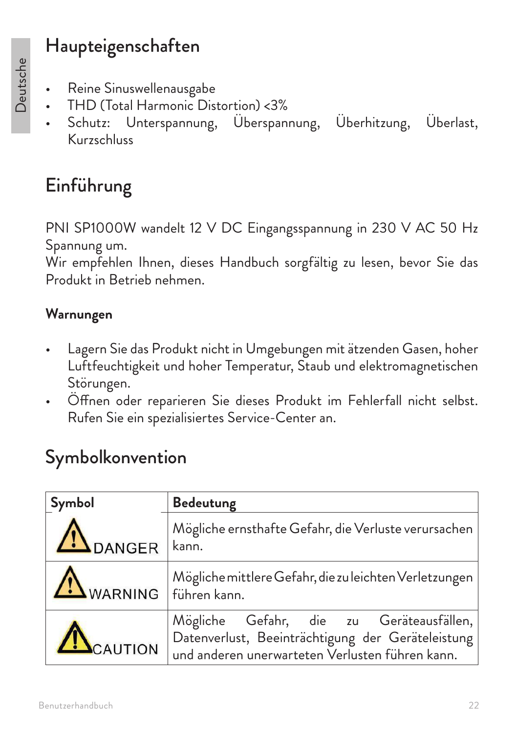### Haupteigenschaften

- Deutsche
- Reine Sinuswellenausgabe
- THD (Total Harmonic Distortion) <3%
- Schutz: Unterspannung, Überspannung, Überhitzung, Überlast, Kurzschluss

### Einführung

PNI SP1000W wandelt 12 V DC Eingangsspannung in 230 V AC 50 Hz Spannung um.

Wir empfehlen Ihnen, dieses Handbuch sorgfältig zu lesen, bevor Sie das Produkt in Betrieb nehmen.

### **Warnungen**

- Lagern Sie das Produkt nicht in Umgebungen mit ätzenden Gasen, hoher Luftfeuchtigkeit und hoher Temperatur, Staub und elektromagnetischen Störungen.
- Öffnen oder reparieren Sie dieses Produkt im Fehlerfall nicht selbst. Rufen Sie ein spezialisiertes Service-Center an.

### Symbolkonvention

| Symbol               | <b>Bedeutung</b>                                                                                                                                 |
|----------------------|--------------------------------------------------------------------------------------------------------------------------------------------------|
| <b>ADANGER</b>       | Mögliche ernsthafte Gefahr, die Verluste verursachen<br>kann.                                                                                    |
| WARNING Führen kann. | Mögliche mittlere Gefahr, die zu leichten Verletzungen                                                                                           |
| ACAUTION             | Mögliche Gefahr, die zu Geräteausfällen,<br>Datenverlust, Beeinträchtigung der Geräteleistung<br>und anderen unerwarteten Verlusten führen kann. |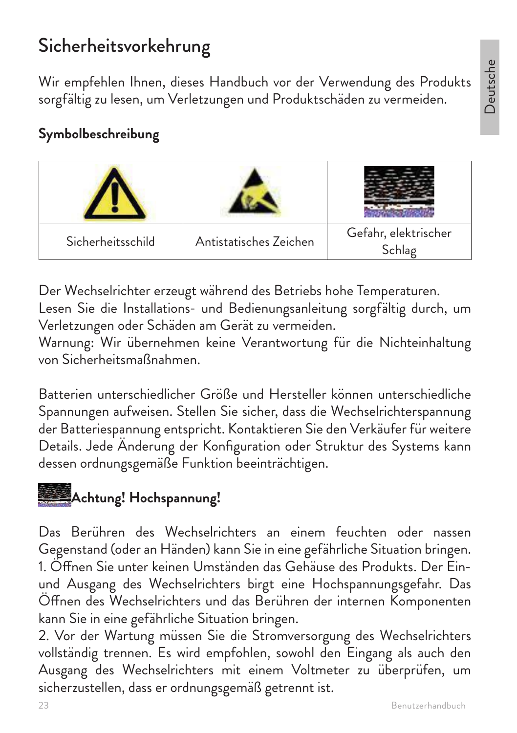Deutsche

### Sicherheitsvorkehrung

Wir empfehlen Ihnen, dieses Handbuch vor der Verwendung des Produkts sorgfältig zu lesen, um Verletzungen und Produktschäden zu vermeiden.

### **Symbolbeschreibung**

| Sicherheitsschild | Antistatisches Zeichen | Gefahr, elektrischer<br>Schlag |
|-------------------|------------------------|--------------------------------|

Der Wechselrichter erzeugt während des Betriebs hohe Temperaturen. Lesen Sie die Installations- und Bedienungsanleitung sorgfältig durch, um Verletzungen oder Schäden am Gerät zu vermeiden.

Warnung: Wir übernehmen keine Verantwortung für die Nichteinhaltung von Sicherheitsmaßnahmen.

Batterien unterschiedlicher Größe und Hersteller können unterschiedliche Spannungen aufweisen. Stellen Sie sicher, dass die Wechselrichterspannung der Batteriespannung entspricht. Kontaktieren Sie den Verkäufer für weitere Details. Jede Änderung der Konfiguration oder Struktur des Systems kann dessen ordnungsgemäße Funktion beeinträchtigen.

### **Achtung! Hochspannung!**

Das Berühren des Wechselrichters an einem feuchten oder nassen Gegenstand (oder an Händen) kann Sie in eine gefährliche Situation bringen. 1. Öffnen Sie unter keinen Umständen das Gehäuse des Produkts. Der Einund Ausgang des Wechselrichters birgt eine Hochspannungsgefahr. Das Öffnen des Wechselrichters und das Berühren der internen Komponenten kann Sie in eine gefährliche Situation bringen.

2. Vor der Wartung müssen Sie die Stromversorgung des Wechselrichters vollständig trennen. Es wird empfohlen, sowohl den Eingang als auch den Ausgang des Wechselrichters mit einem Voltmeter zu überprüfen, um sicherzustellen, dass er ordnungsgemäß getrennt ist.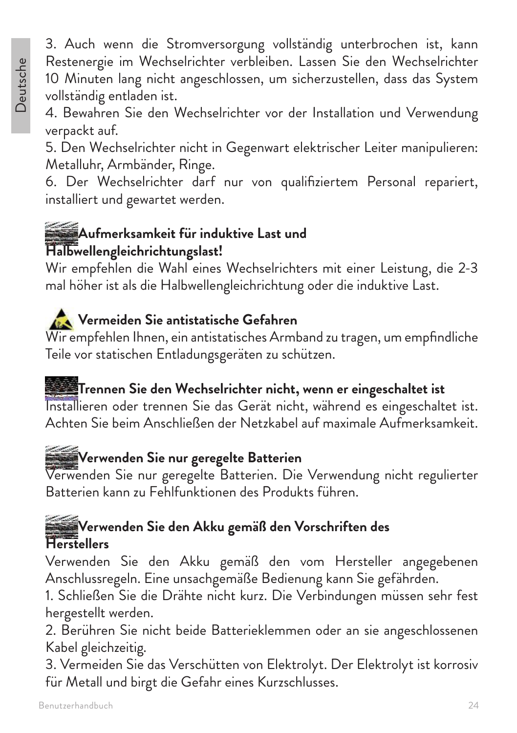3. Auch wenn die Stromversorgung vollständig unterbrochen ist, kann Restenergie im Wechselrichter verbleiben. Lassen Sie den Wechselrichter 10 Minuten lang nicht angeschlossen, um sicherzustellen, dass das System vollständig entladen ist.

4. Bewahren Sie den Wechselrichter vor der Installation und Verwendung verpackt auf.

5. Den Wechselrichter nicht in Gegenwart elektrischer Leiter manipulieren: Metalluhr, Armbänder, Ringe.

6. Der Wechselrichter darf nur von qualifiziertem Personal repariert, installiert und gewartet werden.

### **Aufmerksamkeit für induktive Last und Halbwellengleichrichtungslast!**

Wir empfehlen die Wahl eines Wechselrichters mit einer Leistung, die 2-3 mal höher ist als die Halbwellengleichrichtung oder die induktive Last.

### **Vermeiden Sie antistatische Gefahren**

Wir empfehlen Ihnen, ein antistatisches Armband zu tragen, um empfindliche Teile vor statischen Entladungsgeräten zu schützen.

## **Trennen Sie den Wechselrichter nicht, wenn er eingeschaltet ist**

Installieren oder trennen Sie das Gerät nicht, während es eingeschaltet ist. Achten Sie beim Anschließen der Netzkabel auf maximale Aufmerksamkeit.

### **Verwenden Sie nur geregelte Batterien**

Verwenden Sie nur geregelte Batterien. Die Verwendung nicht regulierter Batterien kann zu Fehlfunktionen des Produkts führen.

### **Verwenden Sie den Akku gemäß den Vorschriften des Herstellers**

Verwenden Sie den Akku gemäß den vom Hersteller angegebenen Anschlussregeln. Eine unsachgemäße Bedienung kann Sie gefährden.

1. Schließen Sie die Drähte nicht kurz. Die Verbindungen müssen sehr fest hergestellt werden.

2. Berühren Sie nicht beide Batterieklemmen oder an sie angeschlossenen Kabel gleichzeitig.

3. Vermeiden Sie das Verschütten von Elektrolyt. Der Elektrolyt ist korrosiv für Metall und birgt die Gefahr eines Kurzschlusses.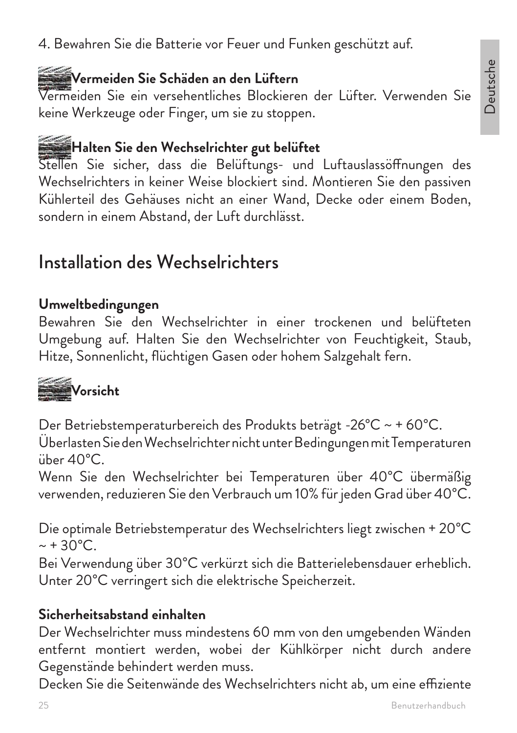#### 4. Bewahren Sie die Batterie vor Feuer und Funken geschützt auf.

### **Vermeiden Sie Schäden an den Lüftern**

Vermeiden Sie ein versehentliches Blockieren der Lüfter. Verwenden Sie keine Werkzeuge oder Finger, um sie zu stoppen.

### **Halten Sie den Wechselrichter gut belüftet**

Stellen Sie sicher, dass die Belüftungs- und Luftauslassöffnungen des Wechselrichters in keiner Weise blockiert sind. Montieren Sie den passiven Kühlerteil des Gehäuses nicht an einer Wand, Decke oder einem Boden, sondern in einem Abstand, der Luft durchlässt.

### Installation des Wechselrichters

#### **Umweltbedingungen**

Bewahren Sie den Wechselrichter in einer trockenen und belüfteten Umgebung auf. Halten Sie den Wechselrichter von Feuchtigkeit, Staub, Hitze, Sonnenlicht, flüchtigen Gasen oder hohem Salzgehalt fern.



Der Betriebstemperaturbereich des Produkts beträgt -26°C ~ + 60°C. Überlasten Sie den Wechselrichter nicht unter Bedingungen mit Temperaturen über 40°C.

Wenn Sie den Wechselrichter bei Temperaturen über 40°C übermäßig verwenden, reduzieren Sie den Verbrauch um 10% für jeden Grad über 40°C.

Die optimale Betriebstemperatur des Wechselrichters liegt zwischen + 20°C  $\sim +30^{\circ}$ C.

Bei Verwendung über 30°C verkürzt sich die Batterielebensdauer erheblich. Unter 20°C verringert sich die elektrische Speicherzeit.

#### **Sicherheitsabstand einhalten**

Der Wechselrichter muss mindestens 60 mm von den umgebenden Wänden entfernt montiert werden, wobei der Kühlkörper nicht durch andere Gegenstände behindert werden muss.

Decken Sie die Seitenwände des Wechselrichters nicht ab, um eine effiziente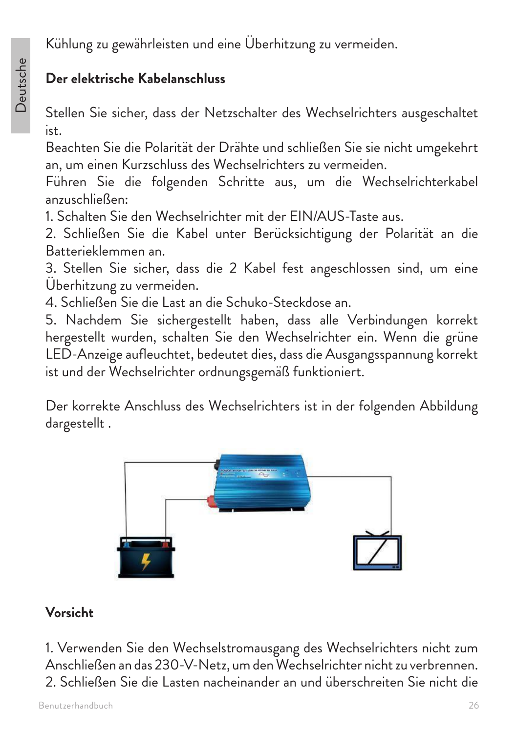### **Der elektrische Kabelanschluss**

Stellen Sie sicher, dass der Netzschalter des Wechselrichters ausgeschaltet ist.

Beachten Sie die Polarität der Drähte und schließen Sie sie nicht umgekehrt an, um einen Kurzschluss des Wechselrichters zu vermeiden.

Führen Sie die folgenden Schritte aus, um die Wechselrichterkabel anzuschließen:

1. Schalten Sie den Wechselrichter mit der EIN/AUS-Taste aus.

2. Schließen Sie die Kabel unter Berücksichtigung der Polarität an die Batterieklemmen an.

3. Stellen Sie sicher, dass die 2 Kabel fest angeschlossen sind, um eine Überhitzung zu vermeiden.

4. Schließen Sie die Last an die Schuko-Steckdose an.

5. Nachdem Sie sichergestellt haben, dass alle Verbindungen korrekt hergestellt wurden, schalten Sie den Wechselrichter ein. Wenn die grüne LED-Anzeige aufleuchtet, bedeutet dies, dass die Ausgangsspannung korrekt ist und der Wechselrichter ordnungsgemäß funktioniert.

Der korrekte Anschluss des Wechselrichters ist in der folgenden Abbildung dargestellt .



#### **Vorsicht**

1. Verwenden Sie den Wechselstromausgang des Wechselrichters nicht zum Anschließen an das 230-V-Netz, um den Wechselrichter nicht zu verbrennen. 2. Schließen Sie die Lasten nacheinander an und überschreiten Sie nicht die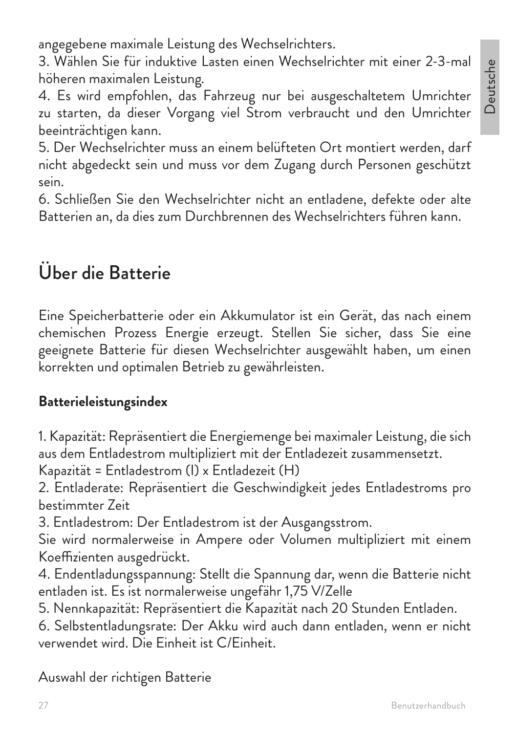angegebene maximale Leistung des Wechselrichters.

3. Wählen Sie für induktive Lasten einen Wechselrichter mit einer 2-3-mal höheren maximalen Leistung.

4. Es wird empfohlen, das Fahrzeug nur bei ausgeschaltetem Umrichter zu starten, da dieser Vorgang viel Strom verbraucht und den Umrichter beeinträchtigen kann.

5. Der Wechselrichter muss an einem belüfteten Ort montiert werden, darf nicht abgedeckt sein und muss vor dem Zugang durch Personen geschützt sein.

6. Schließen Sie den Wechselrichter nicht an entladene, defekte oder alte Batterien an, da dies zum Durchbrennen des Wechselrichters führen kann.

### Über die Batterie

Eine Speicherbatterie oder ein Akkumulator ist ein Gerät, das nach einem chemischen Prozess Energie erzeugt. Stellen Sie sicher, dass Sie eine geeignete Batterie für diesen Wechselrichter ausgewählt haben, um einen korrekten und optimalen Betrieb zu gewährleisten.

#### **Batterieleistungsindex**

1. Kapazität: Repräsentiert die Energiemenge bei maximaler Leistung, die sich aus dem Entladestrom multipliziert mit der Entladezeit zusammensetzt.

Kapazität = Entladestrom (I) x Entladezeit (H)

2. Entladerate: Repräsentiert die Geschwindigkeit jedes Entladestroms pro bestimmter Zeit

3. Entladestrom: Der Entladestrom ist der Ausgangsstrom.

Sie wird normalerweise in Ampere oder Volumen multipliziert mit einem Koeffizienten ausgedrückt.

4. Endentladungsspannung: Stellt die Spannung dar, wenn die Batterie nicht entladen ist. Es ist normalerweise ungefähr 1,75 V/Zelle

5. Nennkapazität: Repräsentiert die Kapazität nach 20 Stunden Entladen.

6. Selbstentladungsrate: Der Akku wird auch dann entladen, wenn er nicht verwendet wird. Die Einheit ist C/Einheit.

#### Auswahl der richtigen Batterie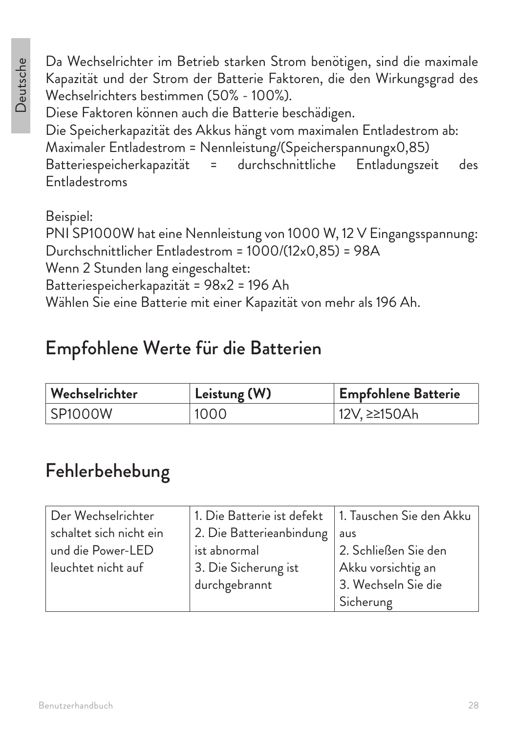Da Wechselrichter im Betrieb starken Strom benötigen, sind die maximale Kapazität und der Strom der Batterie Faktoren, die den Wirkungsgrad des Wechselrichters bestimmen (50% - 100%).

Diese Faktoren können auch die Batterie beschädigen.

Die Speicherkapazität des Akkus hängt vom maximalen Entladestrom ab: Maximaler Entladestrom = Nennleistung/(Speicherspannungx0,85) Batteriespeicherkapazität = durchschnittliche Entladungszeit des Entladestroms

Beispiel:

PNI SP1000W hat eine Nennleistung von 1000 W, 12 V Eingangsspannung: Durchschnittlicher Entladestrom = 1000/(12x0,85) = 98A Wenn 2 Stunden lang eingeschaltet: Batteriespeicherkapazität = 98x2 = 196 Ah Wählen Sie eine Batterie mit einer Kapazität von mehr als 196 Ah.

### Empfohlene Werte für die Batterien

| $\mid$ Wechselrichter | Leistung (W) | <b>Empfohlene Batterie</b> |
|-----------------------|--------------|----------------------------|
| SP1000W               | 1000         | 12V, ≥≥150Ah               |

### Fehlerbehebung

| Der Wechselrichter      | 1. Die Batterie ist defekt | 1. Tauschen Sie den Akku |
|-------------------------|----------------------------|--------------------------|
| schaltet sich nicht ein | 2. Die Batterieanbindung   | aus                      |
| und die Power-LED       | ist abnormal               | 2. Schließen Sie den     |
| leuchtet nicht auf      | 3. Die Sicherung ist       | Akku vorsichtig an       |
|                         | durchgebrannt              | 3. Wechseln Sie die      |
|                         |                            | Sicherung                |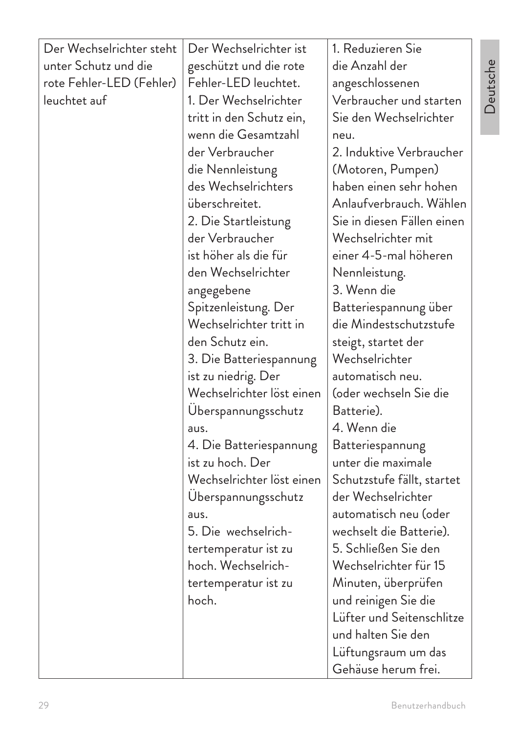| Der Wechselrichter steht | Der Wechselrichter ist    | 1. Reduzieren Sie          |
|--------------------------|---------------------------|----------------------------|
| unter Schutz und die     | geschützt und die rote    | die Anzahl der             |
| rote Fehler-LED (Fehler) | Fehler-LED leuchtet.      | angeschlossenen            |
| leuchtet auf             | 1. Der Wechselrichter     | Verbraucher und starten    |
|                          | tritt in den Schutz ein,  | Sie den Wechselrichter     |
|                          | wenn die Gesamtzahl       | neu.                       |
|                          | der Verbraucher           | 2. Induktive Verbraucher   |
|                          | die Nennleistung          | (Motoren, Pumpen)          |
|                          | des Wechselrichters       | haben einen sehr hohen     |
|                          | überschreitet.            | Anlaufverbrauch. Wählen    |
|                          | 2. Die Startleistung      | Sie in diesen Fällen einen |
|                          | der Verbraucher           | Wechselrichter mit         |
|                          | ist höher als die für     | einer 4-5-mal höheren      |
|                          | den Wechselrichter        | Nennleistung.              |
|                          | angegebene                | 3. Wenn die                |
|                          | Spitzenleistung. Der      | Batteriespannung über      |
|                          | Wechselrichter tritt in   | die Mindestschutzstufe     |
|                          | den Schutz ein.           | steigt, startet der        |
|                          | 3. Die Batteriespannung   | Wechselrichter             |
|                          | ist zu niedrig. Der       | automatisch neu.           |
|                          | Wechselrichter löst einen | (oder wechseln Sie die     |
|                          | Uberspannungsschutz       | Batterie).                 |
|                          | aus.                      | 4. Wenn die                |
|                          | 4. Die Batteriespannung   | Batteriespannung           |
|                          | ist zu hoch. Der          | unter die maximale         |
|                          | Wechselrichter löst einen | Schutzstufe fällt, startet |
|                          | Uberspannungsschutz       | der Wechselrichter         |
|                          | aus.                      | automatisch neu (oder      |
|                          | 5. Die wechselrich-       | wechselt die Batterie).    |
|                          | tertemperatur ist zu      | 5. Schließen Sie den       |
|                          | hoch. Wechselrich-        | Wechselrichter für 15      |
|                          | tertemperatur ist zu      | Minuten, überprüfen        |
|                          | hoch.                     | und reinigen Sie die       |
|                          |                           | Lüfter und Seitenschlitze  |
|                          |                           | und halten Sie den         |
|                          |                           | Lüftungsraum um das        |
|                          |                           | Gehäuse herum frei.        |

Benutzerhandbuch

Deutsche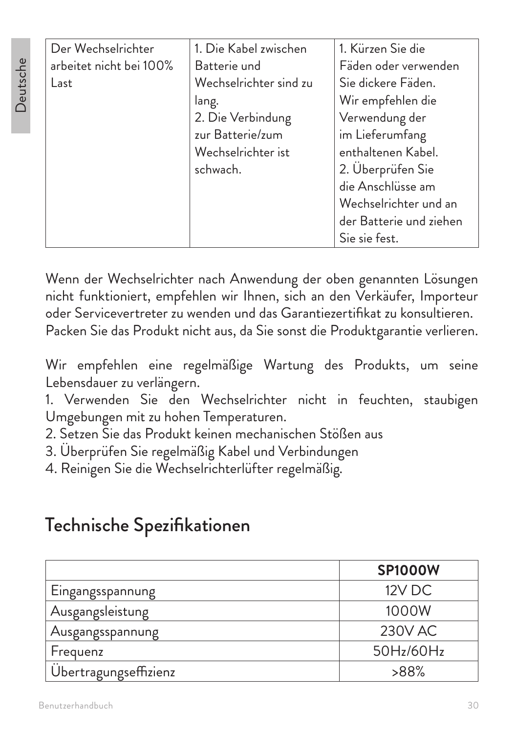| 1. Die Kabel zwischen  | 1. Kürzen Sie die       |
|------------------------|-------------------------|
| Batterie und           | Fäden oder verwenden    |
| Wechselrichter sind zu | Sie dickere Fäden.      |
| lang.                  | Wir empfehlen die       |
| 2. Die Verbindung      | Verwendung der          |
| zur Batterie/zum       | im Lieferumfang         |
| Wechselrichter ist     | enthaltenen Kabel.      |
| schwach.               | 2. Uberprüfen Sie       |
|                        | die Anschlüsse am       |
|                        | Wechselrichter und an   |
|                        | der Batterie und ziehen |
|                        | Sie sie fest.           |
|                        |                         |

Wenn der Wechselrichter nach Anwendung der oben genannten Lösungen nicht funktioniert, empfehlen wir Ihnen, sich an den Verkäufer, Importeur oder Servicevertreter zu wenden und das Garantiezertifikat zu konsultieren. Packen Sie das Produkt nicht aus, da Sie sonst die Produktgarantie verlieren.

Wir empfehlen eine regelmäßige Wartung des Produkts, um seine Lebensdauer zu verlängern.

1. Verwenden Sie den Wechselrichter nicht in feuchten, staubigen Umgebungen mit zu hohen Temperaturen.

- 2. Setzen Sie das Produkt keinen mechanischen Stößen aus
- 3. Überprüfen Sie regelmäßig Kabel und Verbindungen

4. Reinigen Sie die Wechselrichterlüfter regelmäßig.

### Technische Spezifikationen

|                       | <b>SP1000W</b> |
|-----------------------|----------------|
| Eingangsspannung      | 12V DC         |
| Ausgangsleistung      | 1000W          |
| Ausgangsspannung      | 230V AC        |
| Frequenz              | 50Hz/60Hz      |
| Übertragungseffizienz | $>88\%$        |

Deutsche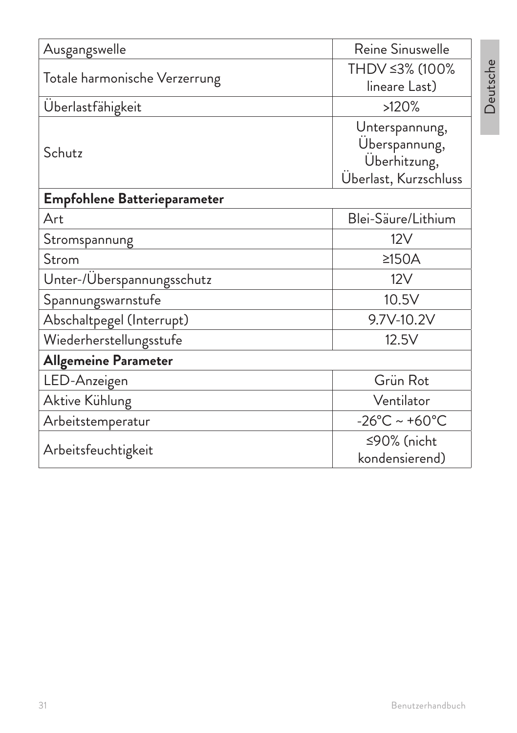| Ausgangswelle                 | Reine Sinuswelle                                                         |  |
|-------------------------------|--------------------------------------------------------------------------|--|
| Totale harmonische Verzerrung | THDV ≤3% (100%<br>lineare Last)                                          |  |
| Überlastfähigkeit             | >120%                                                                    |  |
| Schutz                        | Unterspannung,<br>Überspannung,<br>Überhitzung,<br>Überlast, Kurzschluss |  |
| Empfohlene Batterieparameter  |                                                                          |  |
| Art                           | Blei-Säure/Lithium                                                       |  |
| Stromspannung                 | 12V                                                                      |  |
| Strom                         | $≥150A$                                                                  |  |
| Unter-/Überspannungsschutz    | 12V                                                                      |  |
| Spannungswarnstufe            | 10.5V                                                                    |  |
| Abschaltpegel (Interrupt)     | 9.7V-10.2V                                                               |  |
| Wiederherstellungsstufe       | 12.5V                                                                    |  |
| <b>Allgemeine Parameter</b>   |                                                                          |  |
| LED-Anzeigen                  | Grün Rot                                                                 |  |
| Aktive Kühlung                | Ventilator                                                               |  |
| Arbeitstemperatur             | $-26^{\circ}$ C ~ +60 $^{\circ}$ C                                       |  |
| Arbeitsfeuchtigkeit           | ≤90% (nicht<br>kondensierend)                                            |  |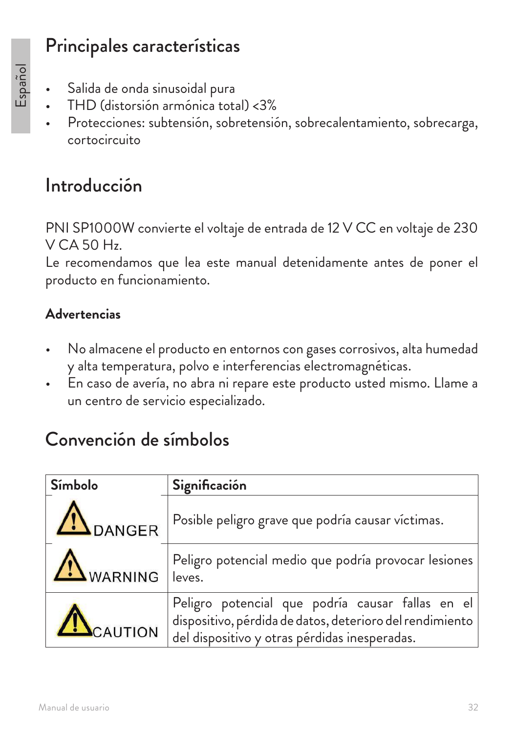### Principales características

- Salida de onda sinusoidal pura
- THD (distorsión armónica total) <3%
- Protecciones: subtensión, sobretensión, sobrecalentamiento, sobrecarga, cortocircuito

### Introducción

PNI SP1000W convierte el voltaje de entrada de 12 V CC en voltaje de 230 V CA 50 Hz.

Le recomendamos que lea este manual detenidamente antes de poner el producto en funcionamiento.

#### **Advertencias**

- No almacene el producto en entornos con gases corrosivos, alta humedad y alta temperatura, polvo e interferencias electromagnéticas.
- En caso de avería, no abra ni repare este producto usted mismo. Llame a un centro de servicio especializado.

### Convención de símbolos

| Símbolo          | Significación                                                                                                                                                 |
|------------------|---------------------------------------------------------------------------------------------------------------------------------------------------------------|
| <b>IN</b> DANGER | Posible peligro grave que podría causar víctimas.                                                                                                             |
| WARNING          | Peligro potencial medio que podría provocar lesiones<br>leves.                                                                                                |
| CAUTION          | Peligro potencial que podría causar fallas en el<br>dispositivo, pérdida de datos, deterioro del rendimiento<br>del dispositivo y otras pérdidas inesperadas. |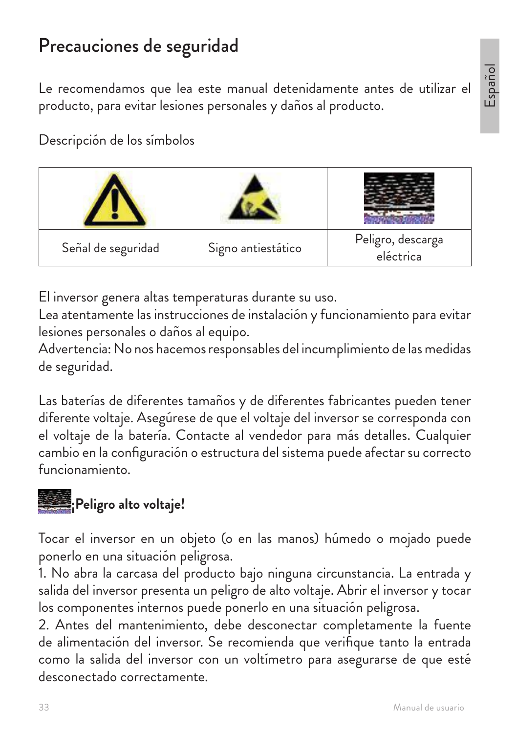# Español

### Precauciones de seguridad

Le recomendamos que lea este manual detenidamente antes de utilizar el producto, para evitar lesiones personales y daños al producto.

Descripción de los símbolos



El inversor genera altas temperaturas durante su uso.

Lea atentamente las instrucciones de instalación y funcionamiento para evitar lesiones personales o daños al equipo.

Advertencia: No nos hacemos responsables del incumplimiento de las medidas de seguridad.

Las baterías de diferentes tamaños y de diferentes fabricantes pueden tener diferente voltaje. Asegúrese de que el voltaje del inversor se corresponda con el voltaje de la batería. Contacte al vendedor para más detalles. Cualquier cambio en la configuración o estructura del sistema puede afectar su correcto funcionamiento.



Tocar el inversor en un objeto (o en las manos) húmedo o mojado puede ponerlo en una situación peligrosa.

1. No abra la carcasa del producto bajo ninguna circunstancia. La entrada y salida del inversor presenta un peligro de alto voltaje. Abrir el inversor y tocar los componentes internos puede ponerlo en una situación peligrosa.

2. Antes del mantenimiento, debe desconectar completamente la fuente de alimentación del inversor. Se recomienda que verifique tanto la entrada como la salida del inversor con un voltímetro para asegurarse de que esté desconectado correctamente.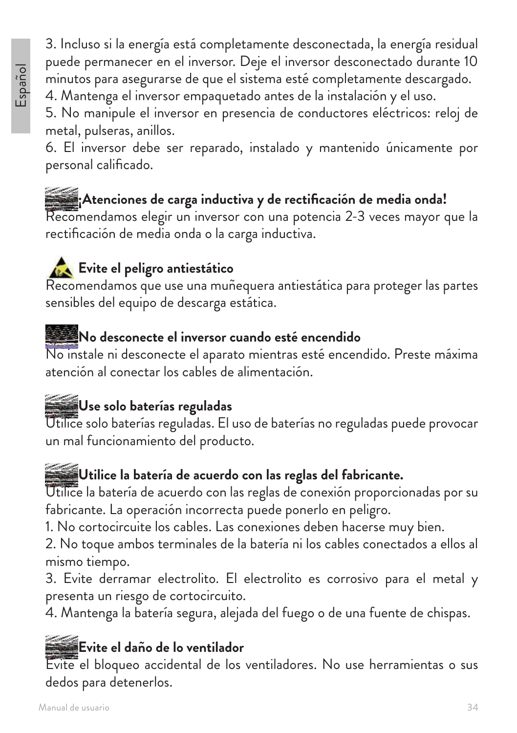3. Incluso si la energía está completamente desconectada, la energía residual puede permanecer en el inversor. Deje el inversor desconectado durante 10 minutos para asegurarse de que el sistema esté completamente descargado.

4. Mantenga el inversor empaquetado antes de la instalación y el uso.

5. No manipule el inversor en presencia de conductores eléctricos: reloj de metal, pulseras, anillos.

6. El inversor debe ser reparado, instalado y mantenido únicamente por personal calificado.

### **¡Atenciones de carga inductiva y de rectificación de media onda!**

Recomendamos elegir un inversor con una potencia 2-3 veces mayor que la rectificación de media onda o la carga inductiva.

### **Evite el peligro antiestático**

Recomendamos que use una muñequera antiestática para proteger las partes sensibles del equipo de descarga estática.

### **No desconecte el inversor cuando esté encendido**

No instale ni desconecte el aparato mientras esté encendido. Preste máxima atención al conectar los cables de alimentación.

### **Use solo baterías reguladas**

Utilice solo baterías reguladas. El uso de baterías no reguladas puede provocar un mal funcionamiento del producto.

### **Utilice la batería de acuerdo con las reglas del fabricante.**

Utilice la batería de acuerdo con las reglas de conexión proporcionadas por su fabricante. La operación incorrecta puede ponerlo en peligro.

1. No cortocircuite los cables. Las conexiones deben hacerse muy bien.

2. No toque ambos terminales de la batería ni los cables conectados a ellos al mismo tiempo.

3. Evite derramar electrolito. El electrolito es corrosivo para el metal y presenta un riesgo de cortocircuito.

4. Mantenga la batería segura, alejada del fuego o de una fuente de chispas.

### **Evite el daño de lo ventilador**

Evite el bloqueo accidental de los ventiladores. No use herramientas o sus dedos para detenerlos.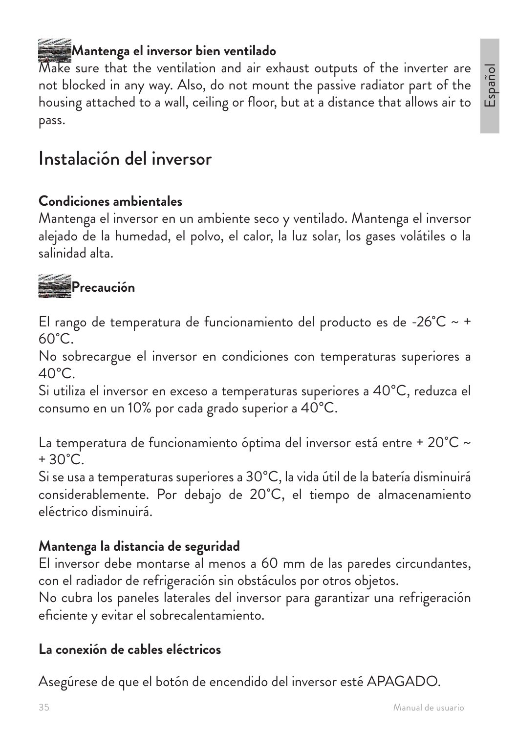#### Manual de usuario

### **Mantenga el inversor bien ventilado**

Make sure that the ventilation and air exhaust outputs of the inverter are not blocked in any way. Also, do not mount the passive radiator part of the housing attached to a wall, ceiling or floor, but at a distance that allows air to pass.

### Instalación del inversor

#### **Condiciones ambientales**

Mantenga el inversor en un ambiente seco y ventilado. Mantenga el inversor alejado de la humedad, el polvo, el calor, la luz solar, los gases volátiles o la salinidad alta.

# **Precaución**

El rango de temperatura de funcionamiento del producto es de -26 $^{\circ}$ C ~ +  $60^{\circ}$ C.

No sobrecargue el inversor en condiciones con temperaturas superiores a  $40^{\circ}$ C.

Si utiliza el inversor en exceso a temperaturas superiores a 40°C, reduzca el consumo en un 10% por cada grado superior a 40°C.

La temperatura de funcionamiento óptima del inversor está entre + 20°C ~  $+30^{\circ}$ C.

Si se usa a temperaturas superiores a 30°C, la vida útil de la batería disminuirá considerablemente. Por debajo de 20˚C, el tiempo de almacenamiento eléctrico disminuirá.

#### **Mantenga la distancia de seguridad**

El inversor debe montarse al menos a 60 mm de las paredes circundantes, con el radiador de refrigeración sin obstáculos por otros objetos.

No cubra los paneles laterales del inversor para garantizar una refrigeración eficiente y evitar el sobrecalentamiento.

#### **La conexión de cables eléctricos**

Asegúrese de que el botón de encendido del inversor esté APAGADO.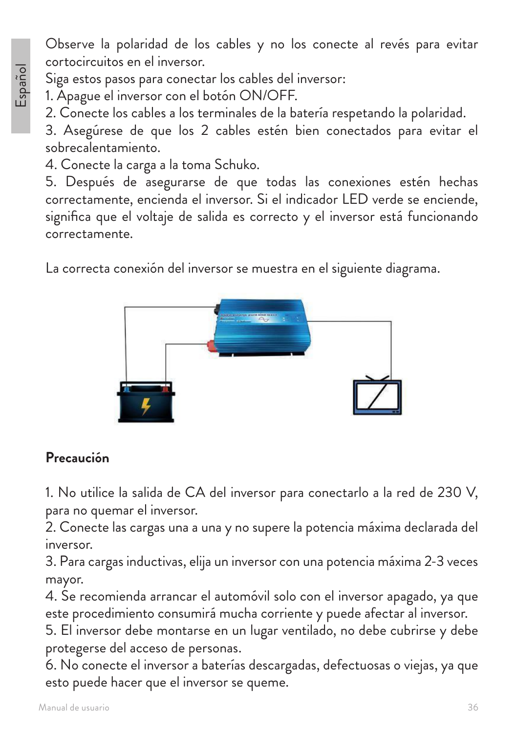Observe la polaridad de los cables y no los conecte al revés para evitar cortocircuitos en el inversor.

Siga estos pasos para conectar los cables del inversor:

1. Apague el inversor con el botón ON/OFF.

2. Conecte los cables a los terminales de la batería respetando la polaridad.

3. Asegúrese de que los 2 cables estén bien conectados para evitar el sobrecalentamiento.

4. Conecte la carga a la toma Schuko.

5. Después de asegurarse de que todas las conexiones estén hechas correctamente, encienda el inversor. Si el indicador LED verde se enciende, significa que el voltaje de salida es correcto y el inversor está funcionando correctamente.

La correcta conexión del inversor se muestra en el siguiente diagrama.



#### **Precaución**

1. No utilice la salida de CA del inversor para conectarlo a la red de 230 V, para no quemar el inversor.

2. Conecte las cargas una a una y no supere la potencia máxima declarada del inversor.

3. Para cargas inductivas, elija un inversor con una potencia máxima 2-3 veces mayor.

4. Se recomienda arrancar el automóvil solo con el inversor apagado, ya que este procedimiento consumirá mucha corriente y puede afectar al inversor.

5. El inversor debe montarse en un lugar ventilado, no debe cubrirse y debe protegerse del acceso de personas.

6. No conecte el inversor a baterías descargadas, defectuosas o viejas, ya que esto puede hacer que el inversor se queme.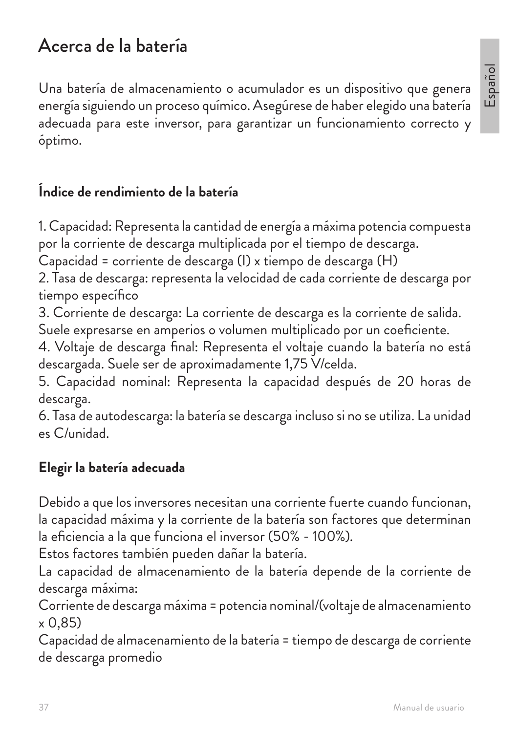## Acerca de la batería

Una batería de almacenamiento o acumulador es un dispositivo que genera energía siguiendo un proceso químico. Asegúrese de haber elegido una batería adecuada para este inversor, para garantizar un funcionamiento correcto y óptimo.

#### **Índice de rendimiento de la batería**

1. Capacidad: Representa la cantidad de energía a máxima potencia compuesta por la corriente de descarga multiplicada por el tiempo de descarga.

Capacidad = corriente de descarga (I) x tiempo de descarga (H)

2. Tasa de descarga: representa la velocidad de cada corriente de descarga por tiempo específico

3. Corriente de descarga: La corriente de descarga es la corriente de salida.

Suele expresarse en amperios o volumen multiplicado por un coeficiente.

4. Voltaje de descarga final: Representa el voltaje cuando la batería no está descargada. Suele ser de aproximadamente 1,75 V/celda.

5. Capacidad nominal: Representa la capacidad después de 20 horas de descarga.

6. Tasa de autodescarga: la batería se descarga incluso si no se utiliza. La unidad es C/unidad.

#### **Elegir la batería adecuada**

Debido a que los inversores necesitan una corriente fuerte cuando funcionan, la capacidad máxima y la corriente de la batería son factores que determinan la eficiencia a la que funciona el inversor (50% - 100%).

Estos factores también pueden dañar la batería.

La capacidad de almacenamiento de la batería depende de la corriente de descarga máxima:

Corriente de descarga máxima = potencia nominal/(voltaje de almacenamiento x 0,85)

Capacidad de almacenamiento de la batería = tiempo de descarga de corriente de descarga promedio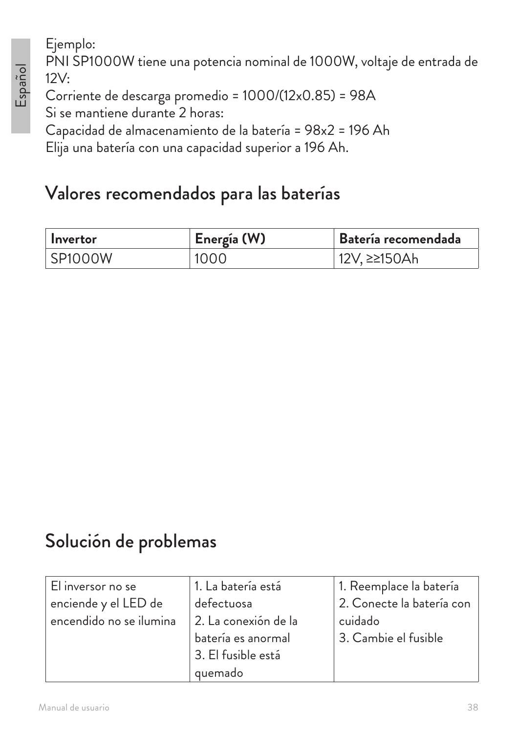# Español

Ejemplo: PNI SP1000W tiene una potencia nominal de 1000W, voltaje de entrada de 12V:

Corriente de descarga promedio = 1000/(12x0.85) = 98A Si se mantiene durante 2 horas:

Capacidad de almacenamiento de la batería = 98x2 = 196 Ah

Elija una batería con una capacidad superior a 196 Ah.

## Valores recomendados para las baterías

| l Invertor | Energía (W) | Batería recomendada |
|------------|-------------|---------------------|
| SP1000W    | 1000        | 12V, ≥≥150Ah        |

## Solución de problemas

| El inversor no se       | 1. La batería está   | 1. Reemplace la batería   |
|-------------------------|----------------------|---------------------------|
| enciende y el LED de    | defectuosa           | 2. Conecte la batería con |
| encendido no se ilumina | 2. La conexión de la | cuidado                   |
|                         | batería es anormal   | 3. Cambie el fusible      |
|                         | 3. El fusible está   |                           |
|                         | quemado              |                           |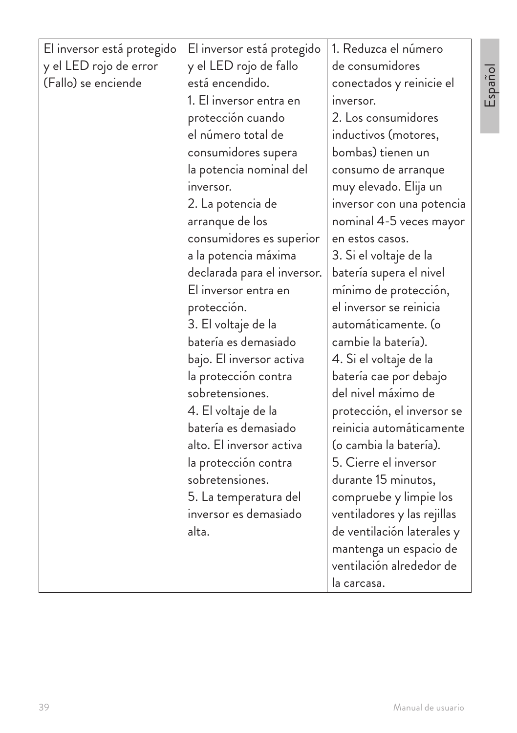| El inversor está protegido | El inversor está protegido  | 1. Reduzca el número        |
|----------------------------|-----------------------------|-----------------------------|
| y el LED rojo de error     | y el LED rojo de fallo      | de consumidores             |
| (Fallo) se enciende        | está encendido.             | conectados y reinicie el    |
|                            | 1. El inversor entra en     | inversor.                   |
|                            | protección cuando           | 2. Los consumidores         |
|                            | el número total de          | inductivos (motores,        |
|                            | consumidores supera         | bombas) tienen un           |
|                            | la potencia nominal del     | consumo de arranque         |
|                            | inversor.                   | muy elevado. Elija un       |
|                            | 2. La potencia de           | inversor con una potencia   |
|                            | arranque de los             | nominal 4-5 veces mayor     |
|                            | consumidores es superior    | en estos casos.             |
|                            | a la potencia máxima        | 3. Si el voltaje de la      |
|                            | declarada para el inversor. | batería supera el nivel     |
|                            | El inversor entra en        | mínimo de protección,       |
|                            | protección.                 | el inversor se reinicia     |
|                            | 3. El voltaje de la         | automáticamente. (o         |
|                            | batería es demasiado        | cambie la batería).         |
|                            | bajo. El inversor activa    | 4. Si el voltaje de la      |
|                            | la protección contra        | batería cae por debajo      |
|                            | sobretensiones.             | del nivel máximo de         |
|                            | 4. El voltaje de la         | protección, el inversor se  |
|                            | batería es demasiado        | reinicia automáticamente    |
|                            | alto. El inversor activa    | (o cambia la batería).      |
|                            | la protección contra        | 5. Cierre el inversor       |
|                            | sobretensiones.             | durante 15 minutos,         |
|                            | 5. La temperatura del       | compruebe y limpie los      |
|                            | inversor es demasiado       | ventiladores y las rejillas |
|                            | alta.                       | de ventilación laterales y  |
|                            |                             | mantenga un espacio de      |
|                            |                             | ventilación alrededor de    |
|                            |                             | la carcasa.                 |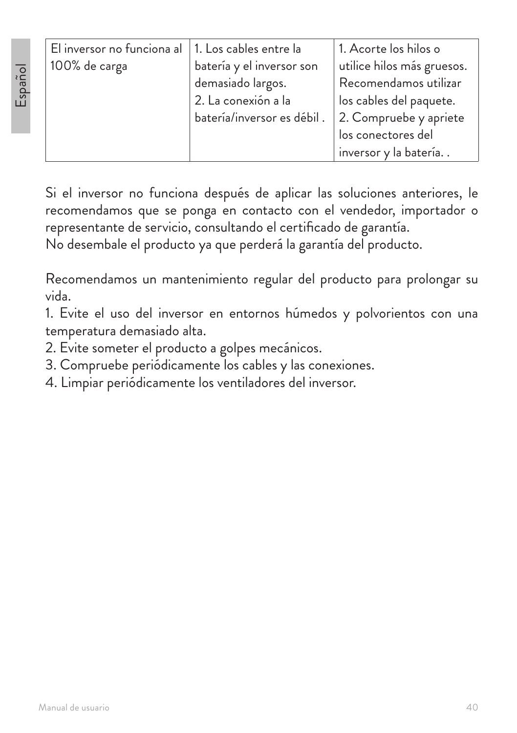| El inversor no funciona al   1. Los cables entre la |                            | 1. Acorte los hilos o      |
|-----------------------------------------------------|----------------------------|----------------------------|
| 100% de carga                                       | batería y el inversor son  | utilice hilos más gruesos. |
|                                                     | demasiado largos.          | Recomendamos utilizar      |
|                                                     | 2. La conexión a la        | los cables del paquete.    |
|                                                     | batería/inversor es débil. | 2. Compruebe y apriete     |
|                                                     |                            | los conectores del         |
|                                                     |                            | inversor y la batería      |

Si el inversor no funciona después de aplicar las soluciones anteriores, le recomendamos que se ponga en contacto con el vendedor, importador o representante de servicio, consultando el certificado de garantía.

No desembale el producto ya que perderá la garantía del producto.

Recomendamos un mantenimiento regular del producto para prolongar su vida.

1. Evite el uso del inversor en entornos húmedos y polvorientos con una temperatura demasiado alta.

2. Evite someter el producto a golpes mecánicos.

3. Compruebe periódicamente los cables y las conexiones.

4. Limpiar periódicamente los ventiladores del inversor.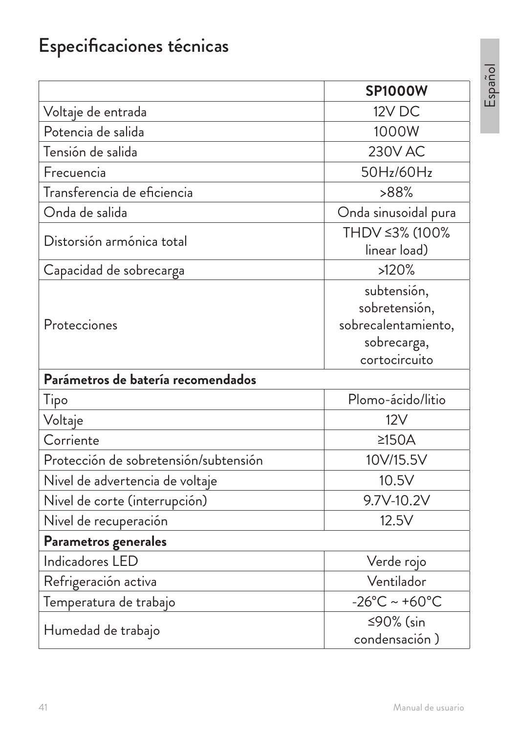# Especificaciones técnicas

|                                       | <b>SP1000W</b>                                                                      |
|---------------------------------------|-------------------------------------------------------------------------------------|
| Voltaje de entrada                    | 12V DC                                                                              |
| Potencia de salida                    | 1000W                                                                               |
| Tensión de salida                     | <b>230V AC</b>                                                                      |
| Frecuencia                            | 50Hz/60Hz                                                                           |
| Transferencia de eficiencia           | >88%                                                                                |
| Onda de salida                        | Onda sinusoidal pura                                                                |
| Distorsión armónica total             | THDV ≤3% (100%<br>linear load)                                                      |
| Capacidad de sobrecarga               | >120%                                                                               |
| Protecciones                          | subtensión,<br>sobretensión,<br>sobrecalentamiento,<br>sobrecarga,<br>cortocircuito |
| Parámetros de batería recomendados    |                                                                                     |
| Tipo                                  | Plomo-ácido/litio                                                                   |
| Voltaje                               | 12V                                                                                 |
| Corriente                             | $\geq$ 150A                                                                         |
| Protección de sobretensión/subtensión | 10V/15.5V                                                                           |
| Nivel de advertencia de voltaje       | 10.5V                                                                               |
| Nivel de corte (interrupción)         | 9.7V-10.2V                                                                          |
| Nivel de recuperación                 | 12.5V                                                                               |
| Parametros generales                  |                                                                                     |
| Indicadores LED                       | Verde rojo                                                                          |
| Refrigeración activa                  | Ventilador                                                                          |
| Temperatura de trabajo                | $-26^{\circ}$ C ~ +60 $^{\circ}$ C                                                  |
| Humedad de trabajo                    | ≤90% (sin<br>condensación)                                                          |

Español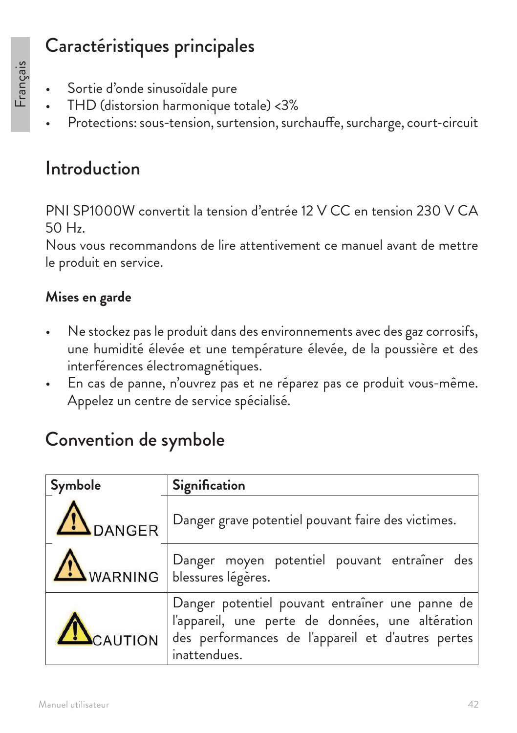## Caractéristiques principales

- Français
- Sortie d'onde sinusoïdale pure
- THD (distorsion harmonique totale) <3%
- Protections: sous-tension, surtension, surchauffe, surcharge, court-circuit

## Introduction

PNI SP1000W convertit la tension d'entrée 12 V CC en tension 230 V CA 50 Hz.

Nous vous recommandons de lire attentivement ce manuel avant de mettre le produit en service.

#### **Mises en garde**

- Ne stockez pas le produit dans des environnements avec des gaz corrosifs, une humidité élevée et une température élevée, de la poussière et des interférences électromagnétiques.
- En cas de panne, n'ouvrez pas et ne réparez pas ce produit vous-même. Appelez un centre de service spécialisé.

## Convention de symbole

| Symbole                | Signification                                                                                                                                                                                         |
|------------------------|-------------------------------------------------------------------------------------------------------------------------------------------------------------------------------------------------------|
| $\sum_{\text{DANGER}}$ | Danger grave potentiel pouvant faire des victimes.                                                                                                                                                    |
|                        | Danger moyen potentiel pouvant entraîner des<br>$\Delta$ WARNING   blessures légères.                                                                                                                 |
|                        | Danger potentiel pouvant entraîner une panne de<br>l'appareil, une perte de données, une altération<br>$\blacktriangle$ CAUTION $ $ des performances de l'appareil et d'autres pertes<br>inattendues. |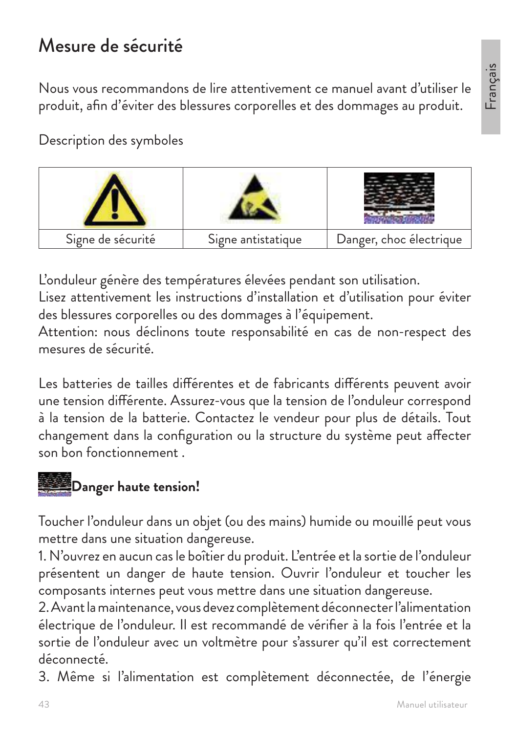# Français

## Mesure de sécurité

Nous vous recommandons de lire attentivement ce manuel avant d'utiliser le produit, afin d'éviter des blessures corporelles et des dommages au produit.

Description des symboles



L'onduleur génère des températures élevées pendant son utilisation.

Lisez attentivement les instructions d'installation et d'utilisation pour éviter des blessures corporelles ou des dommages à l'équipement.

Attention: nous déclinons toute responsabilité en cas de non-respect des mesures de sécurité.

Les batteries de tailles différentes et de fabricants différents peuvent avoir une tension différente. Assurez-vous que la tension de l'onduleur correspond à la tension de la batterie. Contactez le vendeur pour plus de détails. Tout changement dans la configuration ou la structure du système peut affecter son bon fonctionnement .



Toucher l'onduleur dans un objet (ou des mains) humide ou mouillé peut vous mettre dans une situation dangereuse.

1. N'ouvrez en aucun cas le boîtier du produit. L'entrée et la sortie de l'onduleur présentent un danger de haute tension. Ouvrir l'onduleur et toucher les composants internes peut vous mettre dans une situation dangereuse.

2. Avant la maintenance, vous devez complètement déconnecter l'alimentation électrique de l'onduleur. Il est recommandé de vérifier à la fois l'entrée et la sortie de l'onduleur avec un voltmètre pour s'assurer qu'il est correctement déconnecté.

3. Même si l'alimentation est complètement déconnectée, de l'énergie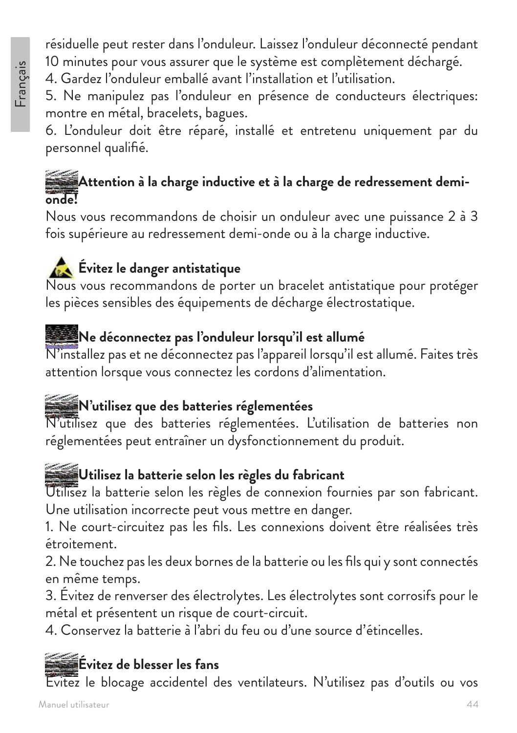#### résiduelle peut rester dans l'onduleur. Laissez l'onduleur déconnecté pendant 10 minutes pour vous assurer que le système est complètement déchargé.

4. Gardez l'onduleur emballé avant l'installation et l'utilisation.

5. Ne manipulez pas l'onduleur en présence de conducteurs électriques: montre en métal, bracelets, bagues.

6. L'onduleur doit être réparé, installé et entretenu uniquement par du personnel qualifié.

#### **Attention à la charge inductive et à la charge de redressement demionde!**

Nous vous recommandons de choisir un onduleur avec une puissance 2 à 3 fois supérieure au redressement demi-onde ou à la charge inductive.

#### **Évitez le danger antistatique**

Nous vous recommandons de porter un bracelet antistatique pour protéger les pièces sensibles des équipements de décharge électrostatique.

#### **Ne déconnectez pas l'onduleur lorsqu'il est allumé**

N'installez pas et ne déconnectez pas l'appareil lorsqu'il est allumé. Faites très attention lorsque vous connectez les cordons d'alimentation.

## **N'utilisez que des batteries réglementées**

N'utilisez que des batteries réglementées. L'utilisation de batteries non réglementées peut entraîner un dysfonctionnement du produit.

#### **Utilisez la batterie selon les règles du fabricant**

Utilisez la batterie selon les règles de connexion fournies par son fabricant. Une utilisation incorrecte peut vous mettre en danger.

1. Ne court-circuitez pas les fils. Les connexions doivent être réalisées très étroitement.

2. Ne touchez pas les deux bornes de la batterie ou les fils qui y sont connectés en même temps.

3. Évitez de renverser des électrolytes. Les électrolytes sont corrosifs pour le métal et présentent un risque de court-circuit.

4. Conservez la batterie à l'abri du feu ou d'une source d'étincelles.

## **Évitez de blesser les fans**

Évitez le blocage accidentel des ventilateurs. N'utilisez pas d'outils ou vos

Français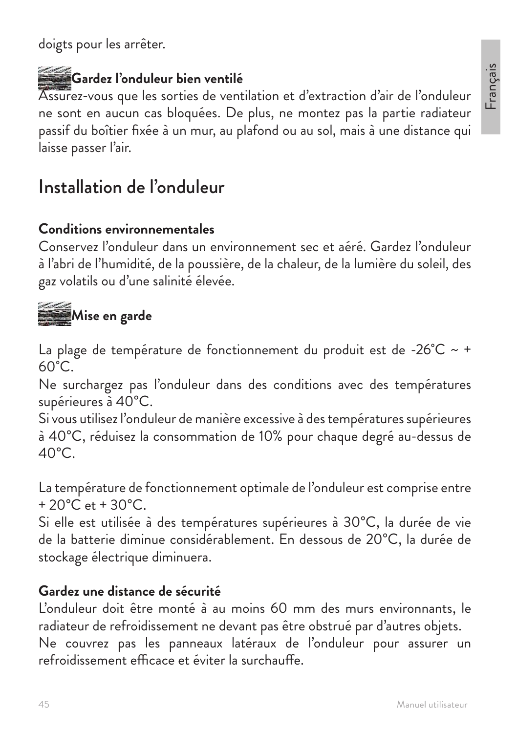doigts pour les arrêter.

## **Gardez l'onduleur bien ventilé**

Assurez-vous que les sorties de ventilation et d'extraction d'air de l'onduleur ne sont en aucun cas bloquées. De plus, ne montez pas la partie radiateur passif du boîtier fixée à un mur, au plafond ou au sol, mais à une distance qui laisse passer l'air.

## Installation de l'onduleur

#### **Conditions environnementales**

Conservez l'onduleur dans un environnement sec et aéré. Gardez l'onduleur à l'abri de l'humidité, de la poussière, de la chaleur, de la lumière du soleil, des gaz volatils ou d'une salinité élevée.

# **Mise en garde**

La plage de température de fonctionnement du produit est de -26°C ~ +  $60^{\circ}$ C.

Ne surchargez pas l'onduleur dans des conditions avec des températures supérieures à 40°C.

Si vous utilisez l'onduleur de manière excessive à des températures supérieures à 40°C, réduisez la consommation de 10% pour chaque degré au-dessus de  $40^{\circ}$ C

La température de fonctionnement optimale de l'onduleur est comprise entre  $+20^{\circ}$ C et  $+30^{\circ}$ C.

Si elle est utilisée à des températures supérieures à 30°C, la durée de vie de la batterie diminue considérablement. En dessous de 20°C, la durée de stockage électrique diminuera.

#### **Gardez une distance de sécurité**

L'onduleur doit être monté à au moins 60 mm des murs environnants, le radiateur de refroidissement ne devant pas être obstrué par d'autres objets. Ne couvrez pas les panneaux latéraux de l'onduleur pour assurer un refroidissement efficace et éviter la surchauffe.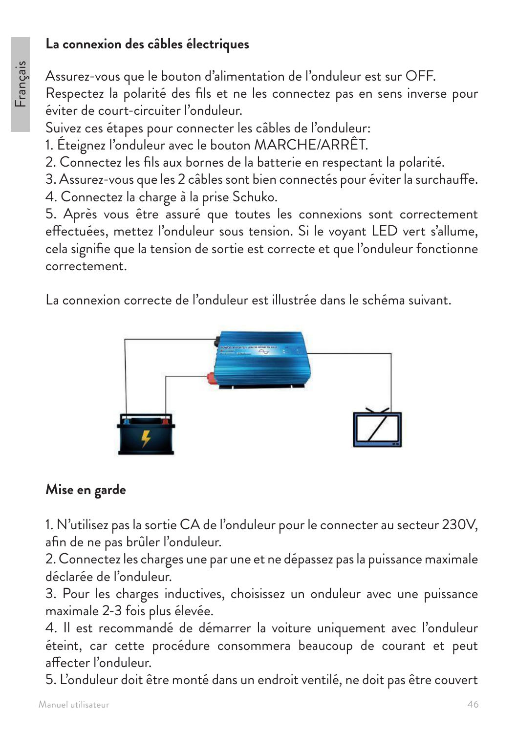#### **La connexion des câbles électriques**

Assurez-vous que le bouton d'alimentation de l'onduleur est sur OFF. Respectez la polarité des fils et ne les connectez pas en sens inverse pour éviter de court-circuiter l'onduleur.

Suivez ces étapes pour connecter les câbles de l'onduleur:

1. Éteignez l'onduleur avec le bouton MARCHE/ARRÊT.

2. Connectez les fils aux bornes de la batterie en respectant la polarité.

3. Assurez-vous que les 2 câbles sont bien connectés pour éviter la surchauffe. 4. Connectez la charge à la prise Schuko.

5. Après vous être assuré que toutes les connexions sont correctement effectuées, mettez l'onduleur sous tension. Si le voyant LED vert s'allume, cela signifie que la tension de sortie est correcte et que l'onduleur fonctionne correctement.

La connexion correcte de l'onduleur est illustrée dans le schéma suivant.



#### **Mise en garde**

1. N'utilisez pas la sortie CA de l'onduleur pour le connecter au secteur 230V, afin de ne pas brûler l'onduleur.

2. Connectez les charges une par une et ne dépassez pas la puissance maximale déclarée de l'onduleur.

3. Pour les charges inductives, choisissez un onduleur avec une puissance maximale 2-3 fois plus élevée.

4. Il est recommandé de démarrer la voiture uniquement avec l'onduleur éteint, car cette procédure consommera beaucoup de courant et peut affecter l'onduleur.

5. L'onduleur doit être monté dans un endroit ventilé, ne doit pas être couvert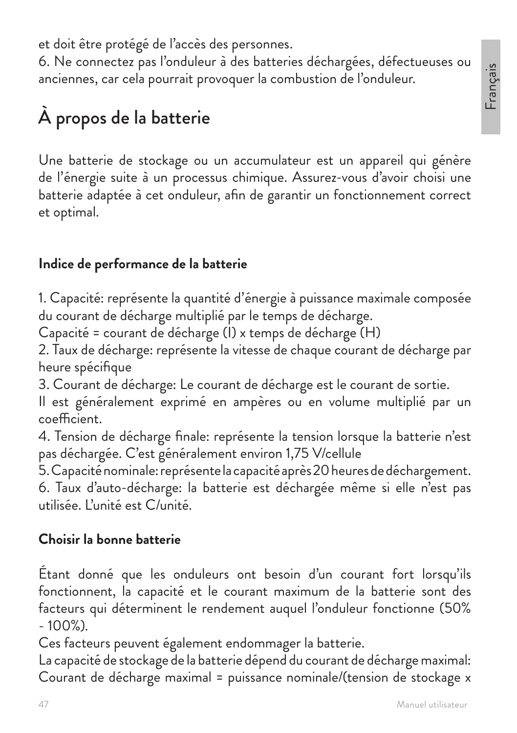et doit être protégé de l'accès des personnes.

6. Ne connectez pas l'onduleur à des batteries déchargées, défectueuses ou anciennes, car cela pourrait provoquer la combustion de l'onduleur.

# À propos de la batterie

Une batterie de stockage ou un accumulateur est un appareil qui génère de l'énergie suite à un processus chimique. Assurez-vous d'avoir choisi une batterie adaptée à cet onduleur, afin de garantir un fonctionnement correct et optimal.

#### **Indice de performance de la batterie**

1. Capacité: représente la quantité d'énergie à puissance maximale composée du courant de décharge multiplié par le temps de décharge.

Capacité = courant de décharge (I) x temps de décharge (H)

2. Taux de décharge: représente la vitesse de chaque courant de décharge par heure spécifique

3. Courant de décharge: Le courant de décharge est le courant de sortie.

Il est généralement exprimé en ampères ou en volume multiplié par un coefficient.

4. Tension de décharge finale: représente la tension lorsque la batterie n'est pas déchargée. C'est généralement environ 1,75 V/cellule

5. Capacité nominale: représente la capacité après 20 heures de déchargement. 6. Taux d'auto-décharge: la batterie est déchargée même si elle n'est pas utilisée. L'unité est C/unité.

#### **Choisir la bonne batterie**

Étant donné que les onduleurs ont besoin d'un courant fort lorsqu'ils fonctionnent, la capacité et le courant maximum de la batterie sont des facteurs qui déterminent le rendement auquel l'onduleur fonctionne (50% - 100%).

Ces facteurs peuvent également endommager la batterie.

La capacité de stockage de la batterie dépend du courant de décharge maximal: Courant de décharge maximal = puissance nominale/(tension de stockage x

Français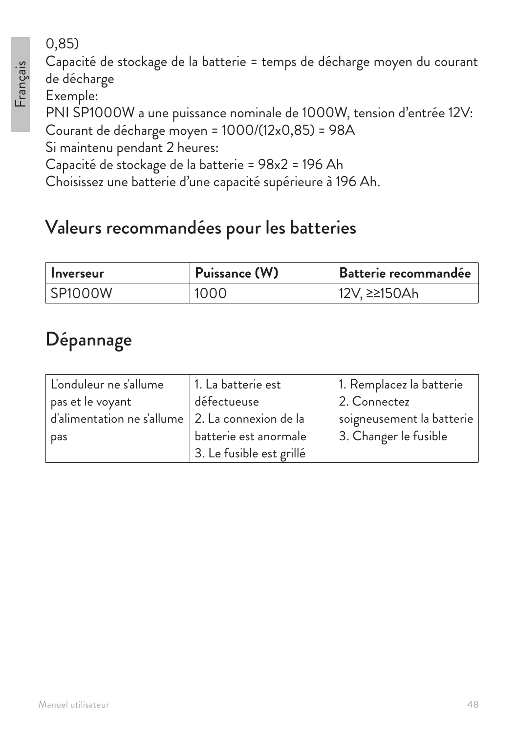## 0,85)

Capacité de stockage de la batterie = temps de décharge moyen du courant de décharge

Exemple:

PNI SP1000W a une puissance nominale de 1000W, tension d'entrée 12V:

Courant de décharge moyen = 1000/(12x0,85) = 98A

Si maintenu pendant 2 heures:

Capacité de stockage de la batterie = 98x2 = 196 Ah

Choisissez une batterie d'une capacité supérieure à 196 Ah.

## Valeurs recommandées pour les batteries

| <b>Inverseur</b> | Puissance (W) | Batterie recommandée      |
|------------------|---------------|---------------------------|
| SP1000W          | 1000          | <sup>∣</sup> 12V, ≥≥150Ah |

## Dépannage

| L'onduleur ne s'allume                             | 1. La batterie est       | 1. Remplacez la batterie  |
|----------------------------------------------------|--------------------------|---------------------------|
| pas et le voyant                                   | défectueuse              | 2. Connectez              |
| d'alimentation ne s'allume   2. La connexion de la |                          | soigneusement la batterie |
| pas                                                | batterie est anormale    | 3. Changer le fusible     |
|                                                    | 3. Le fusible est grillé |                           |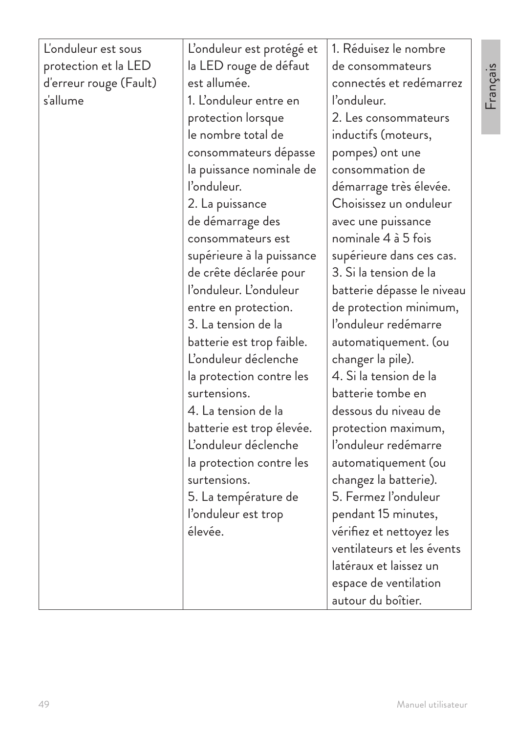| L'onduleur est sous<br>protection et la LED<br>d'erreur rouge (Fault)<br>s'allume | L'onduleur est protégé et<br>la LED rouge de défaut<br>est allumée.<br>1. L'onduleur entre en<br>protection lorsque<br>le nombre total de<br>consommateurs dépasse<br>la puissance nominale de<br>l'onduleur. | 1. Réduisez le nombre<br>de consommateurs<br>connectés et redémarrez<br>l'onduleur.<br>2. Les consommateurs<br>inductifs (moteurs,<br>pompes) ont une<br>consommation de<br>démarrage très élevée. |
|-----------------------------------------------------------------------------------|---------------------------------------------------------------------------------------------------------------------------------------------------------------------------------------------------------------|----------------------------------------------------------------------------------------------------------------------------------------------------------------------------------------------------|
|                                                                                   | de démarrage des                                                                                                                                                                                              | avec une puissance                                                                                                                                                                                 |
|                                                                                   | consommateurs est                                                                                                                                                                                             | nominale 4 à 5 fois                                                                                                                                                                                |
|                                                                                   | supérieure à la puissance                                                                                                                                                                                     | supérieure dans ces cas.                                                                                                                                                                           |
|                                                                                   | de crête déclarée pour                                                                                                                                                                                        | 3. Si la tension de la                                                                                                                                                                             |
|                                                                                   | l'onduleur. L'onduleur                                                                                                                                                                                        | batterie dépasse le niveau                                                                                                                                                                         |
|                                                                                   | entre en protection.                                                                                                                                                                                          | de protection minimum,                                                                                                                                                                             |
|                                                                                   | 3. La tension de la                                                                                                                                                                                           | l'onduleur redémarre                                                                                                                                                                               |
|                                                                                   | batterie est trop faible.                                                                                                                                                                                     | automatiquement. (ou                                                                                                                                                                               |
|                                                                                   | L'onduleur déclenche                                                                                                                                                                                          | changer la pile).                                                                                                                                                                                  |
|                                                                                   | la protection contre les                                                                                                                                                                                      | 4. Si la tension de la                                                                                                                                                                             |
|                                                                                   | surtensions.                                                                                                                                                                                                  | batterie tombe en                                                                                                                                                                                  |
|                                                                                   | 4. La tension de la                                                                                                                                                                                           | dessous du niveau de                                                                                                                                                                               |
|                                                                                   | batterie est trop élevée.                                                                                                                                                                                     | protection maximum,                                                                                                                                                                                |
|                                                                                   | L'onduleur déclenche                                                                                                                                                                                          | l'onduleur redémarre                                                                                                                                                                               |
|                                                                                   | la protection contre les                                                                                                                                                                                      | automatiquement (ou                                                                                                                                                                                |
|                                                                                   | surtensions.                                                                                                                                                                                                  | changez la batterie).                                                                                                                                                                              |
|                                                                                   | 5. La température de                                                                                                                                                                                          | 5. Fermez l'onduleur                                                                                                                                                                               |
|                                                                                   | l'onduleur est trop                                                                                                                                                                                           | pendant 15 minutes,                                                                                                                                                                                |
|                                                                                   | élevée.                                                                                                                                                                                                       | vérifiez et nettoyez les                                                                                                                                                                           |
|                                                                                   |                                                                                                                                                                                                               | ventilateurs et les évents                                                                                                                                                                         |
|                                                                                   |                                                                                                                                                                                                               | latéraux et laissez un                                                                                                                                                                             |
|                                                                                   |                                                                                                                                                                                                               | espace de ventilation                                                                                                                                                                              |
|                                                                                   |                                                                                                                                                                                                               | autour du boîtier.                                                                                                                                                                                 |

Français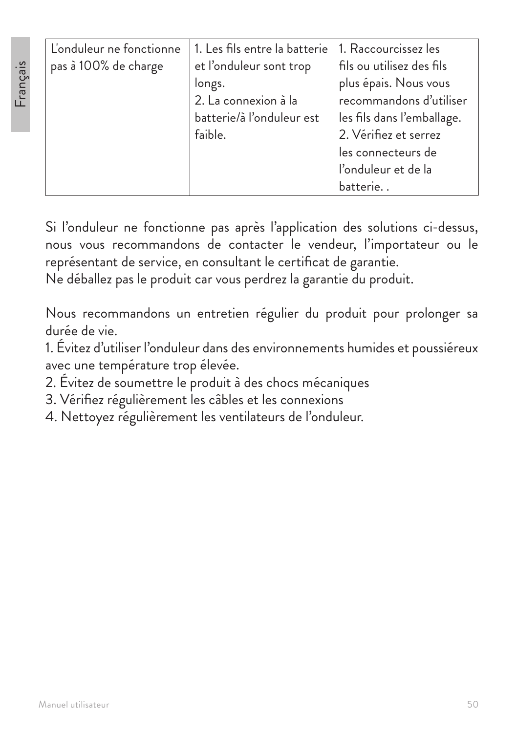| L'onduleur ne fonctionne | 1. Les fils entre la batterie | 1. Raccourcissez les       |
|--------------------------|-------------------------------|----------------------------|
| pas à 100% de charge     | et l'onduleur sont trop       | fils ou utilisez des fils  |
|                          | longs.                        | plus épais. Nous vous      |
|                          | 2. La connexion à la          | recommandons d'utiliser    |
|                          | batterie/à l'onduleur est     | les fils dans l'emballage. |
|                          | faible.                       | 2. Vérifiez et serrez      |
|                          |                               | les connecteurs de         |
|                          |                               | l'onduleur et de la        |
|                          |                               | batterie                   |

Si l'onduleur ne fonctionne pas après l'application des solutions ci-dessus, nous vous recommandons de contacter le vendeur, l'importateur ou le représentant de service, en consultant le certificat de garantie.

Ne déballez pas le produit car vous perdrez la garantie du produit.

Nous recommandons un entretien régulier du produit pour prolonger sa durée de vie.

1. Évitez d'utiliser l'onduleur dans des environnements humides et poussiéreux avec une température trop élevée.

- 2. Évitez de soumettre le produit à des chocs mécaniques
- 3. Vérifiez régulièrement les câbles et les connexions
- 4. Nettoyez régulièrement les ventilateurs de l'onduleur.

**Francais**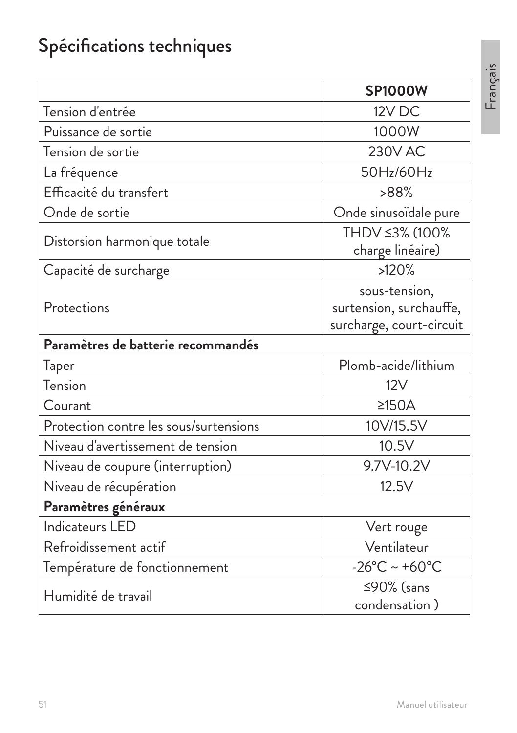# Spécifications techniques

|                                        | <b>SP1000W</b>                                                       |
|----------------------------------------|----------------------------------------------------------------------|
| Tension d'entrée                       | 12V DC                                                               |
| Puissance de sortie                    | 1000W                                                                |
| Tension de sortie                      | <b>230V AC</b>                                                       |
| La fréquence                           | 50Hz/60Hz                                                            |
| Efficacité du transfert                | >88%                                                                 |
| Onde de sortie                         | Onde sinusoïdale pure                                                |
| Distorsion harmonique totale           | THDV ≤3% (100%<br>charge linéaire)                                   |
| Capacité de surcharge                  | >120%                                                                |
| Protections                            | sous-tension,<br>surtension, surchauffe,<br>surcharge, court-circuit |
| Paramètres de batterie recommandés     |                                                                      |
| Taper                                  | Plomb-acide/lithium                                                  |
| Tension                                | 12V                                                                  |
| Courant                                | $\geq$ 150A                                                          |
| Protection contre les sous/surtensions | 10V/15.5V                                                            |
| Niveau d'avertissement de tension      | 10.5V                                                                |
| Niveau de coupure (interruption)       | 9.7V-10.2V                                                           |
| Niveau de récupération                 | 12.5V                                                                |
| Paramètres généraux                    |                                                                      |
| Indicateurs LED                        | Vert rouge                                                           |
| Refroidissement actif                  | Ventilateur                                                          |
| Température de fonctionnement          | $-26^{\circ}$ C ~ +60 $^{\circ}$ C                                   |
| Humidité de travail                    | ≤90% (sans<br>condensation)                                          |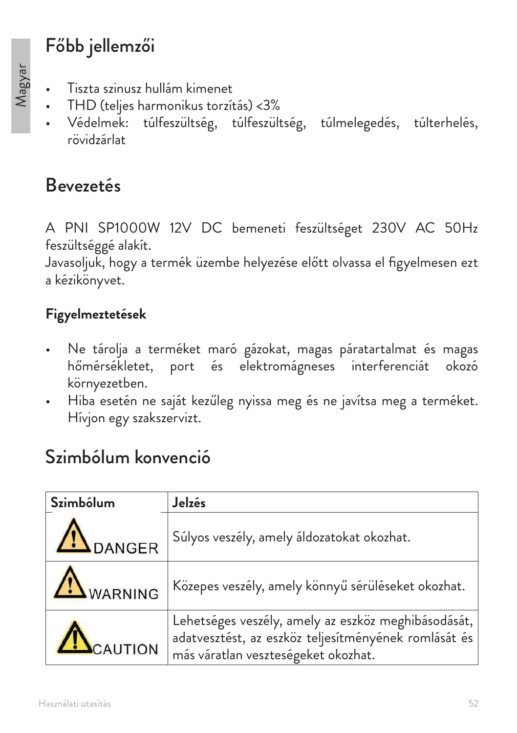## Főbb jellemzői

- Tiszta szinusz hullám kimenet
- THD (teljes harmonikus torzítás) <3%
- Védelmek: túlfeszültség, túlfeszültség, túlmelegedés, túlterhelés, rövidzárlat

## Bevezetés

A PNI SP1000W 12V DC bemeneti feszültséget 230V AC 50Hz feszültséggé alakít.

Javasoljuk, hogy a termék üzembe helyezése előtt olvassa el figyelmesen ezt a kézikönyvet.

#### **Figyelmeztetések**

- Ne tárolja a terméket maró gázokat, magas páratartalmat és magas hőmérsékletet, port és elektromágneses interferenciát okozó környezetben.
- Hiba esetén ne saját kezűleg nyissa meg és ne javítsa meg a terméket. Hívjon egy szakszervizt.

## Szimbólum konvenció

| Szimbólum        | Jelzés                                                                                                                                             |
|------------------|----------------------------------------------------------------------------------------------------------------------------------------------------|
| <b>IN</b> DANGER | Súlyos veszély, amely áldozatokat okozhat.                                                                                                         |
| WARNING          | Közepes veszély, amely könnyű sérüléseket okozhat.                                                                                                 |
| CAUTION          | Lehetséges veszély, amely az eszköz meghibásodását,<br>adatvesztést, az eszköz teljesítményének romlását és<br>más váratlan veszteségeket okozhat. |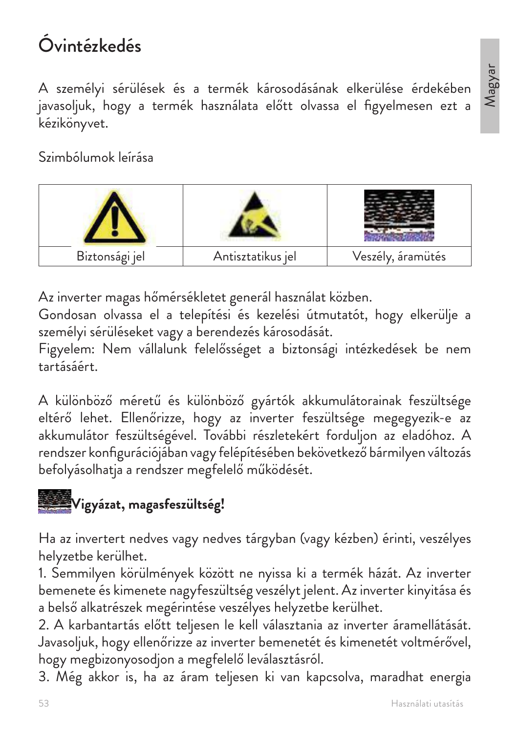# Óvintézkedés

A személyi sérülések és a termék károsodásának elkerülése érdekében javasoljuk, hogy a termék használata előtt olvassa el figyelmesen ezt a kézikönyvet.

Szimbólumok leírása



Az inverter magas hőmérsékletet generál használat közben.

Gondosan olvassa el a telepítési és kezelési útmutatót, hogy elkerülje a személyi sérüléseket vagy a berendezés károsodását.

Figyelem: Nem vállalunk felelősséget a biztonsági intézkedések be nem tartásáért.

A különböző méretű és különböző gyártók akkumulátorainak feszültsége eltérő lehet. Ellenőrizze, hogy az inverter feszültsége megegyezik-e az akkumulátor feszültségével. További részletekért forduljon az eladóhoz. A rendszer konfigurációjában vagy felépítésében bekövetkező bármilyen változás befolyásolhatja a rendszer megfelelő működését.



Ha az invertert nedves vagy nedves tárgyban (vagy kézben) érinti, veszélyes helyzetbe kerülhet.

1. Semmilyen körülmények között ne nyissa ki a termék házát. Az inverter bemenete és kimenete nagyfeszültség veszélyt jelent. Az inverter kinyitása és a belső alkatrészek megérintése veszélyes helyzetbe kerülhet.

2. A karbantartás előtt teljesen le kell választania az inverter áramellátását. Javasoljuk, hogy ellenőrizze az inverter bemenetét és kimenetét voltmérővel, hogy megbizonyosodjon a megfelelő leválasztásról.

3. Még akkor is, ha az áram teljesen ki van kapcsolva, maradhat energia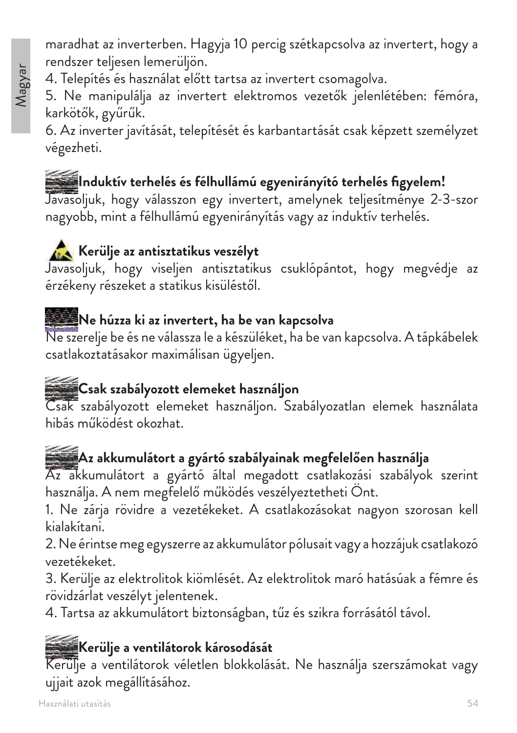maradhat az inverterben. Hagyja 10 percig szétkapcsolva az invertert, hogy a rendszer teljesen lemerüljön.

4. Telepítés és használat előtt tartsa az invertert csomagolva.

5. Ne manipulálja az invertert elektromos vezetők jelenlétében: fémóra, karkötők, gyűrűk.

6. Az inverter javítását, telepítését és karbantartását csak képzett személyzet végezheti.

# **Induktív terhelés és félhullámú egyenirányító terhelés figyelem!**

Javasoljuk, hogy válasszon egy invertert, amelynek teljesítménye 2-3-szor nagyobb, mint a félhullámú egyenirányítás vagy az induktív terhelés.

## **Kerülje az antisztatikus veszélyt**

Javasoljuk, hogy viseljen antisztatikus csuklópántot, hogy megvédje az érzékeny részeket a statikus kisüléstől.

## **Ne húzza ki az invertert, ha be van kapcsolva**

Ne szerelje be és ne válassza le a készüléket, ha be van kapcsolva. A tápkábelek csatlakoztatásakor maximálisan ügyeljen.

## **Csak szabályozott elemeket használjon**

Csak szabályozott elemeket használjon. Szabályozatlan elemek használata hibás működést okozhat.

#### **Az akkumulátort a gyártó szabályainak megfelelően használja**

Az akkumulátort a gyártó által megadott csatlakozási szabályok szerint használja. A nem megfelelő működés veszélyeztetheti Önt.

1. Ne zárja rövidre a vezetékeket. A csatlakozásokat nagyon szorosan kell kialakítani.

2. Ne érintse meg egyszerre az akkumulátor pólusait vagy a hozzájuk csatlakozó vezetékeket.

3. Kerülje az elektrolitok kiömlését. Az elektrolitok maró hatásúak a fémre és rövidzárlat veszélyt jelentenek.

4. Tartsa az akkumulátort biztonságban, tűz és szikra forrásától távol.

#### **Kerülje a ventilátorok károsodását**

Kerülje a ventilátorok véletlen blokkolását. Ne használja szerszámokat vagy ujjait azok megállításához.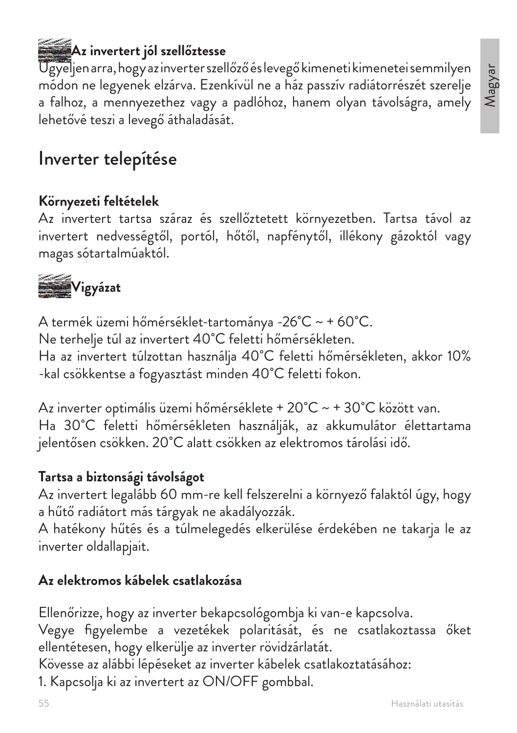## **Az invertert jól szellőztesse**

Ügyeljen arra, hogy az inverter szellőző és levegő kimeneti kimenetei semmilyen módon ne legyenek elzárva. Ezenkívül ne a ház passzív radiátorrészét szerelje a falhoz, a mennyezethez vagy a padlóhoz, hanem olyan távolságra, amely lehetővé teszi a levegő áthaladását.

## Inverter telepítése

#### **Környezeti feltételek**

Az invertert tartsa száraz és szellőztetett környezetben. Tartsa távol az invertert nedvességtől, portól, hőtől, napfénytől, illékony gázoktól vagy magas sótartalmúaktól.



A termék üzemi hőmérséklet-tartománya -26˚C ~ + 60˚C. Ne terhelje túl az invertert 40˚C feletti hőmérsékleten. Ha az invertert túlzottan használja 40˚C feletti hőmérsékleten, akkor 10% -kal csökkentse a fogyasztást minden 40˚C feletti fokon.

Az inverter optimális üzemi hőmérséklete + 20˚C ~ + 30˚C között van. Ha 30˚C feletti hőmérsékleten használják, az akkumulátor élettartama jelentősen csökken. 20˚C alatt csökken az elektromos tárolási idő.

#### **Tartsa a biztonsági távolságot**

Az invertert legalább 60 mm-re kell felszerelni a környező falaktól úgy, hogy a hűtő radiátort más tárgyak ne akadályozzák.

A hatékony hűtés és a túlmelegedés elkerülése érdekében ne takarja le az inverter oldallapjait.

#### **Az elektromos kábelek csatlakozása**

Ellenőrizze, hogy az inverter bekapcsológombja ki van-e kapcsolva. Vegye figyelembe a vezetékek polaritását, és ne csatlakoztassa őket ellentétesen, hogy elkerülje az inverter rövidzárlatát.

Kövesse az alábbi lépéseket az inverter kábelek csatlakoztatásához:

1. Kapcsolja ki az invertert az ON/OFF gombbal.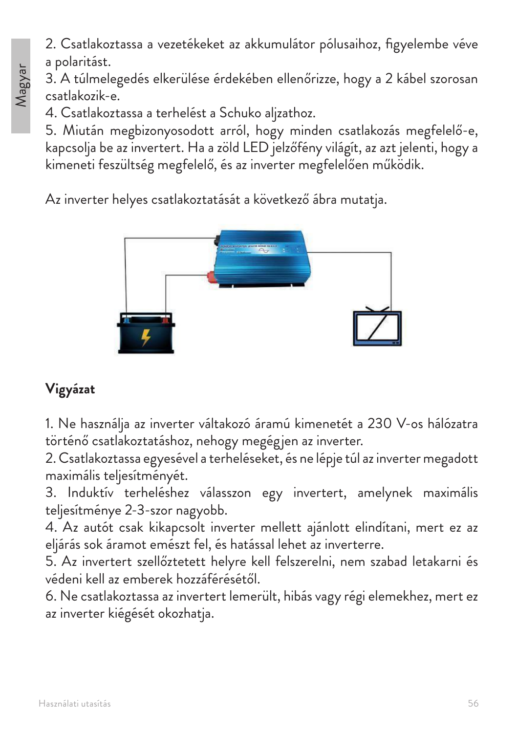2. Csatlakoztassa a vezetékeket az akkumulátor pólusaihoz, figyelembe véve a polaritást.

3. A túlmelegedés elkerülése érdekében ellenőrizze, hogy a 2 kábel szorosan csatlakozik-e.

4. Csatlakoztassa a terhelést a Schuko aljzathoz.

5. Miután megbizonyosodott arról, hogy minden csatlakozás megfelelő-e, kapcsolja be az invertert. Ha a zöld LED jelzőfény világít, az azt jelenti, hogy a kimeneti feszültség megfelelő, és az inverter megfelelően működik.

Az inverter helyes csatlakoztatását a következő ábra mutatja.



#### **Vigyázat**

1. Ne használja az inverter váltakozó áramú kimenetét a 230 V-os hálózatra történő csatlakoztatáshoz, nehogy megégjen az inverter.

2. Csatlakoztassa egyesével a terheléseket, és ne lépje túl az inverter megadott maximális teljesítményét.

3. Induktív terheléshez válasszon egy invertert, amelynek maximális teljesítménye 2-3-szor nagyobb.

4. Az autót csak kikapcsolt inverter mellett ajánlott elindítani, mert ez az eljárás sok áramot emészt fel, és hatással lehet az inverterre.

5. Az invertert szellőztetett helyre kell felszerelni, nem szabad letakarni és védeni kell az emberek hozzáférésétől.

6. Ne csatlakoztassa az invertert lemerült, hibás vagy régi elemekhez, mert ez az inverter kiégését okozhatja.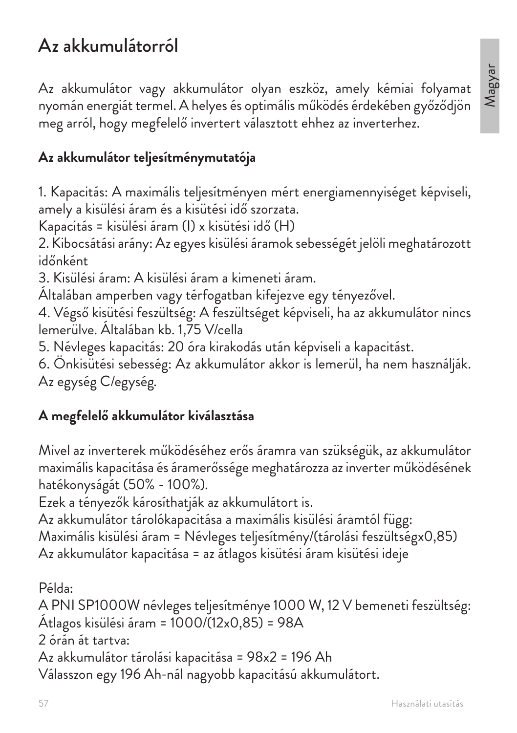## Az akkumulátorról

Az akkumulátor vagy akkumulátor olyan eszköz, amely kémiai folyamat nyomán energiát termel. A helyes és optimális működés érdekében győződjön meg arról, hogy megfelelő invertert választott ehhez az inverterhez.

#### **Az akkumulátor teljesítménymutatója**

1. Kapacitás: A maximális teljesítményen mért energiamennyiséget képviseli, amely a kisülési áram és a kisütési idő szorzata.

Kapacitás = kisülési áram (I) x kisütési idő (H)

2. Kibocsátási arány: Az egyes kisülési áramok sebességét jelöli meghatározott időnként

3. Kisülési áram: A kisülési áram a kimeneti áram.

Általában amperben vagy térfogatban kifejezve egy tényezővel.

4. Végső kisütési feszültség: A feszültséget képviseli, ha az akkumulátor nincs lemerülve. Általában kb. 1,75 V/cella

5. Névleges kapacitás: 20 óra kirakodás után képviseli a kapacitást.

6. Önkisütési sebesség: Az akkumulátor akkor is lemerül, ha nem használják. Az egység C/egység.

#### **A megfelelő akkumulátor kiválasztása**

Mivel az inverterek működéséhez erős áramra van szükségük, az akkumulátor maximális kapacitása és áramerőssége meghatározza az inverter működésének hatékonyságát (50% - 100%).

Ezek a tényezők károsíthatják az akkumulátort is.

Az akkumulátor tárolókapacitása a maximális kisülési áramtól függ: Maximális kisülési áram = Névleges teljesítmény/(tárolási feszültségx0,85) Az akkumulátor kapacitása = az átlagos kisütési áram kisütési ideje

Példa:

A PNI SP1000W névleges teljesítménye 1000 W, 12 V bemeneti feszültség: Átlagos kisülési áram = 1000/(12x0,85) = 98A

2 órán át tartva:

Az akkumulátor tárolási kapacitása = 98x2 = 196 Ah

Válasszon egy 196 Ah-nál nagyobb kapacitású akkumulátort.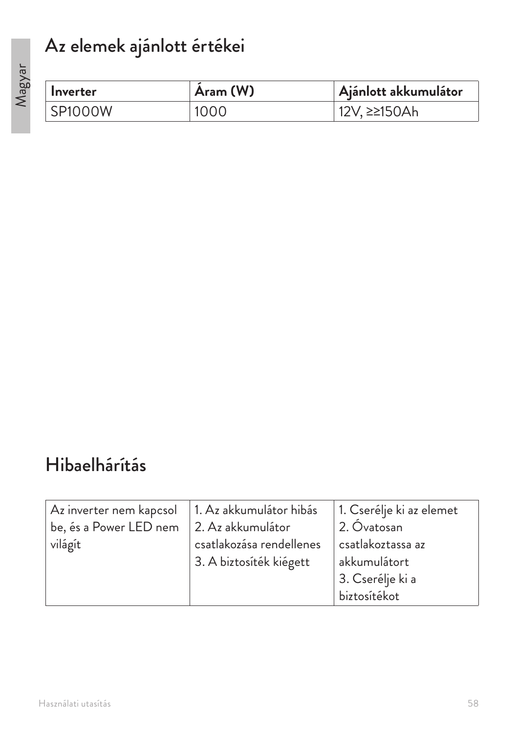# Az elemek ajánlott értékei

| Inverter       | Aram (W) | Ajánlott akkumulátor |
|----------------|----------|----------------------|
| <b>SP1000W</b> | 1000     | 12V, ≥≥150Ah         |

## Hibaelhárítás

| Az inverter nem kapcsol                          | 1. Az akkumulátor hibás  | 1. Cserélje ki az elemet |
|--------------------------------------------------|--------------------------|--------------------------|
| be, és a Power LED nem $\vert 2.$ Az akkumulátor |                          | . 2. Óvatosan            |
| világít                                          | csatlakozása rendellenes | csatlakoztassa az        |
|                                                  | 3. A biztosíték kiégett  | akkumulátort             |
|                                                  |                          | 3. Cserélje ki a         |
|                                                  |                          | biztosítékot             |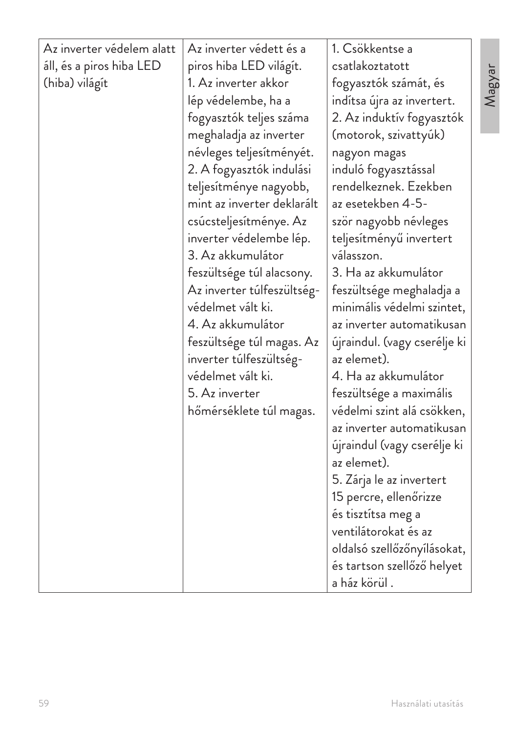| Az inverter védelem alatt | Az inverter védett és a    | 1. Csökkentse a              |
|---------------------------|----------------------------|------------------------------|
| áll, és a piros hiba LED  | piros hiba LED világít.    | csatlakoztatott              |
| (hiba) világít            | 1. Az inverter akkor       | fogyasztók számát, és        |
|                           | lép védelembe, ha a        | indítsa újra az invertert.   |
|                           | fogyasztók teljes száma    | 2. Az induktív fogyasztók    |
|                           | meghaladja az inverter     | (motorok, szivattyúk)        |
|                           | névleges teljesítményét.   | nagyon magas                 |
|                           | 2. A fogyasztók indulási   | induló fogyasztással         |
|                           | teljesítménye nagyobb,     | rendelkeznek. Ezekben        |
|                           | mint az inverter deklarált | az esetekben 4-5-            |
|                           | csúcsteljesítménye. Az     | ször nagyobb névleges        |
|                           | inverter védelembe lép.    | teljesítményű invertert      |
|                           | 3. Az akkumulátor          | válasszon.                   |
|                           | feszültsége túl alacsony.  | 3. Ha az akkumulátor         |
|                           | Az inverter túlfeszültség- | feszültsége meghaladja a     |
|                           | védelmet vált ki.          | minimális védelmi szintet,   |
|                           | 4. Az akkumulátor          | az inverter automatikusan    |
|                           | feszültsége túl magas. Az  | újraindul. (vagy cserélje ki |
|                           | inverter túlfeszültség-    | az elemet).                  |
|                           | védelmet vált ki.          | 4. Ha az akkumulátor         |
|                           | 5. Az inverter             | feszültsége a maximális      |
|                           | hőmérséklete túl magas.    | védelmi szint alá csökken,   |
|                           |                            | az inverter automatikusan    |
|                           |                            | újraindul (vagy cserélje ki  |
|                           |                            | az elemet).                  |
|                           |                            | 5. Zárja le az invertert     |
|                           |                            | 15 percre, ellenőrizze       |
|                           |                            | és tisztítsa meg a           |
|                           |                            | ventilátorokat és az         |
|                           |                            | oldalsó szellőzőnyílásokat,  |
|                           |                            | és tartson szellőző helyet   |
|                           |                            | a ház körül.                 |

Magyar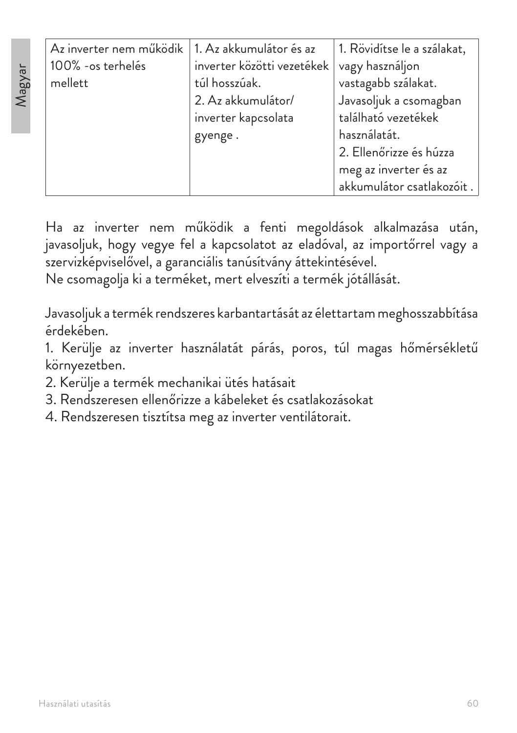| 1. Az akkumulátor és az    | 1. Rövidítse le a szálakat, |
|----------------------------|-----------------------------|
| inverter közötti vezetékek | vagy használjon             |
| túl hosszúak.              | vastagabb szálakat.         |
| 2. Az akkumulátor/         | Javasoljuk a csomagban      |
| inverter kapcsolata        | található vezetékek         |
| gyenge.                    | használatát.                |
|                            | 2. Ellenőrizze és húzza     |
|                            | meg az inverter és az       |
|                            | akkumulátor csatlakozóit.   |
|                            |                             |

Ha az inverter nem működik a fenti megoldások alkalmazása után, javasoljuk, hogy vegye fel a kapcsolatot az eladóval, az importőrrel vagy a szervizképviselővel, a garanciális tanúsítvány áttekintésével.

Ne csomagolja ki a terméket, mert elveszíti a termék jótállását.

Javasoljuk a termék rendszeres karbantartását az élettartam meghosszabbítása érdekében.

1. Kerülje az inverter használatát párás, poros, túl magas hőmérsékletű környezetben.

- 2. Kerülje a termék mechanikai ütés hatásait
- 3. Rendszeresen ellenőrizze a kábeleket és csatlakozásokat
- 4. Rendszeresen tisztítsa meg az inverter ventilátorait.

Magyar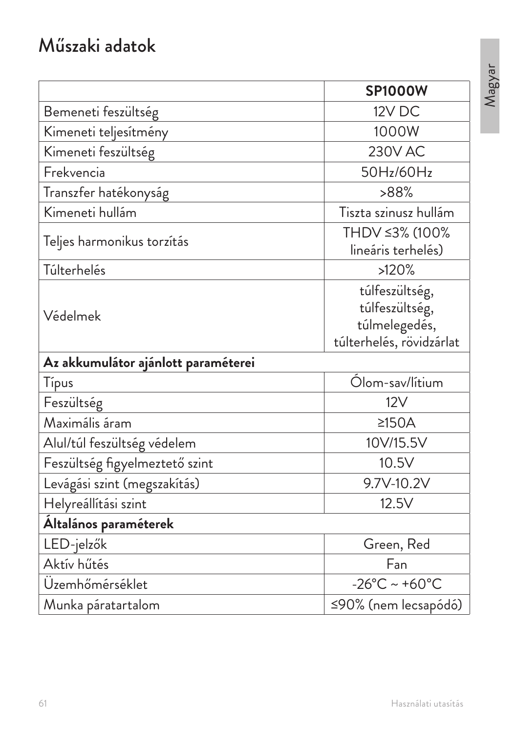## Műszaki adatok

|                                     | <b>SP1000W</b>                                                                |
|-------------------------------------|-------------------------------------------------------------------------------|
| Bemeneti feszültség                 | 12V DC                                                                        |
| Kimeneti teljesítmény               | 1000W                                                                         |
| Kimeneti feszültség                 | <b>230V AC</b>                                                                |
| Frekvencia                          | 50Hz/60Hz                                                                     |
| Transzfer hatékonyság               | >88%                                                                          |
| Kimeneti hullám                     | Tiszta szinusz hullám                                                         |
| Teljes harmonikus torzítás          | THDV ≤3% (100%<br>lineáris terhelés)                                          |
| Túlterhelés                         | >120%                                                                         |
| Védelmek                            | túlfeszültség,<br>túlfeszültség,<br>túlmelegedés,<br>túlterhelés, rövidzárlat |
| Az akkumulátor ajánlott paraméterei |                                                                               |
| Típus                               | Ólom-sav/lítium                                                               |
| Feszültség                          | 12V                                                                           |
| Maximális áram                      | $\geq$ 150A                                                                   |
| Alul/túl feszültség védelem         | 10V/15.5V                                                                     |
| Feszültség figyelmeztető szint      | 10.5V                                                                         |
| Levágási szint (megszakítás)        | 9.7V-10.2V                                                                    |
| Helyreállítási szint                | 12.5V                                                                         |
| Általános paraméterek               |                                                                               |
| LED-jelzők                          | Green, Red                                                                    |
| Aktív hűtés                         | Fan                                                                           |
| Üzemhőmérséklet                     | $-26^{\circ}$ C ~ +60 $^{\circ}$ C                                            |
| Munka páratartalom                  | ≤90% (nem lecsapódó)                                                          |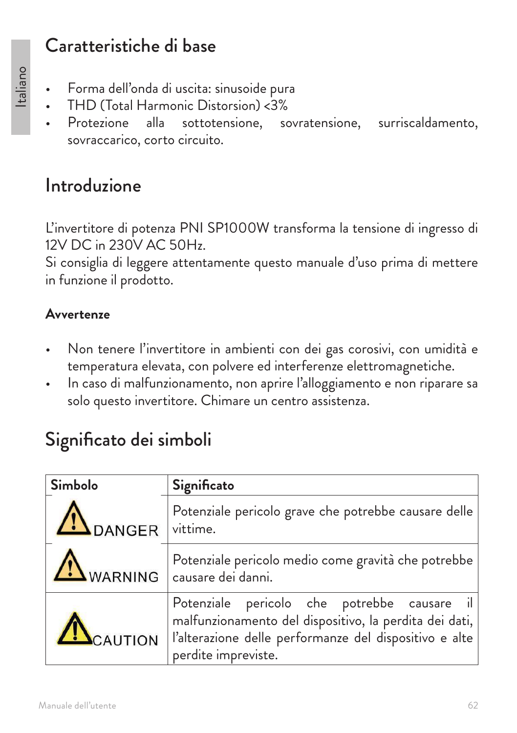## Caratteristiche di base

- Forma dell'onda di uscita: sinusoide pura
- THD (Total Harmonic Distorsion) <3%
- Protezione alla sottotensione, sovratensione, surriscaldamento, sovraccarico, corto circuito.

## Introduzione

L'invertitore di potenza PNI SP1000W transforma la tensione di ingresso di 12V DC in 230V AC 50Hz.

Si consiglia di leggere attentamente questo manuale d'uso prima di mettere in funzione il prodotto.

#### **Avvertenze**

- Non tenere l'invertitore in ambienti con dei gas corosivi, con umidità e temperatura elevata, con polvere ed interferenze elettromagnetiche.
- In caso di malfunzionamento, non aprire l'alloggiamento e non riparare sa solo questo invertitore. Chimare un centro assistenza.

## Significato dei simboli

| Simbolo  | Significato                                                                                                                                                                            |
|----------|----------------------------------------------------------------------------------------------------------------------------------------------------------------------------------------|
| DANGER   | Potenziale pericolo grave che potrebbe causare delle<br>vittime.                                                                                                                       |
|          | Potenziale pericolo medio come gravità che potrebbe<br>$\Delta$ WARNING $ $ causare dei danni.                                                                                         |
| ACAUTION | Potenziale pericolo che potrebbe causare il<br>malfunzionamento del dispositivo, la perdita dei dati,<br>l'alterazione delle performanze del dispositivo e alte<br>perdite impreviste. |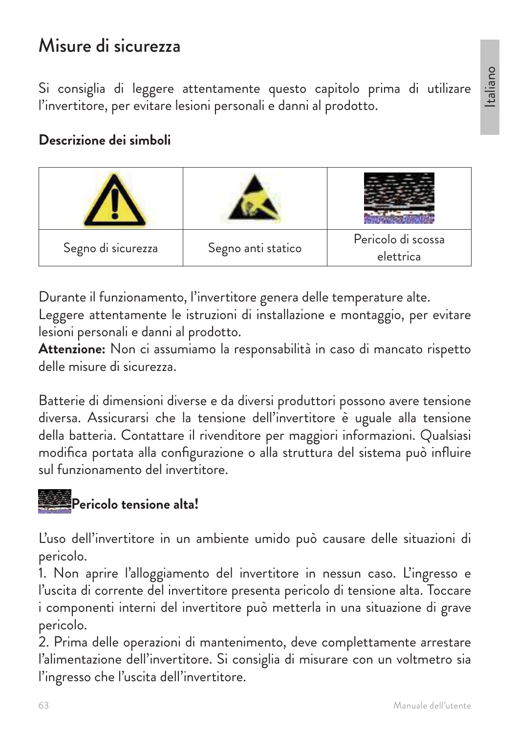## Misure di sicurezza

Si consiglia di leggere attentamente questo capitolo prima di utilizare l'invertitore, per evitare lesioni personali e danni al prodotto.

#### **Descrizione dei simboli**

| Segno di sicurezza | Segno anti statico | Pericolo di scossa<br>elettrica |
|--------------------|--------------------|---------------------------------|

Durante il funzionamento, l'invertitore genera delle temperature alte.

Leggere attentamente le istruzioni di installazione e montaggio, per evitare lesioni personali e danni al prodotto.

**Attenzione:** Non ci assumiamo la responsabilità in caso di mancato rispetto delle misure di sicurezza.

Batterie di dimensioni diverse e da diversi produttori possono avere tensione diversa. Assicurarsi che la tensione dell'invertitore è uguale alla tensione della batteria. Contattare il rivenditore per maggiori informazioni. Qualsiasi modifica portata alla configurazione o alla struttura del sistema può influire sul funzionamento del invertitore.

## **Pericolo tensione alta!**

L'uso dell'invertitore in un ambiente umido può causare delle situazioni di pericolo.

1. Non aprire l'alloggiamento del invertitore in nessun caso. L'ingresso e l'uscita di corrente del invertitore presenta pericolo di tensione alta. Toccare i componenti interni del invertitore può metterla in una situazione di grave pericolo.

2. Prima delle operazioni di mantenimento, deve complettamente arrestare l'alimentazione dell'invertitore. Si consiglia di misurare con un voltmetro sia l'ingresso che l'uscita dell'invertitore.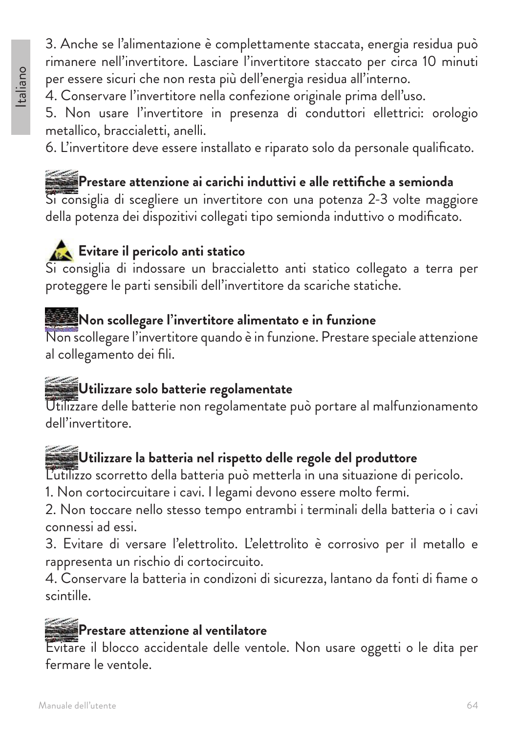#### 3. Anche se l'alimentazione è complettamente staccata, energia residua può rimanere nell'invertitore. Lasciare l'invertitore staccato per circa 10 minuti per essere sicuri che non resta più dell'energia residua all'interno.

4. Conservare l'invertitore nella confezione originale prima dell'uso.

5. Non usare l'invertitore in presenza di conduttori ellettrici: orologio metallico, braccialetti, anelli.

6. L'invertitore deve essere installato e riparato solo da personale qualificato.

## **Prestare attenzione ai carichi induttivi e alle rettifiche a semionda**

Si consiglia di scegliere un invertitore con una potenza 2-3 volte maggiore della potenza dei dispozitivi collegati tipo semionda induttivo o modificato.

## **Evitare il pericolo anti statico**

Si consiglia di indossare un braccialetto anti statico collegato a terra per proteggere le parti sensibili dell'invertitore da scariche statiche.

#### **Non scollegare l'invertitore alimentato e in funzione**

Non scollegare l'invertitore quando è in funzione. Prestare speciale attenzione al collegamento dei fili.

#### **Utilizzare solo batterie regolamentate**

Utilizzare delle batterie non regolamentate può portare al malfunzionamento dell'invertitore.

#### **Utilizzare la batteria nel rispetto delle regole del produttore**

L'utilizzo scorretto della batteria può metterla in una situazione di pericolo.

1. Non cortocircuitare i cavi. I legami devono essere molto fermi.

2. Non toccare nello stesso tempo entrambi i terminali della batteria o i cavi connessi ad essi.

3. Evitare di versare l'elettrolito. L'elettrolito è corrosivo per il metallo e rappresenta un rischio di cortocircuito.

4. Conservare la batteria in condizoni di sicurezza, lantano da fonti di fiame o scintille.

## **Prestare attenzione al ventilatore**

Evitare il blocco accidentale delle ventole. Non usare oggetti o le dita per fermare le ventole.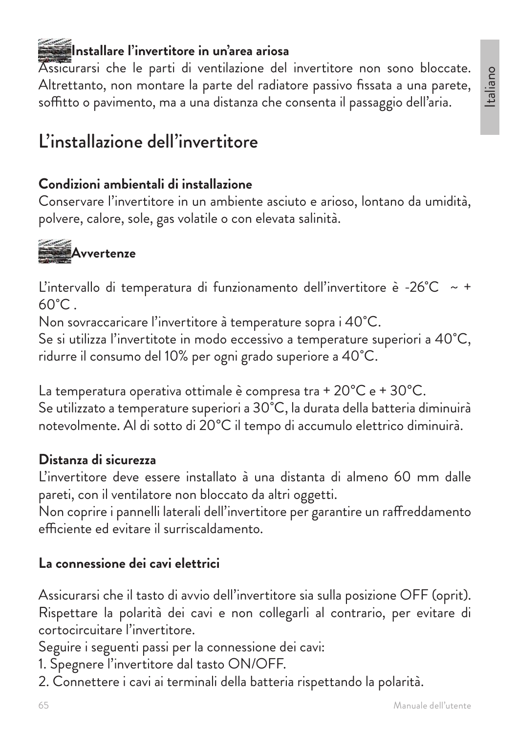Italiano

#### **Installare l'invertitore in un'area ariosa**

Assicurarsi che le parti di ventilazione del invertitore non sono bloccate. Altrettanto, non montare la parte del radiatore passivo fissata a una parete, soffitto o pavimento, ma a una distanza che consenta il passaggio dell'aria.

## L'installazione dell'invertitore

#### **Condizioni ambientali di installazione**

Conservare l'invertitore in un ambiente asciuto e arioso, lontano da umidità, polvere, calore, sole, gas volatile o con elevata salinità.

## **Avvertenze**

L'intervallo di temperatura di funzionamento dell'invertitore è -26 $^{\circ}$ C ~ +  $60^{\circ}$ C.

Non sovraccaricare l'invertitore à temperature sopra i 40˚C.

Se si utilizza l'invertitote in modo eccessivo a temperature superiori a 40˚C, ridurre il consumo del 10% per ogni grado superiore a 40˚C.

La temperatura operativa ottimale è compresa tra + 20°C e + 30°C. Se utilizzato a temperature superiori a 30˚C, la durata della batteria diminuirà notevolmente. Al di sotto di 20°C il tempo di accumulo elettrico diminuirà.

#### **Distanza di sicurezza**

L'invertitore deve essere installato à una distanta di almeno 60 mm dalle pareti, con il ventilatore non bloccato da altri oggetti.

Non coprire i pannelli laterali dell'invertitore per garantire un raffreddamento efficiente ed evitare il surriscaldamento.

#### **La connessione dei cavi elettrici**

Assicurarsi che il tasto di avvio dell'invertitore sia sulla posizione OFF (oprit). Rispettare la polarità dei cavi e non collegarli al contrario, per evitare di cortocircuitare l'invertitore.

Seguire i seguenti passi per la connessione dei cavi:

- 1. Spegnere l'invertitore dal tasto ON/OFF.
- 2. Connettere i cavi ai terminali della batteria rispettando la polarità.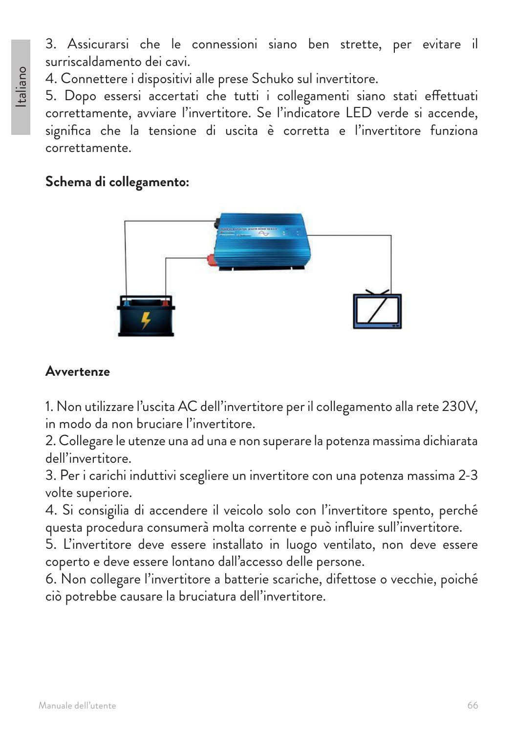3. Assicurarsi che le connessioni siano ben strette, per evitare il surriscaldamento dei cavi.

4. Connettere i dispositivi alle prese Schuko sul invertitore.

5. Dopo essersi accertati che tutti i collegamenti siano stati effettuati correttamente, avviare l'invertitore. Se l'indicatore LED verde si accende, significa che la tensione di uscita è corretta e l'invertitore funziona correttamente.

#### **Schema di collegamento:**



#### **Avvertenze**

1. Non utilizzare l'uscita AC dell'invertitore per il collegamento alla rete 230V, in modo da non bruciare l'invertitore.

2. Collegare le utenze una ad una e non superare la potenza massima dichiarata dell'invertitore.

3. Per i carichi induttivi scegliere un invertitore con una potenza massima 2-3 volte superiore.

4. Si consigilia di accendere il veicolo solo con l'invertitore spento, perché questa procedura consumerà molta corrente e può influire sull'invertitore.

5. L'invertitore deve essere installato in luogo ventilato, non deve essere coperto e deve essere lontano dall'accesso delle persone.

6. Non collegare l'invertitore a batterie scariche, difettose o vecchie, poiché ciò potrebbe causare la bruciatura dell'invertitore.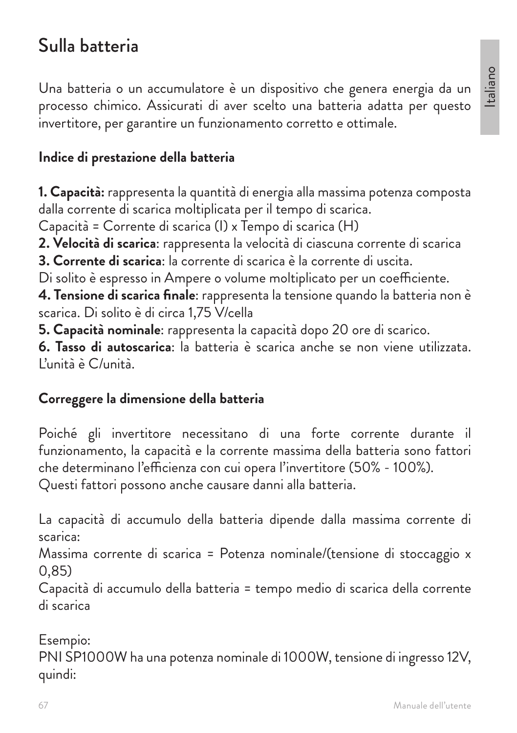## Sulla batteria

Una batteria o un accumulatore è un dispositivo che genera energia da un processo chimico. Assicurati di aver scelto una batteria adatta per questo invertitore, per garantire un funzionamento corretto e ottimale.

#### **Indice di prestazione della batteria**

**1. Capacità:** rappresenta la quantità di energia alla massima potenza composta dalla corrente di scarica moltiplicata per il tempo di scarica.

Capacità = Corrente di scarica (I) x Tempo di scarica (H)

**2. Velocità di scarica**: rappresenta la velocità di ciascuna corrente di scarica

**3. Corrente di scarica**: la corrente di scarica è la corrente di uscita.

Di solito è espresso in Ampere o volume moltiplicato per un coefficiente.

**4. Tensione di scarica finale**: rappresenta la tensione quando la batteria non è scarica. Di solito è di circa 1,75 V/cella

**5. Capacità nominale**: rappresenta la capacità dopo 20 ore di scarico.

**6. Tasso di autoscarica**: la batteria è scarica anche se non viene utilizzata. L'unità è C/unità.

#### **Correggere la dimensione della batteria**

Poiché gli invertitore necessitano di una forte corrente durante il funzionamento, la capacità e la corrente massima della batteria sono fattori che determinano l'efficienza con cui opera l'invertitore (50% - 100%). Questi fattori possono anche causare danni alla batteria.

La capacità di accumulo della batteria dipende dalla massima corrente di scarica:

Massima corrente di scarica = Potenza nominale/(tensione di stoccaggio x 0,85)

Capacità di accumulo della batteria = tempo medio di scarica della corrente di scarica

Esempio: PNI SP1000W ha una potenza nominale di 1000W, tensione di ingresso 12V, quindi: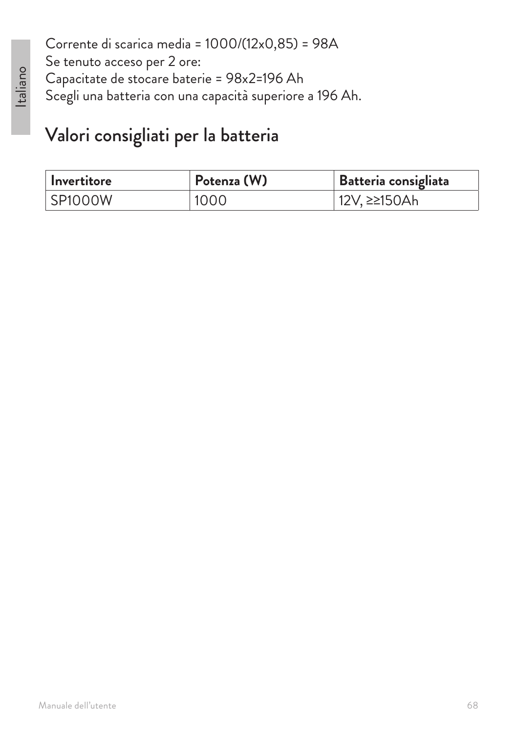Corrente di scarica media = 1000/(12x0,85) = 98A Se tenuto acceso per 2 ore: Capacitate de stocare baterie = 98x2=196 Ah Scegli una batteria con una capacità superiore a 196 Ah.

## Valori consigliati per la batteria

| l Invertitore | Potenza (W) | <b>Batteria consigliata</b> |
|---------------|-------------|-----------------------------|
| SP1000W       | 1000        | 12V, ≥≥150Ah                |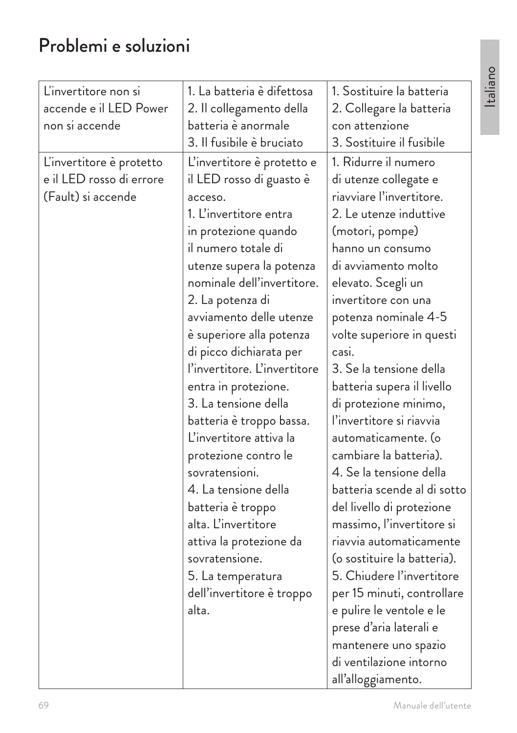## Problemi e soluzioni

| L'invertitore non si     | 1. La batteria è difettosa   | 1. Sostituire la batteria   |
|--------------------------|------------------------------|-----------------------------|
| accende e il LED Power   | 2. Il collegamento della     | 2. Collegare la batteria    |
| non si accende           | batteria è anormale          | con attenzione              |
|                          | 3. Il fusibile è bruciato    | 3. Sostituire il fusibile   |
| L'invertitore è protetto | L'invertitore è protetto e   | 1. Ridurre il numero        |
| e il LED rosso di errore | il LED rosso di guasto è     | di utenze collegate e       |
| (Fault) si accende       | acceso.                      | riavviare l'invertitore.    |
|                          | 1. L'invertitore entra       | 2. Le utenze induttive      |
|                          | in protezione quando         | (motori, pompe)             |
|                          | il numero totale di          | hanno un consumo            |
|                          | utenze supera la potenza     | di avviamento molto         |
|                          | nominale dell'invertitore.   | elevato. Scegli un          |
|                          | 2. La potenza di             | invertitore con una         |
|                          | avviamento delle utenze      | potenza nominale 4-5        |
|                          | è superiore alla potenza     | volte superiore in questi   |
|                          | di picco dichiarata per      | casi.                       |
|                          | l'invertitore. L'invertitore | 3. Se la tensione della     |
|                          | entra in protezione.         | batteria supera il livello  |
|                          | 3. La tensione della         | di protezione minimo,       |
|                          | batteria è troppo bassa.     | l'invertitore si riavvia    |
|                          | L'invertitore attiva la      | automaticamente. (o         |
|                          | protezione contro le         | cambiare la batteria).      |
|                          | sovratensioni.               | 4. Se la tensione della     |
|                          | 4. La tensione della         | batteria scende al di sotto |
|                          | batteria è troppo            | del livello di protezione   |
|                          | alta. L'invertitore          | massimo, l'invertitore si   |
|                          | attiva la protezione da      | riavvia automaticamente     |
|                          | sovratensione.               | (o sostituire la batteria). |
|                          | 5. La temperatura            | 5. Chiudere l'invertitore   |
|                          | dell'invertitore è troppo    | per 15 minuti, controllare  |
|                          | alta.                        | e pulire le ventole e le    |
|                          |                              | prese d'aria laterali e     |
|                          |                              | mantenere uno spazio        |
|                          |                              | di ventilazione intorno     |
|                          |                              | all'alloggiamento.          |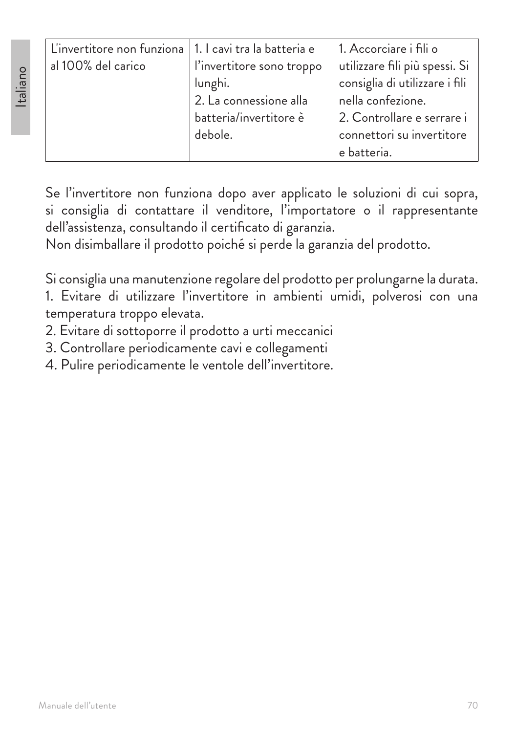| L'invertitore non funziona   1. I cavi tra la batteria e |                           | 1. Accorciare i fili o         |
|----------------------------------------------------------|---------------------------|--------------------------------|
| al 100% del carico                                       | l'invertitore sono troppo | utilizzare fili più spessi. Si |
|                                                          | lunghi.                   | consiglia di utilizzare i fili |
|                                                          | 2. La connessione alla    | nella confezione.              |
|                                                          | batteria/invertitore è    | 2. Controllare e serrare i     |
|                                                          | debole.                   | connettori su invertitore      |
|                                                          |                           | e batteria.                    |

Se l'invertitore non funziona dopo aver applicato le soluzioni di cui sopra, si consiglia di contattare il venditore, l'importatore o il rappresentante dell'assistenza, consultando il certificato di garanzia.

Non disimballare il prodotto poiché si perde la garanzia del prodotto.

Si consiglia una manutenzione regolare del prodotto per prolungarne la durata.

1. Evitare di utilizzare l'invertitore in ambienti umidi, polverosi con una temperatura troppo elevata.

2. Evitare di sottoporre il prodotto a urti meccanici

3. Controllare periodicamente cavi e collegamenti

4. Pulire periodicamente le ventole dell'invertitore.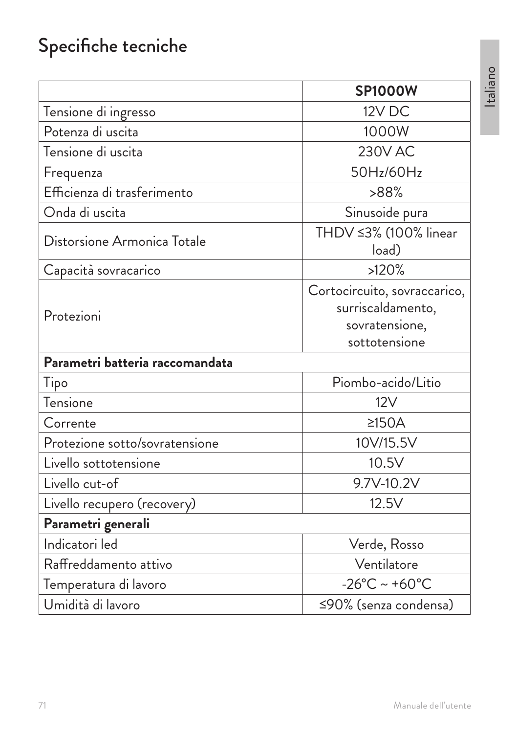# Specifiche tecniche

|                                 | <b>SP1000W</b>                                                                       |
|---------------------------------|--------------------------------------------------------------------------------------|
| Tensione di ingresso            | 12V DC                                                                               |
| Potenza di uscita               | 1000W                                                                                |
| Tensione di uscita              | <b>230V AC</b>                                                                       |
| Frequenza                       | 50Hz/60Hz                                                                            |
| Efficienza di trasferimento     | >88%                                                                                 |
| Onda di uscita                  | Sinusoide pura                                                                       |
| Distorsione Armonica Totale     | THDV ≤3% (100% linear<br>load)                                                       |
| Capacità sovracarico            | >120%                                                                                |
| Protezioni                      | Cortocircuito, sovraccarico,<br>surriscaldamento,<br>sovratensione,<br>sottotensione |
| Parametri batteria raccomandata |                                                                                      |
| Tipo                            | Piombo-acido/Litio                                                                   |
| Tensione                        | 12V                                                                                  |
| Corrente                        | $\geq$ 150A                                                                          |
| Protezione sotto/sovratensione  | 10V/15.5V                                                                            |
| Livello sottotensione           | 10.5V                                                                                |
| Livello cut-of                  | 9.7V-10.2V                                                                           |
| Livello recupero (recovery)     | 12.5V                                                                                |
| Parametri generali              |                                                                                      |
| Indicatori led                  | Verde, Rosso                                                                         |
| Raffreddamento attivo           | Ventilatore                                                                          |
| Temperatura di lavoro           | $-26^{\circ}$ C ~ +60 $^{\circ}$ C                                                   |
| Umidità di lavoro               | ≤90% (senza condensa)                                                                |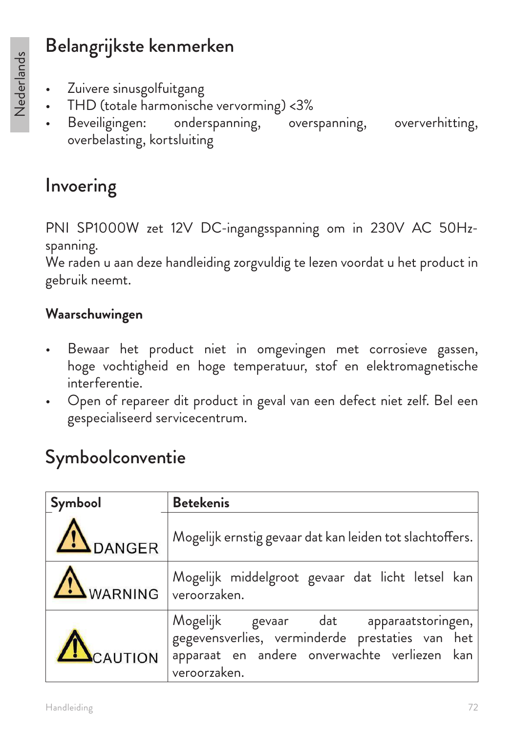## Belangrijkste kenmerken

- Nederlands Nederlands
- Zuivere sinusgolfuitgang
- THD (totale harmonische vervorming) <3%
- Beveiligingen: onderspanning, overspanning, oververhitting, overbelasting, kortsluiting

## Invoering

PNI SP1000W zet 12V DC-ingangsspanning om in 230V AC 50Hzspanning.

We raden u aan deze handleiding zorgvuldig te lezen voordat u het product in gebruik neemt.

#### **Waarschuwingen**

- Bewaar het product niet in omgevingen met corrosieve gassen, hoge vochtigheid en hoge temperatuur, stof en elektromagnetische interferentie.
- Open of repareer dit product in geval van een defect niet zelf. Bel een gespecialiseerd servicecentrum.

## Symboolconventie

| Symbool              | <b>Betekenis</b>                                                                                                                                          |
|----------------------|-----------------------------------------------------------------------------------------------------------------------------------------------------------|
| <b>IN</b> DANGER     | Mogelijk ernstig gevaar dat kan leiden tot slachtoffers.                                                                                                  |
| WARNING veroorzaken. | Mogelijk middelgroot gevaar dat licht letsel kan                                                                                                          |
| <b>ACAUTION</b>      | Mogelijk gevaar dat apparaatstoringen,<br>gegevensverlies, verminderde prestaties van het<br>apparaat en andere onverwachte verliezen kan<br>veroorzaken. |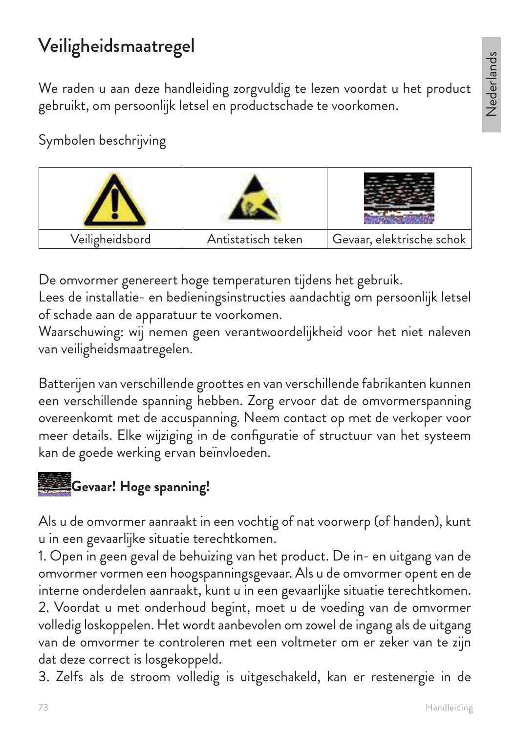## Veiligheidsmaatregel

We raden u aan deze handleiding zorgvuldig te lezen voordat u het product gebruikt, om persoonlijk letsel en productschade te voorkomen.

Symbolen beschrijving



De omvormer genereert hoge temperaturen tijdens het gebruik.

Lees de installatie- en bedieningsinstructies aandachtig om persoonlijk letsel of schade aan de apparatuur te voorkomen.

Waarschuwing: wij nemen geen verantwoordelijkheid voor het niet naleven van veiligheidsmaatregelen.

Batterijen van verschillende groottes en van verschillende fabrikanten kunnen een verschillende spanning hebben. Zorg ervoor dat de omvormerspanning overeenkomt met de accuspanning. Neem contact op met de verkoper voor meer details. Elke wijziging in de configuratie of structuur van het systeem kan de goede werking ervan beïnvloeden.



Als u de omvormer aanraakt in een vochtig of nat voorwerp (of handen), kunt u in een gevaarlijke situatie terechtkomen.

1. Open in geen geval de behuizing van het product. De in- en uitgang van de omvormer vormen een hoogspanningsgevaar. Als u de omvormer opent en de interne onderdelen aanraakt, kunt u in een gevaarlijke situatie terechtkomen. 2. Voordat u met onderhoud begint, moet u de voeding van de omvormer volledig loskoppelen. Het wordt aanbevolen om zowel de ingang als de uitgang van de omvormer te controleren met een voltmeter om er zeker van te zijn dat deze correct is losgekoppeld.

3. Zelfs als de stroom volledig is uitgeschakeld, kan er restenergie in de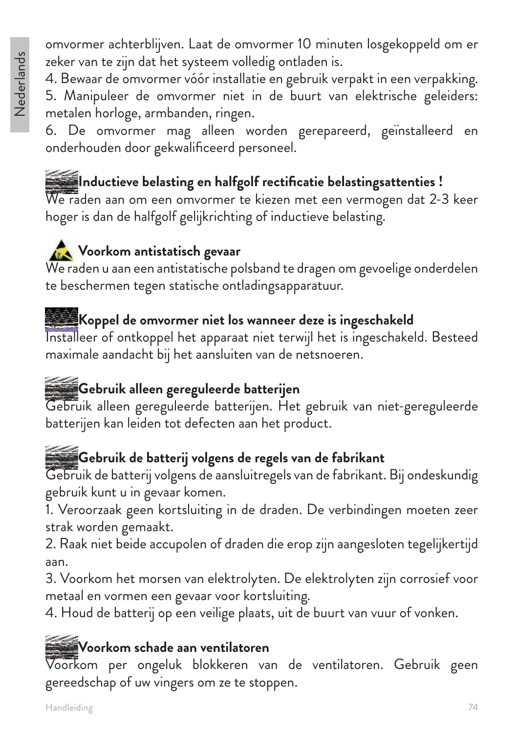omvormer achterblijven. Laat de omvormer 10 minuten losgekoppeld om er zeker van te zijn dat het systeem volledig ontladen is.

4. Bewaar de omvormer vóór installatie en gebruik verpakt in een verpakking.

5. Manipuleer de omvormer niet in de buurt van elektrische geleiders: metalen horloge, armbanden, ringen.

6. De omvormer mag alleen worden gerepareerd, geïnstalleerd en onderhouden door gekwalificeerd personeel.

## **Inductieve belasting en halfgolf rectificatie belastingsattenties !**

We raden aan om een omvormer te kiezen met een vermogen dat 2-3 keer hoger is dan de halfgolf gelijkrichting of inductieve belasting.

## **Voorkom antistatisch gevaar**

We raden u aan een antistatische polsband te dragen om gevoelige onderdelen te beschermen tegen statische ontladingsapparatuur.

### **Koppel de omvormer niet los wanneer deze is ingeschakeld**

Installeer of ontkoppel het apparaat niet terwijl het is ingeschakeld. Besteed maximale aandacht bij het aansluiten van de netsnoeren.

## **Gebruik alleen gereguleerde batterijen**

Gebruik alleen gereguleerde batterijen. Het gebruik van niet-gereguleerde batterijen kan leiden tot defecten aan het product.

## **Gebruik de batterij volgens de regels van de fabrikant**

Gebruik de batterij volgens de aansluitregels van de fabrikant. Bij ondeskundig gebruik kunt u in gevaar komen.

1. Veroorzaak geen kortsluiting in de draden. De verbindingen moeten zeer strak worden gemaakt.

2. Raak niet beide accupolen of draden die erop zijn aangesloten tegelijkertijd aan.

3. Voorkom het morsen van elektrolyten. De elektrolyten zijn corrosief voor metaal en vormen een gevaar voor kortsluiting.

4. Houd de batterij op een veilige plaats, uit de buurt van vuur of vonken.

## **Voorkom schade aan ventilatoren**

Voorkom per ongeluk blokkeren van de ventilatoren. Gebruik geen gereedschap of uw vingers om ze te stoppen.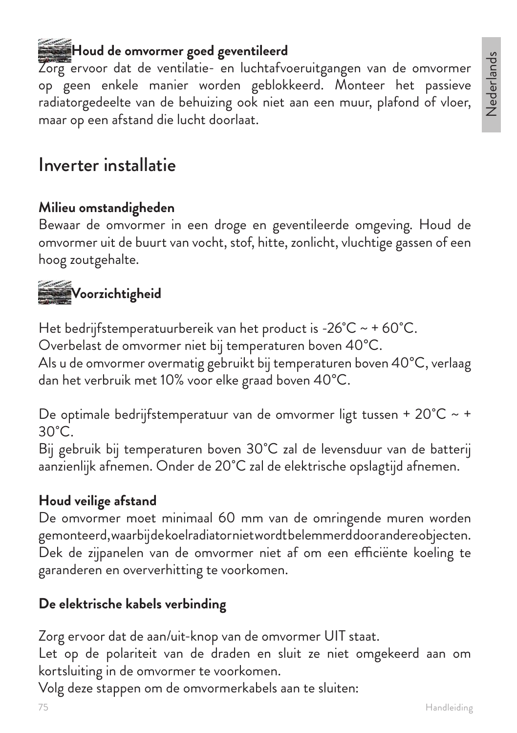# Nederlands Nederlands

## **Houd de omvormer goed geventileerd**

Zorg ervoor dat de ventilatie- en luchtafvoeruitgangen van de omvormer op geen enkele manier worden geblokkeerd. Monteer het passieve radiatorgedeelte van de behuizing ook niet aan een muur, plafond of vloer, maar op een afstand die lucht doorlaat.

### Inverter installatie

#### **Milieu omstandigheden**

Bewaar de omvormer in een droge en geventileerde omgeving. Houd de omvormer uit de buurt van vocht, stof, hitte, zonlicht, vluchtige gassen of een hoog zoutgehalte.

# **Voorzichtigheid**

Het bedrijfstemperatuurbereik van het product is -26 $^{\circ}$ C ~ + 60 $^{\circ}$ C.

Overbelast de omvormer niet bij temperaturen boven 40°C.

Als u de omvormer overmatig gebruikt bij temperaturen boven 40°C, verlaag dan het verbruik met 10% voor elke graad boven 40°C.

De optimale bedrijfstemperatuur van de omvormer ligt tussen + 20˚C ~ +  $30^{\circ}$ C.

Bij gebruik bij temperaturen boven 30˚C zal de levensduur van de batterij aanzienlijk afnemen. Onder de 20˚C zal de elektrische opslagtijd afnemen.

#### **Houd veilige afstand**

De omvormer moet minimaal 60 mm van de omringende muren worden gemonteerd, waarbij de koelradiator niet wordt belemmerd door andere objecten. Dek de zijpanelen van de omvormer niet af om een efficiënte koeling te garanderen en oververhitting te voorkomen.

#### **De elektrische kabels verbinding**

Zorg ervoor dat de aan/uit-knop van de omvormer UIT staat.

Let op de polariteit van de draden en sluit ze niet omgekeerd aan om kortsluiting in de omvormer te voorkomen.

Volg deze stappen om de omvormerkabels aan te sluiten: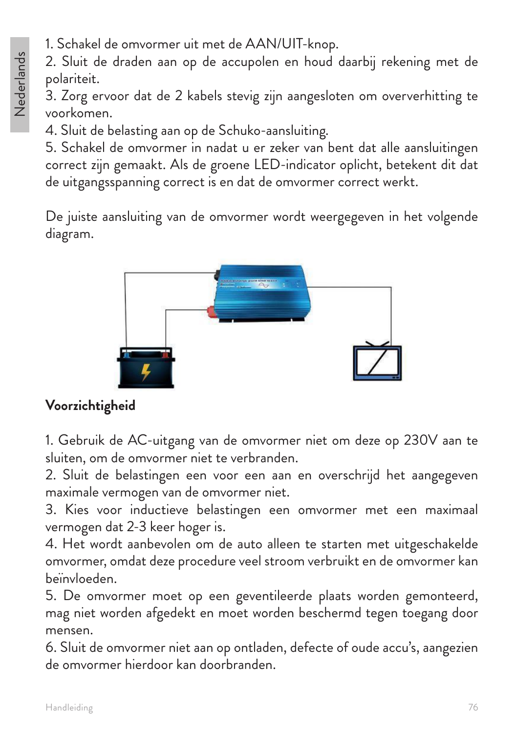1. Schakel de omvormer uit met de AAN/UIT-knop.

2. Sluit de draden aan op de accupolen en houd daarbij rekening met de polariteit.

3. Zorg ervoor dat de 2 kabels stevig zijn aangesloten om oververhitting te voorkomen.

4. Sluit de belasting aan op de Schuko-aansluiting.

5. Schakel de omvormer in nadat u er zeker van bent dat alle aansluitingen correct zijn gemaakt. Als de groene LED-indicator oplicht, betekent dit dat de uitgangsspanning correct is en dat de omvormer correct werkt.

De juiste aansluiting van de omvormer wordt weergegeven in het volgende diagram.



#### **Voorzichtigheid**

1. Gebruik de AC-uitgang van de omvormer niet om deze op 230V aan te sluiten, om de omvormer niet te verbranden.

2. Sluit de belastingen een voor een aan en overschrijd het aangegeven maximale vermogen van de omvormer niet.

3. Kies voor inductieve belastingen een omvormer met een maximaal vermogen dat 2-3 keer hoger is.

4. Het wordt aanbevolen om de auto alleen te starten met uitgeschakelde omvormer, omdat deze procedure veel stroom verbruikt en de omvormer kan beïnvloeden.

5. De omvormer moet op een geventileerde plaats worden gemonteerd, mag niet worden afgedekt en moet worden beschermd tegen toegang door mensen.

6. Sluit de omvormer niet aan op ontladen, defecte of oude accu's, aangezien de omvormer hierdoor kan doorbranden.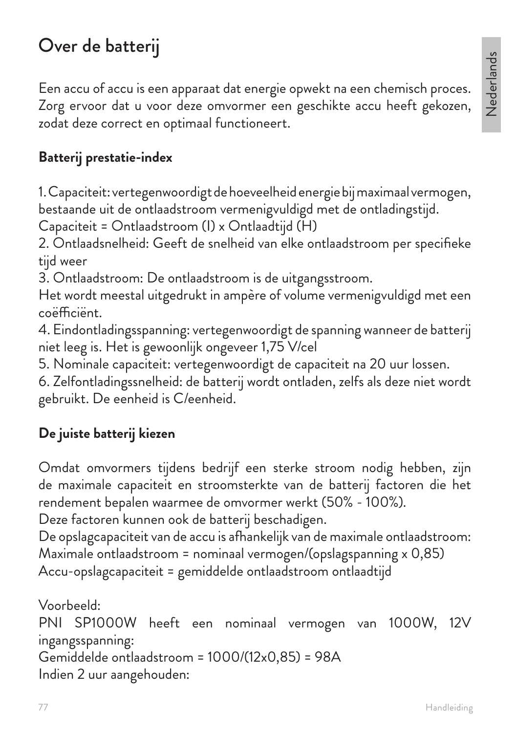## Over de batterij

Een accu of accu is een apparaat dat energie opwekt na een chemisch proces. Zorg ervoor dat u voor deze omvormer een geschikte accu heeft gekozen, zodat deze correct en optimaal functioneert.

#### **Batterij prestatie-index**

1. Capaciteit: vertegenwoordigt de hoeveelheid energie bij maximaal vermogen, bestaande uit de ontlaadstroom vermenigvuldigd met de ontladingstijd.

Capaciteit = Ontlaadstroom (I) x Ontlaadtijd (H)

2. Ontlaadsnelheid: Geeft de snelheid van elke ontlaadstroom per specifieke tijd weer

3. Ontlaadstroom: De ontlaadstroom is de uitgangsstroom.

Het wordt meestal uitgedrukt in ampère of volume vermenigvuldigd met een coëfficiënt.

4. Eindontladingsspanning: vertegenwoordigt de spanning wanneer de batterij niet leeg is. Het is gewoonlijk ongeveer 1,75 V/cel

5. Nominale capaciteit: vertegenwoordigt de capaciteit na 20 uur lossen.

6. Zelfontladingssnelheid: de batterij wordt ontladen, zelfs als deze niet wordt gebruikt. De eenheid is C/eenheid.

### **De juiste batterij kiezen**

Omdat omvormers tijdens bedrijf een sterke stroom nodig hebben, zijn de maximale capaciteit en stroomsterkte van de batterij factoren die het rendement bepalen waarmee de omvormer werkt (50% - 100%).

Deze factoren kunnen ook de batterij beschadigen.

De opslagcapaciteit van de accu is afhankelijk van de maximale ontlaadstroom: Maximale ontlaadstroom = nominaal vermogen/(opslagspanning x 0,85) Accu-opslagcapaciteit = gemiddelde ontlaadstroom ontlaadtijd

```
Voorbeeld:
PNI SP1000W heeft een nominaal vermogen van 1000W, 12V 
ingangsspanning:
Gemiddelde ontlaadstroom = 1000/(12x0,85) = 98A
Indien 2 uur aangehouden:
```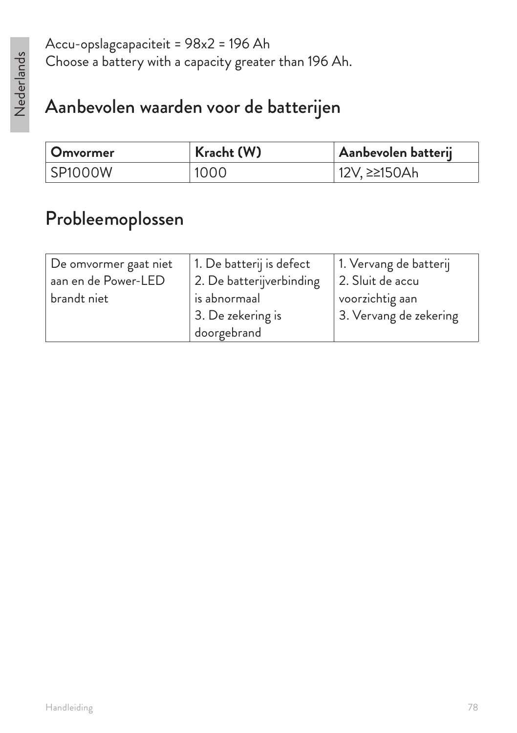Accu-opslagcapaciteit = 98x2 = 196 Ah Choose a battery with a capacity greater than 196 Ah.

## Aanbevolen waarden voor de batterijen

| <b>Omvormer</b> | Kracht (W) | Aanbevolen batterij |
|-----------------|------------|---------------------|
| SP1000W         | 1000       | 12V, ≥≥150Ah        |

## Probleemoplossen

| De omvormer gaat niet | 1. De batterij is defect | 1. Vervang de batterij |
|-----------------------|--------------------------|------------------------|
| aan en de Power-LED   | 2. De batterijverbinding | 2. Sluit de accu       |
| brandt niet           | is abnormaal             | voorzichtig aan        |
|                       | 3. De zekering is        | 3. Vervang de zekering |
|                       | doorgebrand              |                        |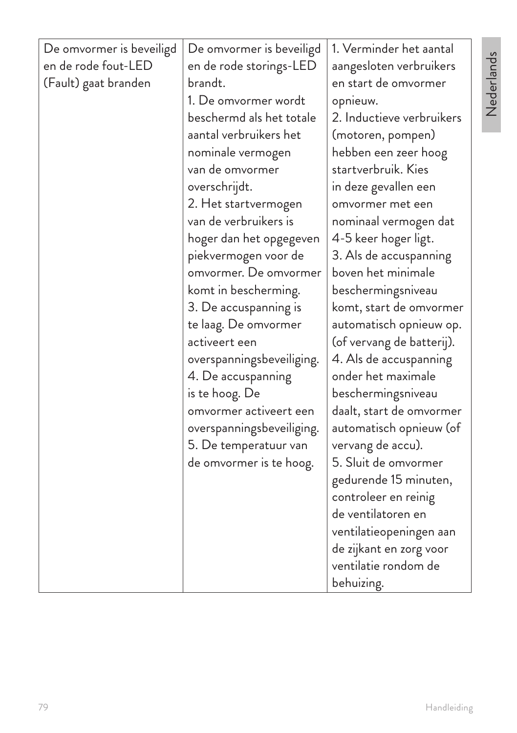| De omvormer is beveiligd<br>en de rode fout-LED<br>(Fault) gaat branden | De omvormer is beveiligd<br>en de rode storings-LED<br>brandt.<br>1. De omvormer wordt<br>beschermd als het totale<br>aantal verbruikers het<br>nominale vermogen<br>van de omvormer<br>overschrijdt.<br>2. Het startvermogen<br>van de verbruikers is<br>hoger dan het opgegeven<br>piekvermogen voor de<br>omvormer. De omvormer<br>komt in bescherming.<br>3. De accuspanning is<br>te laag. De omvormer<br>activeert een<br>overspanningsbeveiliging.<br>4. De accuspanning<br>is te hoog. De<br>omvormer activeert een<br>overspanningsbeveiliging.<br>5. De temperatuur van<br>de omvormer is te hoog. | 1. Verminder het aantal<br>aangesloten verbruikers<br>en start de omvormer<br>opnieuw.<br>2. Inductieve verbruikers<br>(motoren, pompen)<br>hebben een zeer hoog<br>startverbruik. Kies<br>in deze gevallen een<br>omvormer met een<br>nominaal vermogen dat<br>4-5 keer hoger ligt.<br>3. Als de accuspanning<br>boven het minimale<br>beschermingsniveau<br>komt, start de omvormer<br>automatisch opnieuw op.<br>(of vervang de batterij).<br>4. Als de accuspanning<br>onder het maximale<br>beschermingsniveau<br>daalt, start de omvormer<br>automatisch opnieuw (of<br>vervang de accu).<br>5. Sluit de omvormer<br>gedurende 15 minuten,<br>controleer en reinig<br>de ventilatoren en<br>ventilatieopeningen aan<br>de zijkant en zorg voor |
|-------------------------------------------------------------------------|--------------------------------------------------------------------------------------------------------------------------------------------------------------------------------------------------------------------------------------------------------------------------------------------------------------------------------------------------------------------------------------------------------------------------------------------------------------------------------------------------------------------------------------------------------------------------------------------------------------|------------------------------------------------------------------------------------------------------------------------------------------------------------------------------------------------------------------------------------------------------------------------------------------------------------------------------------------------------------------------------------------------------------------------------------------------------------------------------------------------------------------------------------------------------------------------------------------------------------------------------------------------------------------------------------------------------------------------------------------------------|
|                                                                         |                                                                                                                                                                                                                                                                                                                                                                                                                                                                                                                                                                                                              | ventilatie rondom de<br>behuizing.                                                                                                                                                                                                                                                                                                                                                                                                                                                                                                                                                                                                                                                                                                                   |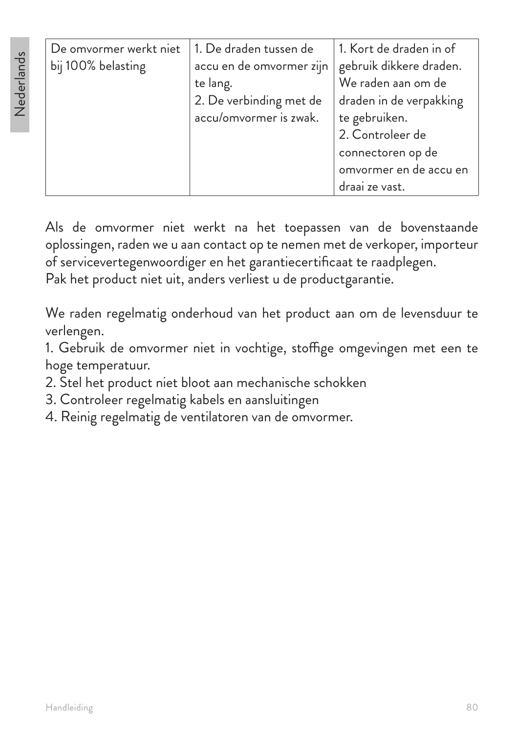| De omvormer werkt niet | 1. De draden tussen de   | 1. Kort de draden in of |
|------------------------|--------------------------|-------------------------|
| bij 100% belasting     | accu en de omvormer zijn | gebruik dikkere draden. |
|                        | te lang.                 | We raden aan om de      |
|                        | 2. De verbinding met de  | draden in de verpakking |
|                        | accu/omvormer is zwak.   | te gebruiken.           |
|                        |                          | 2. Controleer de        |
|                        |                          | connectoren op de       |
|                        |                          | omvormer en de accu en  |
|                        |                          | draai ze vast.          |

Als de omvormer niet werkt na het toepassen van de bovenstaande oplossingen, raden we u aan contact op te nemen met de verkoper, importeur of servicevertegenwoordiger en het garantiecertificaat te raadplegen. Pak het product niet uit, anders verliest u de productgarantie.

We raden regelmatig onderhoud van het product aan om de levensduur te verlengen.

1. Gebruik de omvormer niet in vochtige, stoffige omgevingen met een te hoge temperatuur.

- 2. Stel het product niet bloot aan mechanische schokken
- 3. Controleer regelmatig kabels en aansluitingen
- 4. Reinig regelmatig de ventilatoren van de omvormer.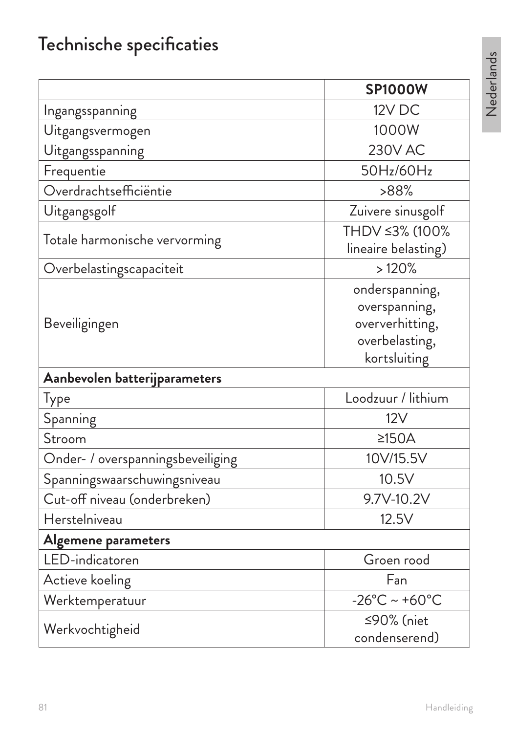# Technische specificaties

|                                   | <b>SP1000W</b>                                                                       |
|-----------------------------------|--------------------------------------------------------------------------------------|
| Ingangsspanning                   | 12V DC                                                                               |
| Uitgangsvermogen                  | 1000W                                                                                |
| Uitgangsspanning                  | <b>230V AC</b>                                                                       |
| Frequentie                        | 50Hz/60Hz                                                                            |
| Overdrachtsefficiëntie            | >88%                                                                                 |
| Uitgangsgolf                      | Zuivere sinusgolf                                                                    |
| Totale harmonische vervorming     | THDV ≤3% (100%<br>lineaire belasting)                                                |
| Overbelastingscapaciteit          | >120%                                                                                |
| Beveiligingen                     | onderspanning,<br>overspanning,<br>oververhitting,<br>overbelasting,<br>kortsluiting |
| Aanbevolen batterijparameters     |                                                                                      |
| Type                              | Loodzuur / lithium                                                                   |
| Spanning                          | 12V                                                                                  |
| Stroom                            | $\geq$ 150A                                                                          |
| Onder- / overspanningsbeveiliging | 10V/15.5V                                                                            |
| Spanningswaarschuwingsniveau      | 10.5V                                                                                |
| Cut-off niveau (onderbreken)      | 9.7V-10.2V                                                                           |
| Herstelniveau                     | 12.5V                                                                                |
| Algemene parameters               |                                                                                      |
| LED-indicatoren                   | Groen rood                                                                           |
| Actieve koeling                   | Fan                                                                                  |
| Werktemperatuur                   | $-26^{\circ}$ C ~ +60 $^{\circ}$ C                                                   |
| Werkvochtigheid                   | ≤90% (niet<br>condenserend)                                                          |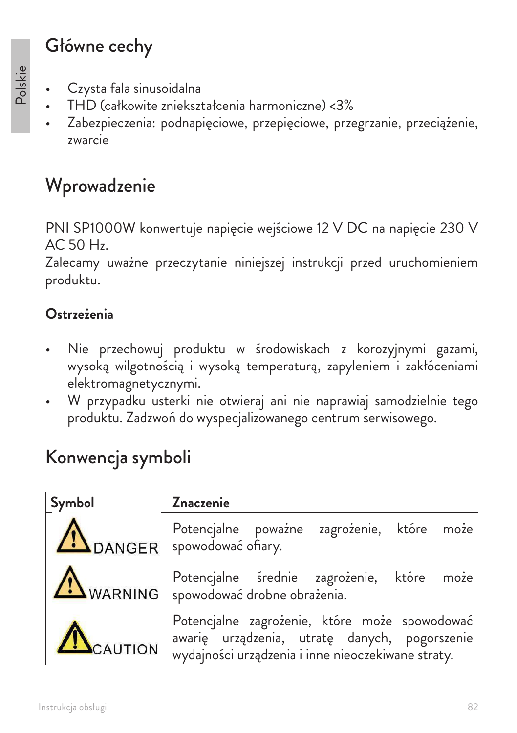## Główne cechy

- Czysta fala sinusoidalna
- THD (całkowite zniekształcenia harmoniczne) <3%
- Zabezpieczenia: podnapięciowe, przepięciowe, przegrzanie, przeciążenie, zwarcie

## Wprowadzenie

PNI SP1000W konwertuje napięcie wejściowe 12 V DC na napięcie 230 V AC 50 Hz.

Zalecamy uważne przeczytanie niniejszej instrukcji przed uruchomieniem produktu.

### **Ostrzeżenia**

- Nie przechowuj produktu w środowiskach z korozyjnymi gazami, wysoką wilgotnością i wysoką temperaturą, zapyleniem i zakłóceniami elektromagnetycznymi.
- W przypadku usterki nie otwieraj ani nie naprawiaj samodzielnie tego produktu. Zadzwoń do wyspecjalizowanego centrum serwisowego.

## Konwencja symboli

| Symbol  | <b>Znaczenie</b>                                                                                                                                     |
|---------|------------------------------------------------------------------------------------------------------------------------------------------------------|
|         | Potencjalne poważne zagrożenie, które może<br>DANGER   spowodować ofiary.                                                                            |
|         | Potencjalne średnie zagrożenie, które może<br>WARNING   spowodować drobne obrażenia.                                                                 |
| CAUTION | Potencjalne zagrożenie, które może spowodować<br>awarię urządzenia, utratę danych, pogorszenie<br>wydajności urządzenia i inne nieoczekiwane straty. |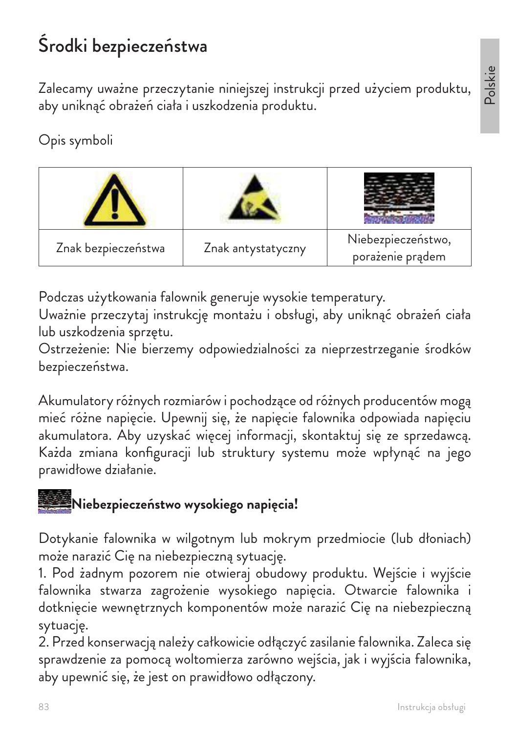# Środki bezpieczeństwa

Zalecamy uważne przeczytanie niniejszej instrukcji przed użyciem produktu, aby uniknąć obrażeń ciała i uszkodzenia produktu.

### Opis symboli



Podczas użytkowania falownik generuje wysokie temperatury.

Uważnie przeczytaj instrukcję montażu i obsługi, aby uniknąć obrażeń ciała lub uszkodzenia sprzętu.

Ostrzeżenie: Nie bierzemy odpowiedzialności za nieprzestrzeganie środków bezpieczeństwa.

Akumulatory różnych rozmiarów i pochodzące od różnych producentów mogą mieć różne napięcie. Upewnij się, że napięcie falownika odpowiada napięciu akumulatora. Aby uzyskać więcej informacji, skontaktuj się ze sprzedawcą. Każda zmiana konfiguracji lub struktury systemu może wpłynąć na jego prawidłowe działanie.

# **Niebezpieczeństwo wysokiego napięcia!**

Dotykanie falownika w wilgotnym lub mokrym przedmiocie (lub dłoniach) może narazić Cię na niebezpieczną sytuację.

1. Pod żadnym pozorem nie otwieraj obudowy produktu. Wejście i wyjście falownika stwarza zagrożenie wysokiego napięcia. Otwarcie falownika i dotknięcie wewnętrznych komponentów może narazić Cię na niebezpieczną sytuację.

2. Przed konserwacją należy całkowicie odłączyć zasilanie falownika. Zaleca się sprawdzenie za pomocą woltomierza zarówno wejścia, jak i wyjścia falownika, aby upewnić się, że jest on prawidłowo odłączony.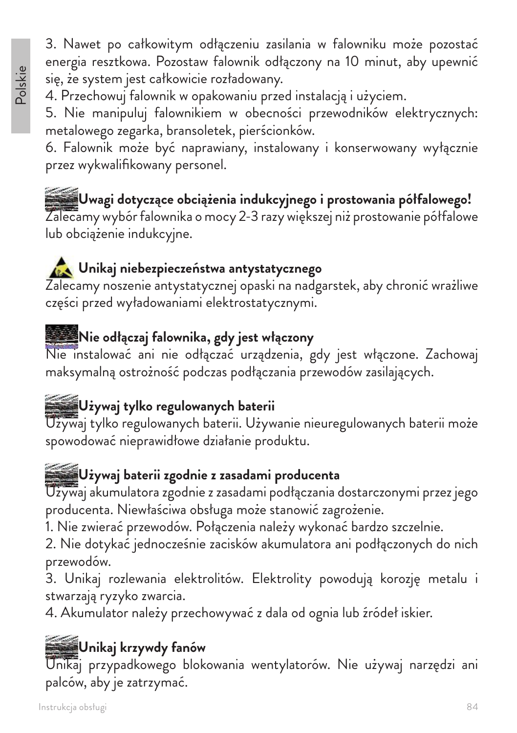3. Nawet po całkowitym odłączeniu zasilania w falowniku może pozostać energia resztkowa. Pozostaw falownik odłączony na 10 minut, aby upewnić się, że system jest całkowicie rozładowany.

4. Przechowuj falownik w opakowaniu przed instalacją i użyciem.

5. Nie manipuluj falownikiem w obecności przewodników elektrycznych: metalowego zegarka, bransoletek, pierścionków.

6. Falownik może być naprawiany, instalowany i konserwowany wyłącznie przez wykwalifikowany personel.

**Uwagi dotyczące obciążenia indukcyjnego i prostowania półfalowego!** Zalecamy wybór falownika o mocy 2-3 razy większej niż prostowanie półfalowe lub obciążenie indukcyjne.

### **Unikaj niebezpieczeństwa antystatycznego**

Zalecamy noszenie antystatycznej opaski na nadgarstek, aby chronić wrażliwe części przed wyładowaniami elektrostatycznymi.

### **Nie odłączaj falownika, gdy jest włączony**

Nie instalować ani nie odłączać urządzenia, gdy jest włączone. Zachowaj maksymalną ostrożność podczas podłączania przewodów zasilających.

## **Używaj tylko regulowanych baterii**

Używaj tylko regulowanych baterii. Używanie nieuregulowanych baterii może spowodować nieprawidłowe działanie produktu.

### **Używaj baterii zgodnie z zasadami producenta**

Używaj akumulatora zgodnie z zasadami podłączania dostarczonymi przez jego producenta. Niewłaściwa obsługa może stanowić zagrożenie.

1. Nie zwierać przewodów. Połączenia należy wykonać bardzo szczelnie.

2. Nie dotykać jednocześnie zacisków akumulatora ani podłączonych do nich przewodów.

3. Unikaj rozlewania elektrolitów. Elektrolity powodują korozję metalu i stwarzają ryzyko zwarcia.

4. Akumulator należy przechowywać z dala od ognia lub źródeł iskier.

## **Unikaj krzywdy fanów**

Unikaj przypadkowego blokowania wentylatorów. Nie używaj narzędzi ani palców, aby je zatrzymać.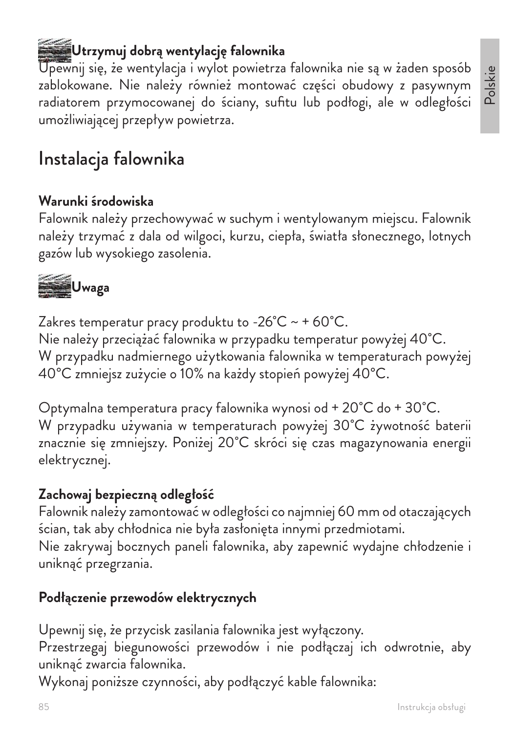Instrukcja obsługi

## **Utrzymuj dobrą wentylację falownika**

Upewnij się, że wentylacja i wylot powietrza falownika nie są w żaden sposób zablokowane. Nie należy również montować części obudowy z pasywnym radiatorem przymocowanej do ściany, sufitu lub podłogi, ale w odległości umożliwiającej przepływ powietrza.

## Instalacja falownika

#### **Warunki środowiska**

Falownik należy przechowywać w suchym i wentylowanym miejscu. Falownik należy trzymać z dala od wilgoci, kurzu, ciepła, światła słonecznego, lotnych gazów lub wysokiego zasolenia.



Zakres temperatur pracy produktu to -26 $^{\circ}$ C ~ + 60 $^{\circ}$ C. Nie należy przeciążać falownika w przypadku temperatur powyżej 40˚C. W przypadku nadmiernego użytkowania falownika w temperaturach powyżej 40°C zmniejsz zużycie o 10% na każdy stopień powyżej 40°C.

Optymalna temperatura pracy falownika wynosi od + 20˚C do + 30˚C. W przypadku używania w temperaturach powyżej 30˚C żywotność baterii znacznie się zmniejszy. Poniżej 20˚C skróci się czas magazynowania energii elektrycznej.

#### **Zachowaj bezpieczną odległość**

Falownik należy zamontować w odległości co najmniej 60 mm od otaczających ścian, tak aby chłodnica nie była zasłonięta innymi przedmiotami. Nie zakrywaj bocznych paneli falownika, aby zapewnić wydajne chłodzenie i

uniknąć przegrzania.

#### **Podłączenie przewodów elektrycznych**

Upewnij się, że przycisk zasilania falownika jest wyłączony.

Przestrzegaj biegunowości przewodów i nie podłączaj ich odwrotnie, aby uniknąć zwarcia falownika.

Wykonaj poniższe czynności, aby podłączyć kable falownika: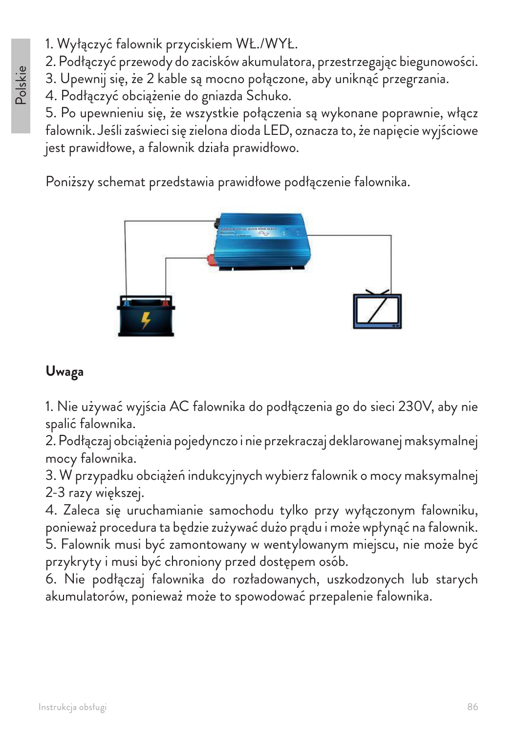- 1. Wyłączyć falownik przyciskiem WŁ./WYŁ.
- 2. Podłączyć przewody do zacisków akumulatora, przestrzegając biegunowości.
- 3. Upewnij się, że 2 kable są mocno połączone, aby uniknąć przegrzania.
- 4. Podłączyć obciążenie do gniazda Schuko.

5. Po upewnieniu się, że wszystkie połączenia są wykonane poprawnie, włącz falownik. Jeśli zaświeci się zielona dioda LED, oznacza to, że napięcie wyjściowe jest prawidłowe, a falownik działa prawidłowo.

Poniższy schemat przedstawia prawidłowe podłączenie falownika.



### **Uwaga**

1. Nie używać wyjścia AC falownika do podłączenia go do sieci 230V, aby nie spalić falownika.

2. Podłączaj obciążenia pojedynczo i nie przekraczaj deklarowanej maksymalnej mocy falownika.

3. W przypadku obciążeń indukcyjnych wybierz falownik o mocy maksymalnej 2-3 razy większej.

4. Zaleca się uruchamianie samochodu tylko przy wyłączonym falowniku, ponieważ procedura ta będzie zużywać dużo prądu i może wpłynąć na falownik.

5. Falownik musi być zamontowany w wentylowanym miejscu, nie może być przykryty i musi być chroniony przed dostępem osób.

6. Nie podłączaj falownika do rozładowanych, uszkodzonych lub starych akumulatorów, ponieważ może to spowodować przepalenie falownika.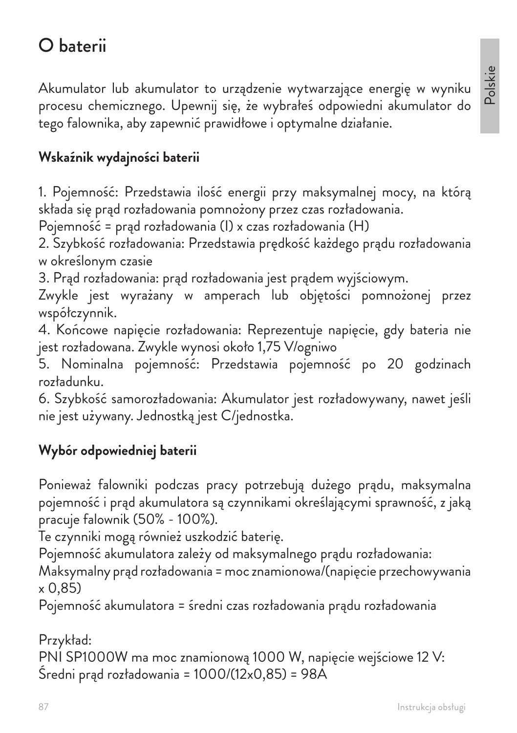## O baterii

Akumulator lub akumulator to urządzenie wytwarzające energię w wyniku procesu chemicznego. Upewnij się, że wybrałeś odpowiedni akumulator do tego falownika, aby zapewnić prawidłowe i optymalne działanie.

#### **Wskaźnik wydajności baterii**

1. Pojemność: Przedstawia ilość energii przy maksymalnej mocy, na którą składa się prąd rozładowania pomnożony przez czas rozładowania.

Pojemność = prąd rozładowania (I) x czas rozładowania (H)

2. Szybkość rozładowania: Przedstawia prędkość każdego prądu rozładowania w określonym czasie

3. Prąd rozładowania: prąd rozładowania jest prądem wyjściowym.

Zwykle jest wyrażany w amperach lub objętości pomnożonej przez współczynnik.

4. Końcowe napięcie rozładowania: Reprezentuje napięcie, gdy bateria nie jest rozładowana. Zwykle wynosi około 1,75 V/ogniwo

5. Nominalna pojemność: Przedstawia pojemność po 20 godzinach rozładunku.

6. Szybkość samorozładowania: Akumulator jest rozładowywany, nawet jeśli nie jest używany. Jednostką jest C/jednostka.

#### **Wybór odpowiedniej baterii**

Ponieważ falowniki podczas pracy potrzebują dużego prądu, maksymalna pojemność i prąd akumulatora są czynnikami określającymi sprawność, z jaką pracuje falownik (50% - 100%).

Te czynniki mogą również uszkodzić baterię.

Pojemność akumulatora zależy od maksymalnego prądu rozładowania:

Maksymalny prąd rozładowania = moc znamionowa/(napięcie przechowywania  $\times$  0.85)

Pojemność akumulatora = średni czas rozładowania prądu rozładowania

Przykład: PNI SP1000W ma moc znamionową 1000 W, napięcie wejściowe 12 V: Średni prąd rozładowania = 1000/(12x0,85) = 98A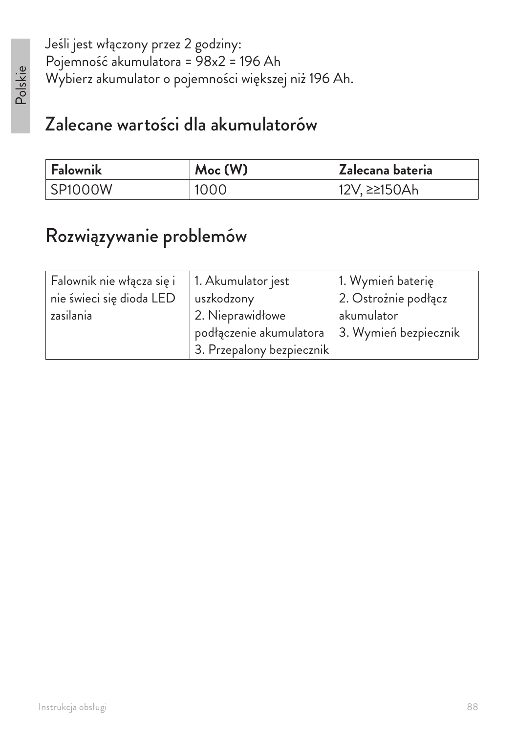Jeśli jest włączony przez 2 godziny: Pojemność akumulatora = 98x2 = 196 Ah Wybierz akumulator o pojemności większej niż 196 Ah.

## Zalecane wartości dla akumulatorów

| <b>Falownik</b> | Moc(W) | Zalecana bateria |
|-----------------|--------|------------------|
| SP1000W         | 1000   | 12V, ≥≥150Ah     |

## Rozwiązywanie problemów

| Falownik nie włącza się i | 1. Akumulator jest        | 1. Wymień baterię     |
|---------------------------|---------------------------|-----------------------|
| nie świeci się dioda LED  | uszkodzony                | 2. Ostrożnie podłącz  |
| zasilania                 | 2. Nieprawidłowe          | akumulator            |
|                           | podłączenie akumulatora   | 3. Wymień bezpiecznik |
|                           | 3. Przepalony bezpiecznik |                       |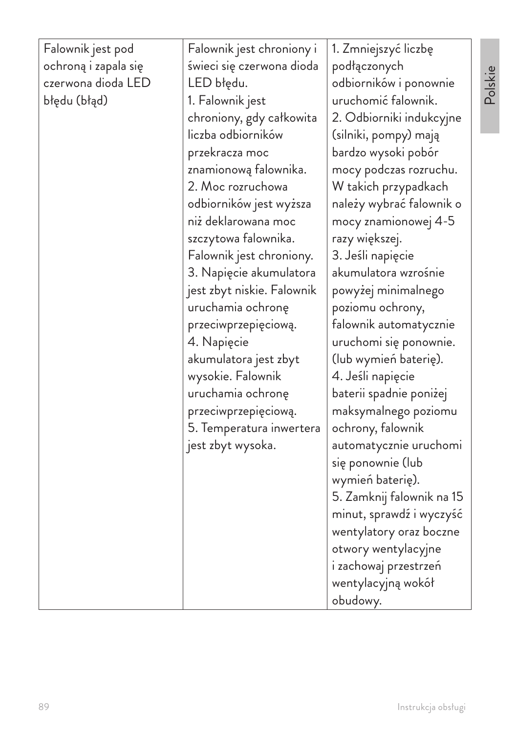| Falownik jest pod<br>ochroną i zapala się<br>czerwona dioda LED<br>błędu (błąd) | Falownik jest chroniony i<br>świeci się czerwona dioda<br>LED błędu.<br>1. Falownik jest<br>chroniony, gdy całkowita<br>liczba odbiorników<br>przekracza moc | 1. Zmniejszyć liczbę<br>podłączonych<br>odbiorników i ponownie<br>uruchomić falownik.<br>2. Odbiorniki indukcyjne<br>(silniki, pompy) mają<br>bardzo wysoki pobór |
|---------------------------------------------------------------------------------|--------------------------------------------------------------------------------------------------------------------------------------------------------------|-------------------------------------------------------------------------------------------------------------------------------------------------------------------|
|                                                                                 | znamionową falownika.<br>2. Moc rozruchowa                                                                                                                   | mocy podczas rozruchu.<br>W takich przypadkach                                                                                                                    |
|                                                                                 | odbiorników jest wyższa<br>niż deklarowana moc                                                                                                               | należy wybrać falownik o<br>mocy znamionowej 4-5                                                                                                                  |
|                                                                                 | szczytowa falownika.<br>Falownik jest chroniony.                                                                                                             | razy większej.<br>3. Jeśli napięcie                                                                                                                               |
|                                                                                 | 3. Napięcie akumulatora                                                                                                                                      | akumulatora wzrośnie                                                                                                                                              |
|                                                                                 | jest zbyt niskie. Falownik<br>uruchamia ochronę                                                                                                              | powyżej minimalnego<br>poziomu ochrony,                                                                                                                           |
|                                                                                 | przeciwprzepięciową.<br>4. Napięcie                                                                                                                          | falownik automatycznie<br>uruchomi się ponownie.                                                                                                                  |
|                                                                                 | akumulatora jest zbyt<br>wysokie. Falownik                                                                                                                   | (lub wymień baterię).<br>4. Jeśli napięcie                                                                                                                        |
|                                                                                 | uruchamia ochronę<br>przeciwprzepięciową.                                                                                                                    | baterii spadnie poniżej<br>maksymalnego poziomu                                                                                                                   |
|                                                                                 | 5. Temperatura inwertera                                                                                                                                     | ochrony, falownik                                                                                                                                                 |
|                                                                                 | jest zbyt wysoka.                                                                                                                                            | automatycznie uruchomi<br>się ponownie (lub                                                                                                                       |
|                                                                                 |                                                                                                                                                              | wymień baterię).<br>5. Zamknij falownik na 15                                                                                                                     |
|                                                                                 |                                                                                                                                                              | minut, sprawdź i wyczyść<br>wentylatory oraz boczne                                                                                                               |
|                                                                                 |                                                                                                                                                              | otwory wentylacyjne                                                                                                                                               |
|                                                                                 |                                                                                                                                                              | i zachowaj przestrzeń<br>wentylacyjną wokół                                                                                                                       |
|                                                                                 |                                                                                                                                                              | obudowy.                                                                                                                                                          |

Polskie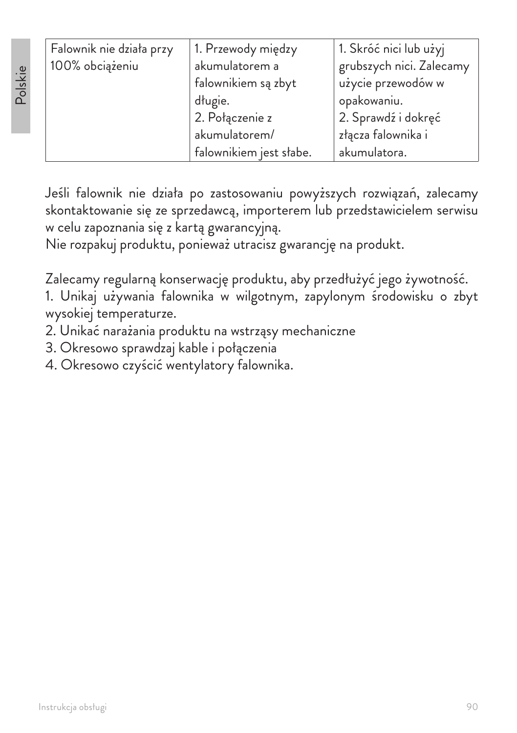| Falownik nie działa przy | 1. Przewody między      | 1. Skróć nici lub użyj   |
|--------------------------|-------------------------|--------------------------|
| 100% obciążeniu          | akumulatorem a          | grubszych nici. Zalecamy |
|                          | falownikiem są zbyt     | użycie przewodów w       |
|                          | długie.                 | opakowaniu.              |
|                          | 2. Połączenie z         | 2. Sprawdź i dokręć      |
|                          | akumulatorem/           | złącza falownika i       |
|                          | falownikiem jest słabe. | akumulatora.             |

Jeśli falownik nie działa po zastosowaniu powyższych rozwiązań, zalecamy skontaktowanie się ze sprzedawcą, importerem lub przedstawicielem serwisu w celu zapoznania się z kartą gwarancyjną.

Nie rozpakuj produktu, ponieważ utracisz gwarancję na produkt.

Zalecamy regularną konserwację produktu, aby przedłużyć jego żywotność.

1. Unikaj używania falownika w wilgotnym, zapylonym środowisku o zbyt wysokiej temperaturze.

- 2. Unikać narażania produktu na wstrząsy mechaniczne
- 3. Okresowo sprawdzaj kable i połączenia
- 4. Okresowo czyścić wentylatory falownika.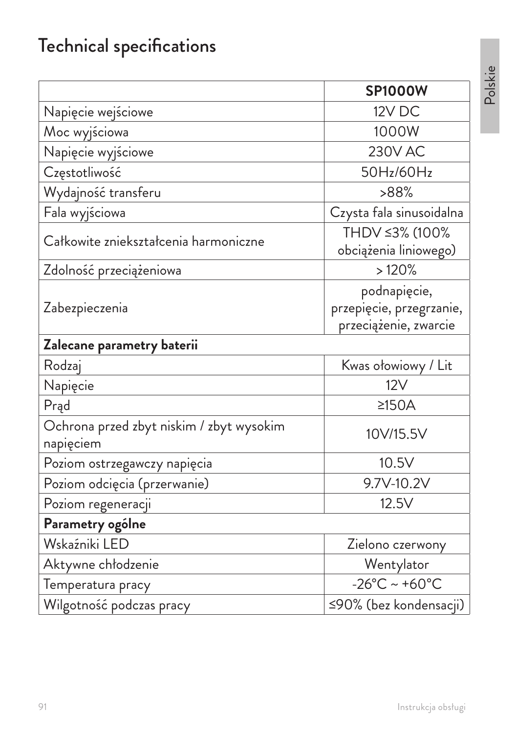# Technical specifications

|                                                       | <b>SP1000W</b>                                                    |
|-------------------------------------------------------|-------------------------------------------------------------------|
| Napięcie wejściowe                                    | 12V DC                                                            |
| Moc wyjściowa                                         | 1000W                                                             |
| Napięcie wyjściowe                                    | <b>230V AC</b>                                                    |
| Częstotliwość                                         | 50Hz/60Hz                                                         |
| Wydajność transferu                                   | >88%                                                              |
| Fala wyjściowa                                        | Czysta fala sinusoidalna                                          |
| Całkowite zniekształcenia harmoniczne                 | THDV ≤3% (100%<br>obciążenia liniowego)                           |
| Zdolność przeciążeniowa                               | >120%                                                             |
| Zabezpieczenia                                        | podnapięcie,<br>przepięcie, przegrzanie,<br>przeciążenie, zwarcie |
| Zalecane parametry baterii                            |                                                                   |
| Rodzaj                                                | Kwas ołowiowy / Lit                                               |
| Napięcie                                              | 12V                                                               |
| Prąd                                                  | $\geq$ 150A                                                       |
| Ochrona przed zbyt niskim / zbyt wysokim<br>napięciem | 10V/15.5V                                                         |
| Poziom ostrzegawczy napięcia                          | 10.5V                                                             |
| Poziom odcięcia (przerwanie)                          | 9.7V-10.2V                                                        |
| Poziom regeneracji                                    | 12.5V                                                             |
| Parametry ogólne                                      |                                                                   |
| Wskaźniki LED                                         | Zielono czerwony                                                  |
| Aktywne chłodzenie                                    | Wentylator                                                        |
| Temperatura pracy                                     | $-26^{\circ}$ C ~ +60 $^{\circ}$ C                                |
| Wilgotność podczas pracy                              | ≤90% (bez kondensacji)                                            |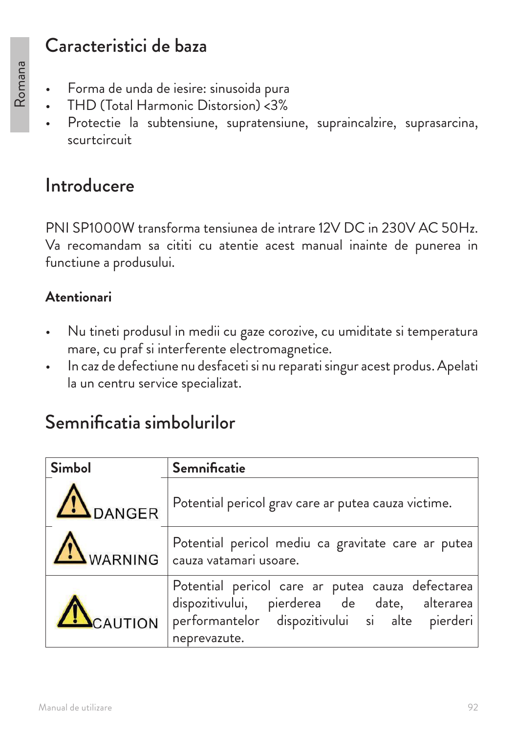## Caracteristici de baza

- Forma de unda de iesire: sinusoida pura
- THD (Total Harmonic Distorsion) <3%
- Protectie la subtensiune, supratensiune, supraincalzire, suprasarcina, scurtcircuit

## Introducere

PNI SP1000W transforma tensiunea de intrare 12V DC in 230V AC 50Hz. Va recomandam sa cititi cu atentie acest manual inainte de punerea in functiune a produsului.

### **Atentionari**

- Nu tineti produsul in medii cu gaze corozive, cu umiditate si temperatura mare, cu praf si interferente electromagnetice.
- In caz de defectiune nu desfaceti si nu reparati singur acest produs. Apelati la un centru service specializat.

## Semnificatia simbolurilor

| <b>Simbol</b>    | <b>Semnificatie</b>                                                                                                                                                |  |
|------------------|--------------------------------------------------------------------------------------------------------------------------------------------------------------------|--|
| <b>IN</b> DANGER | Potential pericol grav care ar putea cauza victime.                                                                                                                |  |
| WARNING          | Potential pericol mediu ca gravitate care ar putea<br>$\vert$ cauza vatamari usoare.                                                                               |  |
| CAUTION          | Potential pericol care ar putea cauza defectarea<br>dispozitivului, pierderea de date, alterarea<br>performantelor dispozitivului si alte pierderi<br>neprevazute. |  |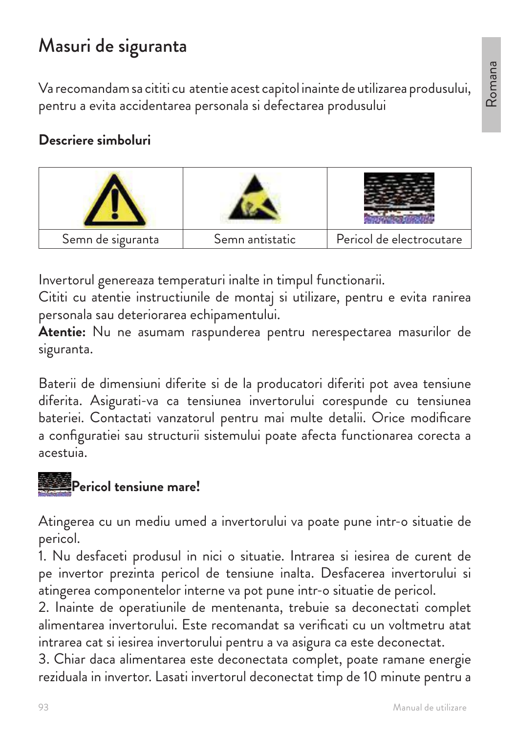## Masuri de siguranta

Va recomandam sa cititi cu atentie acest capitol inainte de utilizarea produsului, pentru a evita accidentarea personala si defectarea produsului

#### **Descriere simboluri**



Invertorul genereaza temperaturi inalte in timpul functionarii.

Cititi cu atentie instructiunile de montaj si utilizare, pentru e evita ranirea personala sau deteriorarea echipamentului.

**Atentie:** Nu ne asumam raspunderea pentru nerespectarea masurilor de siguranta.

Baterii de dimensiuni diferite si de la producatori diferiti pot avea tensiune diferita. Asigurati-va ca tensiunea invertorului corespunde cu tensiunea bateriei. Contactati vanzatorul pentru mai multe detalii. Orice modificare a configuratiei sau structurii sistemului poate afecta functionarea corecta a acestuia.



Atingerea cu un mediu umed a invertorului va poate pune intr-o situatie de pericol.

1. Nu desfaceti produsul in nici o situatie. Intrarea si iesirea de curent de pe invertor prezinta pericol de tensiune inalta. Desfacerea invertorului si atingerea componentelor interne va pot pune intr-o situatie de pericol.

2. Inainte de operatiunile de mentenanta, trebuie sa deconectati complet alimentarea invertorului. Este recomandat sa verificati cu un voltmetru atat intrarea cat si iesirea invertorului pentru a va asigura ca este deconectat.

3. Chiar daca alimentarea este deconectata complet, poate ramane energie reziduala in invertor. Lasati invertorul deconectat timp de 10 minute pentru a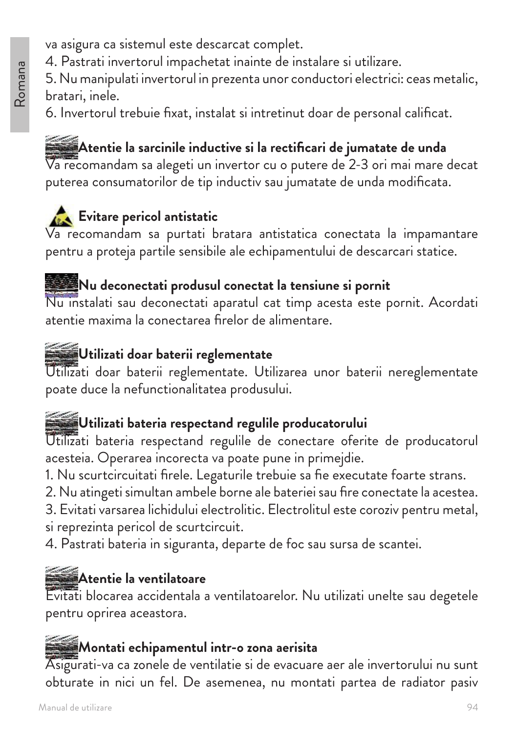- va asigura ca sistemul este descarcat complet.
- 4. Pastrati invertorul impachetat inainte de instalare si utilizare.

5. Nu manipulati invertorul in prezenta unor conductori electrici: ceas metalic, bratari, inele.

6. Invertorul trebuie fixat, instalat si intretinut doar de personal calificat.

### **Atentie la sarcinile inductive si la rectificari de jumatate de unda**

Va recomandam sa alegeti un invertor cu o putere de 2-3 ori mai mare decat puterea consumatorilor de tip inductiv sau jumatate de unda modificata.

## **Evitare pericol antistatic**

Va recomandam sa purtati bratara antistatica conectata la impamantare pentru a proteja partile sensibile ale echipamentului de descarcari statice.

#### **Nu deconectati produsul conectat la tensiune si pornit**

Nu instalati sau deconectati aparatul cat timp acesta este pornit. Acordati atentie maxima la conectarea firelor de alimentare.

### **Utilizati doar baterii reglementate**

Utilizati doar baterii reglementate. Utilizarea unor baterii nereglementate poate duce la nefunctionalitatea produsului.

### **Utilizati bateria respectand regulile producatorului**

Utilizati bateria respectand regulile de conectare oferite de producatorul acesteia. Operarea incorecta va poate pune in primejdie.

1. Nu scurtcircuitati firele. Legaturile trebuie sa fie executate foarte strans.

2. Nu atingeti simultan ambele borne ale bateriei sau fire conectate la acestea.

3. Evitati varsarea lichidului electrolitic. Electrolitul este coroziv pentru metal, si reprezinta pericol de scurtcircuit.

4. Pastrati bateria in siguranta, departe de foc sau sursa de scantei.

### **Atentie la ventilatoare**

Evitati blocarea accidentala a ventilatoarelor. Nu utilizati unelte sau degetele pentru oprirea aceastora.

#### **Montati echipamentul intr-o zona aerisita**

Asigurati-va ca zonele de ventilatie si de evacuare aer ale invertorului nu sunt obturate in nici un fel. De asemenea, nu montati partea de radiator pasiv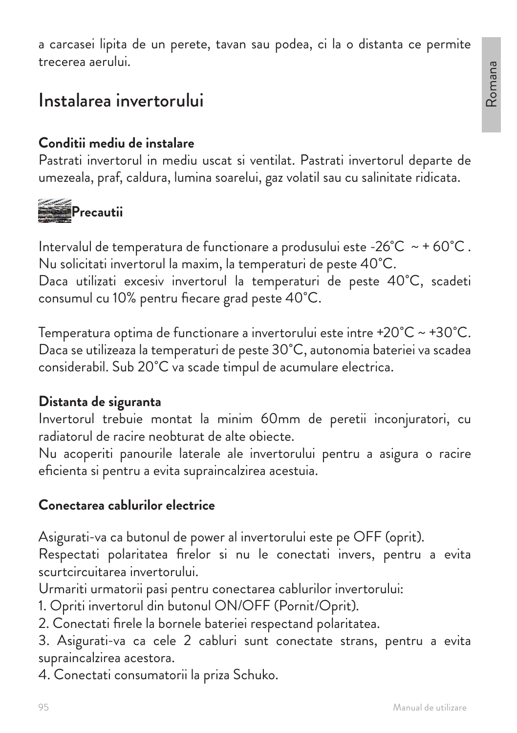a carcasei lipita de un perete, tavan sau podea, ci la o distanta ce permite trecerea aerului.

## Instalarea invertorului

#### **Conditii mediu de instalare**

Pastrati invertorul in mediu uscat si ventilat. Pastrati invertorul departe de umezeala, praf, caldura, lumina soarelui, gaz volatil sau cu salinitate ridicata.



Intervalul de temperatura de functionare a produsului este -26 $^{\circ}$ C ~ + 60 $^{\circ}$ C. Nu solicitati invertorul la maxim, la temperaturi de peste 40˚C.

Daca utilizati excesiv invertorul la temperaturi de peste 40˚C, scadeti consumul cu 10% pentru fiecare grad peste 40˚C.

Temperatura optima de functionare a invertorului este intre +20˚C ~ +30˚C. Daca se utilizeaza la temperaturi de peste 30˚C, autonomia bateriei va scadea considerabil. Sub 20˚C va scade timpul de acumulare electrica.

#### **Distanta de siguranta**

Invertorul trebuie montat la minim 60mm de peretii inconjuratori, cu radiatorul de racire neobturat de alte obiecte.

Nu acoperiti panourile laterale ale invertorului pentru a asigura o racire eficienta si pentru a evita supraincalzirea acestuia.

#### **Conectarea cablurilor electrice**

Asigurati-va ca butonul de power al invertorului este pe OFF (oprit).

Respectati polaritatea firelor si nu le conectati invers, pentru a evita scurtcircuitarea invertorului.

Urmariti urmatorii pasi pentru conectarea cablurilor invertorului:

1. Opriti invertorul din butonul ON/OFF (Pornit/Oprit).

2. Conectati firele la bornele bateriei respectand polaritatea.

3. Asigurati-va ca cele 2 cabluri sunt conectate strans, pentru a evita supraincalzirea acestora.

4. Conectati consumatorii la priza Schuko.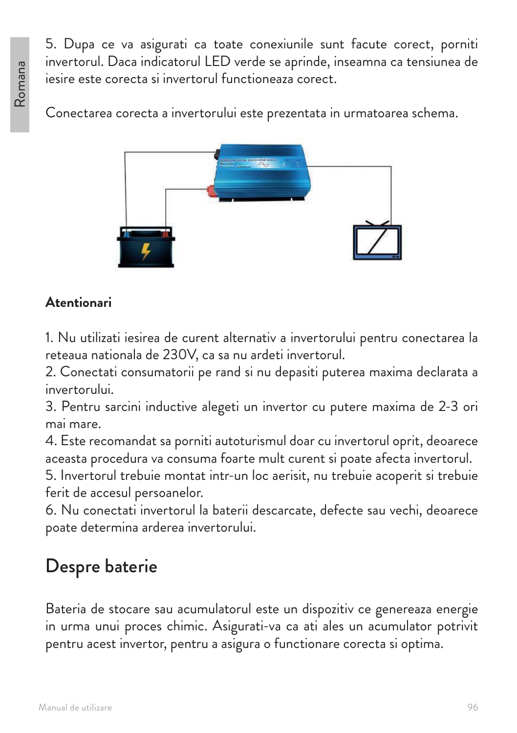5. Dupa ce va asigurati ca toate conexiunile sunt facute corect, porniti invertorul. Daca indicatorul LED verde se aprinde, inseamna ca tensiunea de iesire este corecta si invertorul functioneaza corect.

Conectarea corecta a invertorului este prezentata in urmatoarea schema.



### **Atentionari**

1. Nu utilizati iesirea de curent alternativ a invertorului pentru conectarea la reteaua nationala de 230V, ca sa nu ardeti invertorul.

2. Conectati consumatorii pe rand si nu depasiti puterea maxima declarata a invertorului.

3. Pentru sarcini inductive alegeti un invertor cu putere maxima de 2-3 ori mai mare.

4. Este recomandat sa porniti autoturismul doar cu invertorul oprit, deoarece aceasta procedura va consuma foarte mult curent si poate afecta invertorul.

5. Invertorul trebuie montat intr-un loc aerisit, nu trebuie acoperit si trebuie ferit de accesul persoanelor.

6. Nu conectati invertorul la baterii descarcate, defecte sau vechi, deoarece poate determina arderea invertorului.

## Despre baterie

Bateria de stocare sau acumulatorul este un dispozitiv ce genereaza energie in urma unui proces chimic. Asigurati-va ca ati ales un acumulator potrivit pentru acest invertor, pentru a asigura o functionare corecta si optima.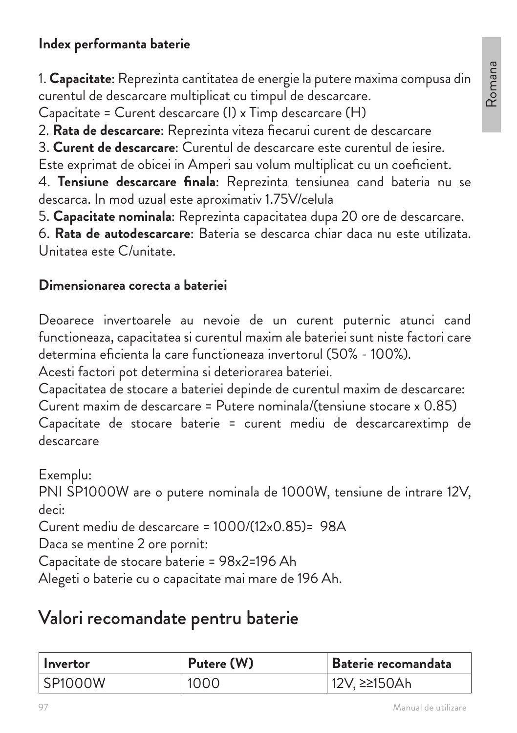#### **Index performanta baterie**

1. **Capacitate**: Reprezinta cantitatea de energie la putere maxima compusa din curentul de descarcare multiplicat cu timpul de descarcare.

Capacitate = Curent descarcare (I) x Timp descarcare (H)

2. **Rata de descarcare**: Reprezinta viteza fiecarui curent de descarcare

3. **Curent de descarcare**: Curentul de descarcare este curentul de iesire.

Este exprimat de obicei in Amperi sau volum multiplicat cu un coeficient.

4. **Tensiune descarcare finala**: Reprezinta tensiunea cand bateria nu se descarca. In mod uzual este aproximativ 1.75V/celula

5. **Capacitate nominala**: Reprezinta capacitatea dupa 20 ore de descarcare.

6. **Rata de autodescarcare**: Bateria se descarca chiar daca nu este utilizata. Unitatea este C/unitate.

#### **Dimensionarea corecta a bateriei**

Deoarece invertoarele au nevoie de un curent puternic atunci cand functioneaza, capacitatea si curentul maxim ale bateriei sunt niste factori care determina eficienta la care functioneaza invertorul (50% - 100%).

Acesti factori pot determina si deteriorarea bateriei.

Capacitatea de stocare a bateriei depinde de curentul maxim de descarcare: Curent maxim de descarcare = Putere nominala/(tensiune stocare x 0.85) Capacitate de stocare baterie = curent mediu de descarcarextimp de descarcare

Exemplu: PNI SP1000W are o putere nominala de 1000W, tensiune de intrare 12V, deci: Curent mediu de descarcare = 1000/(12x0.85)= 98A Daca se mentine 2 ore pornit:

Capacitate de stocare baterie = 98x2=196 Ah

Alegeti o baterie cu o capacitate mai mare de 196 Ah.

## Valori recomandate pentru baterie

| Invertor       | Putere (W) | Baterie recomandata |
|----------------|------------|---------------------|
| <b>SP1000W</b> | 1000       | 12V, ≥≥150Ah        |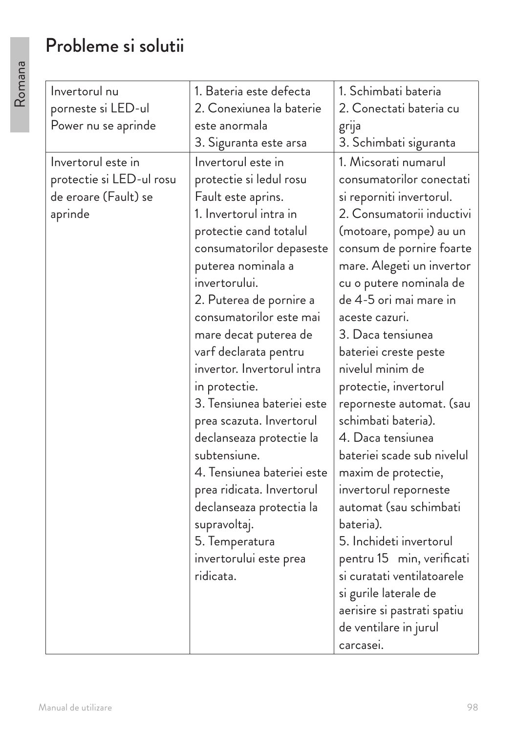## Probleme si solutii

| Invertorul nu            | 1. Bateria este defecta    | 1. Schimbati bateria        |
|--------------------------|----------------------------|-----------------------------|
| porneste si LED-ul       | 2. Conexiunea la baterie   | 2. Conectati bateria cu     |
| Power nu se aprinde      | este anormala              | grija                       |
|                          | 3. Siguranta este arsa     | 3. Schimbati siguranta      |
| Invertorul este in       | Invertorul este in         | 1. Micsorati numarul        |
| protectie si LED-ul rosu | protectie si ledul rosu    | consumatorilor conectati    |
| de eroare (Fault) se     | Fault este aprins.         | si reporniti invertorul.    |
| aprinde                  | 1. Invertorul intra in     | 2. Consumatorii inductivi   |
|                          | protectie cand totalul     | (motoare, pompe) au un      |
|                          | consumatorilor depaseste   | consum de pornire foarte    |
|                          | puterea nominala a         | mare. Alegeti un invertor   |
|                          | invertorului.              | cu o putere nominala de     |
|                          | 2. Puterea de pornire a    | de 4-5 ori mai mare in      |
|                          | consumatorilor este mai    | aceste cazuri.              |
|                          | mare decat puterea de      | 3. Daca tensiunea           |
|                          | varf declarata pentru      | bateriei creste peste       |
|                          | invertor. Invertorul intra | nivelul minim de            |
|                          | in protectie.              | protectie, invertorul       |
|                          | 3. Tensiunea bateriei este | reporneste automat. (sau    |
|                          | prea scazuta. Invertorul   | schimbati bateria).         |
|                          | declanseaza protectie la   | 4. Daca tensiunea           |
|                          | subtensiune.               | bateriei scade sub nivelul  |
|                          | 4. Tensiunea bateriei este | maxim de protectie,         |
|                          | prea ridicata. Invertorul  | invertorul reporneste       |
|                          | declanseaza protectia la   | automat (sau schimbati      |
|                          | supravoltaj.               | bateria).                   |
|                          | 5. Temperatura             | 5. Inchideti invertorul     |
|                          | invertorului este prea     | pentru 15 min, verificati   |
|                          | ridicata.                  | si curatati ventilatoarele  |
|                          |                            | si gurile laterale de       |
|                          |                            | aerisire si pastrati spatiu |
|                          |                            | de ventilare in jurul       |
|                          |                            | carcasei.                   |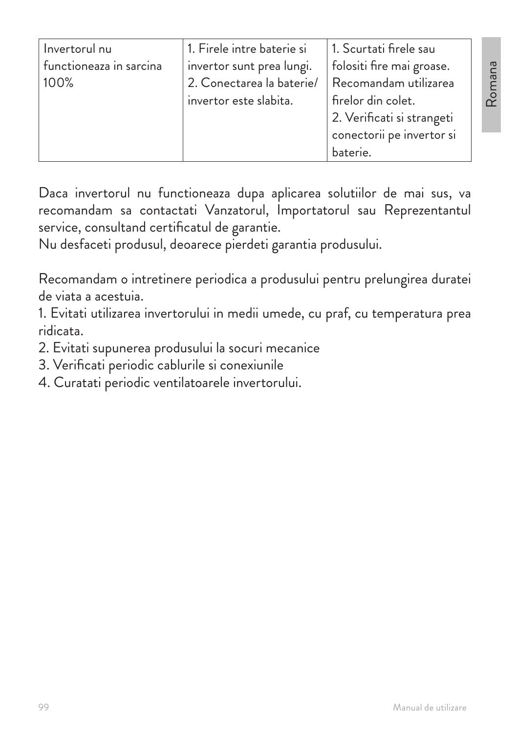| Invertorul nu           | 1. Firele intre baterie si | 1. Scurtati firele sau     |
|-------------------------|----------------------------|----------------------------|
| functioneaza in sarcina | invertor sunt prea lungi.  | folositi fire mai groase.  |
| 100%                    | 2. Conectarea la baterie/  | Recomandam utilizarea      |
|                         | invertor este slabita.     | firelor din colet.         |
|                         |                            | 2. Verificati si strangeti |
|                         |                            | conectorii pe invertor si  |
|                         |                            | baterie.                   |

Daca invertorul nu functioneaza dupa aplicarea solutiilor de mai sus, va recomandam sa contactati Vanzatorul, Importatorul sau Reprezentantul service, consultand certificatul de garantie.

Nu desfaceti produsul, deoarece pierdeti garantia produsului.

Recomandam o intretinere periodica a produsului pentru prelungirea duratei de viata a acestuia.

1. Evitati utilizarea invertorului in medii umede, cu praf, cu temperatura prea ridicata.

- 2. Evitati supunerea produsului la socuri mecanice
- 3. Verificati periodic cablurile si conexiunile
- 4. Curatati periodic ventilatoarele invertorului.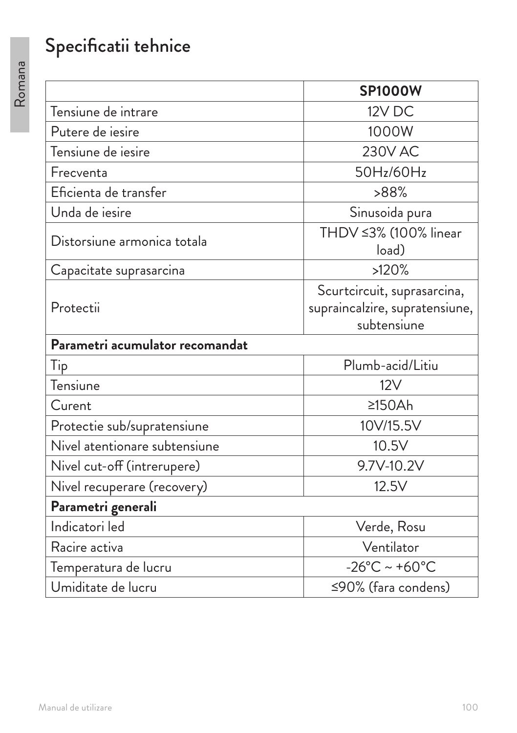# Specificatii tehnice

|                                 | <b>SP1000W</b>                     |  |  |
|---------------------------------|------------------------------------|--|--|
| Tensiune de intrare             | 12V DC                             |  |  |
| Putere de iesire                | 1000W                              |  |  |
| Tensiune de iesire              | <b>230V AC</b>                     |  |  |
| Frecventa                       | 50Hz/60Hz                          |  |  |
| Eficienta de transfer           | >88%                               |  |  |
| Unda de iesire                  | Sinusoida pura                     |  |  |
| Distorsiune armonica totala     | THDV ≤3% (100% linear<br>load)     |  |  |
| Capacitate suprasarcina         | >120%                              |  |  |
|                                 | Scurtcircuit, suprasarcina,        |  |  |
| Protectii                       | supraincalzire, supratensiune,     |  |  |
|                                 | subtensiune                        |  |  |
| Parametri acumulator recomandat |                                    |  |  |
| Tip                             | Plumb-acid/Litiu                   |  |  |
| Tensiune                        | 12V                                |  |  |
| Curent                          | 2150Ah                             |  |  |
| Protectie sub/supratensiune     | 10V/15.5V                          |  |  |
| Nivel atentionare subtensiune   | 10.5V                              |  |  |
| Nivel cut-off (intrerupere)     | 9.7V-10.2V                         |  |  |
| Nivel recuperare (recovery)     | 12.5V                              |  |  |
| Parametri generali              |                                    |  |  |
| Indicatori led                  | Verde, Rosu                        |  |  |
| Racire activa                   | Ventilator                         |  |  |
| Temperatura de lucru            | $-26^{\circ}$ C ~ +60 $^{\circ}$ C |  |  |
| Umiditate de lucru              | ≤90% (fara condens)                |  |  |